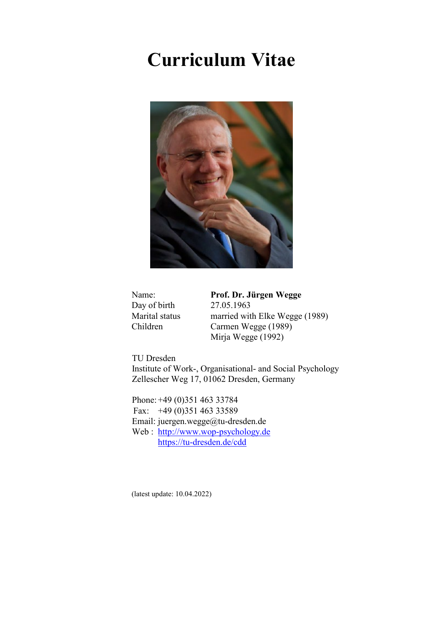# **Curriculum Vitae**



Day of birth

Name: **Prof. Dr. Jürgen Wegge**<br>Day of birth 27.05.1963 Marital status married with Elke Wegge (1989) Children Carmen Wegge (1989) Mirja Wegge (1992)

TU Dresden Institute of Work-, Organisational- and Social Psychology Zellescher Weg 17, 01062 Dresden, Germany

Phone: +49 (0)351 463 33784 Fax: +49 (0)351 463 33589 Email: juergen.wegge@tu-dresden.de Web : [http://www.wop-psychology.de](http://www.wop-psychology.de/) <https://tu-dresden.de/cdd>

(latest update: 10.04.2022)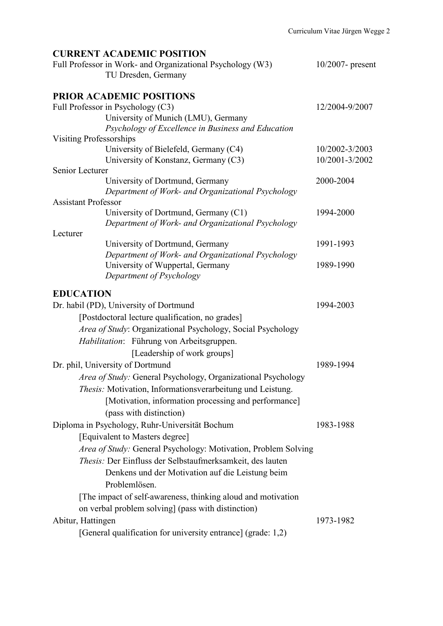| <b>CURRENT ACADEMIC POSITION</b><br>Full Professor in Work- and Organizational Psychology (W3)<br>TU Dresden, Germany | $10/2007$ - present |
|-----------------------------------------------------------------------------------------------------------------------|---------------------|
| <b>PRIOR ACADEMIC POSITIONS</b>                                                                                       |                     |
| Full Professor in Psychology (C3)                                                                                     | 12/2004-9/2007      |
| University of Munich (LMU), Germany                                                                                   |                     |
| Psychology of Excellence in Business and Education                                                                    |                     |
| Visiting Professorships                                                                                               |                     |
| University of Bielefeld, Germany (C4)                                                                                 | 10/2002-3/2003      |
| University of Konstanz, Germany (C3)                                                                                  | 10/2001-3/2002      |
| Senior Lecturer                                                                                                       |                     |
| University of Dortmund, Germany                                                                                       | 2000-2004           |
| Department of Work- and Organizational Psychology                                                                     |                     |
| <b>Assistant Professor</b>                                                                                            |                     |
| University of Dortmund, Germany (C1)                                                                                  | 1994-2000           |
| Department of Work- and Organizational Psychology                                                                     |                     |
| Lecturer                                                                                                              |                     |
| University of Dortmund, Germany                                                                                       | 1991-1993           |
| Department of Work- and Organizational Psychology                                                                     |                     |
| University of Wuppertal, Germany                                                                                      | 1989-1990           |

## **EDUCATION**

*Department of Psychology*

| Dr. habil (PD), University of Dortmund                              | 1994-2003 |
|---------------------------------------------------------------------|-----------|
| [Postdoctoral lecture qualification, no grades]                     |           |
| <i>Area of Study:</i> Organizational Psychology, Social Psychology  |           |
| Habilitation: Führung von Arbeitsgruppen.                           |           |
| [Leadership of work groups]                                         |           |
| Dr. phil, University of Dortmund                                    | 1989-1994 |
| <i>Area of Study:</i> General Psychology, Organizational Psychology |           |
| Thesis: Motivation, Informationsverarbeitung und Leistung.          |           |
| [Motivation, information processing and performance]                |           |
| (pass with distinction)                                             |           |
| Diploma in Psychology, Ruhr-Universität Bochum                      | 1983-1988 |
| [Equivalent to Masters degree]                                      |           |
| Area of Study: General Psychology: Motivation, Problem Solving      |           |
| <i>Thesis:</i> Der Einfluss der Selbstaufmerksamkeit, des lauten    |           |
| Denkens und der Motivation auf die Leistung beim                    |           |
| Problemlösen.                                                       |           |
| [The impact of self-awareness, thinking aloud and motivation        |           |
| on verbal problem solving] (pass with distinction)                  |           |
| Abitur, Hattingen                                                   | 1973-1982 |
| [General qualification for university entrance] (grade: 1,2)        |           |
|                                                                     |           |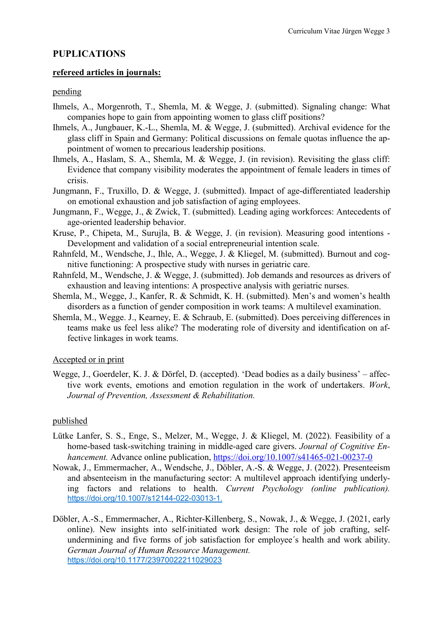## **PUPLICATIONS**

## **refereed articles in journals:**

## pending

- Ihmels, A., Morgenroth, T., Shemla, M. & Wegge, J. (submitted). Signaling change: What companies hope to gain from appointing women to glass cliff positions?
- Ihmels, A., Jungbauer, K.-L., Shemla, M. & Wegge, J. (submitted). Archival evidence for the glass cliff in Spain and Germany: Political discussions on female quotas influence the appointment of women to precarious leadership positions.
- Ihmels, A., Haslam, S. A., Shemla, M. & Wegge, J. (in revision). Revisiting the glass cliff: Evidence that company visibility moderates the appointment of female leaders in times of crisis.
- Jungmann, F., Truxillo, D. & Wegge, J. (submitted). Impact of age-differentiated leadership on emotional exhaustion and job satisfaction of aging employees.
- Jungmann, F., Wegge, J., & Zwick, T. (submitted). Leading aging workforces: Antecedents of age-oriented leadership behavior.
- Kruse, P., Chipeta, M., Surujla, B. & Wegge, J. (in revision). Measuring good intentions Development and validation of a social entrepreneurial intention scale.
- Rahnfeld, M., Wendsche, J., Ihle, A., Wegge, J. & Kliegel, M. (submitted). Burnout and cognitive functioning: A prospective study with nurses in geriatric care.
- Rahnfeld, M., Wendsche, J. & Wegge, J. (submitted). Job demands and resources as drivers of exhaustion and leaving intentions: A prospective analysis with geriatric nurses.
- Shemla, M., Wegge, J., Kanfer, R. & Schmidt, K. H. (submitted). Men's and women's health disorders as a function of gender composition in work teams: A multilevel examination.
- Shemla, M., Wegge. J., Kearney, E. & Schraub, E. (submitted). Does perceiving differences in teams make us feel less alike? The moderating role of diversity and identification on affective linkages in work teams.

## Accepted or in print

Wegge, J., Goerdeler, K. J. & Dörfel, D. (accepted). 'Dead bodies as a daily business' – affective work events, emotions and emotion regulation in the work of undertakers. *Work*, *Journal of Prevention, Assessment & Rehabilitation.*

## published

- Lütke Lanfer, S. S., Enge, S., Melzer, M., Wegge, J. & Kliegel, M. (2022). Feasibility of a home-based task-switching training in middle-aged care givers. *Journal of Cognitive Enhancement.* Advance online publication, <https://doi.org/10.1007/s41465-021-00237-0>
- Nowak, J., Emmermacher, A., Wendsche, J., Döbler, A.-S. & Wegge, J. (2022). Presenteeism and absenteeism in the manufacturing sector: A multilevel approach identifying underlying factors and relations to health. *Current Psychology (online publication).*  https://doi.org/10.1007/s12144-022-03013-1.
- Döbler, A.-S., Emmermacher, A., Richter-Killenberg, S., Nowak, J., & Wegge, J. (2021, early online). New insights into self-initiated work design: The role of job crafting, selfundermining and five forms of job satisfaction for employee´s health and work ability. *German Journal of Human Resource Management.* [https://doi.org/10.1177/23970022211029023](https://doi.org/10.1177%2F23970022211029023)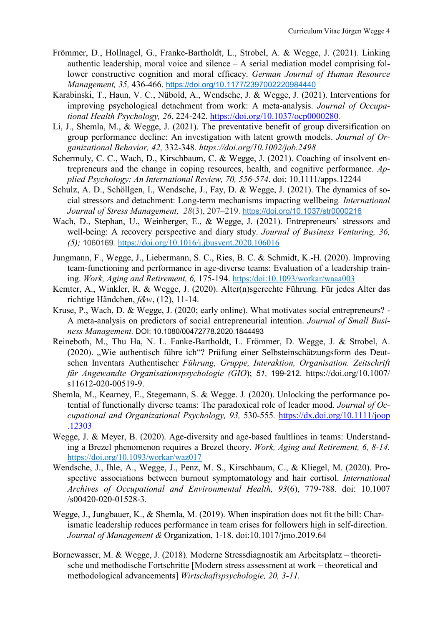- Frömmer, D., Hollnagel, G., Franke-Bartholdt, L., Strobel, A. & Wegge, J. (2021). Linking authentic leadership, moral voice and silence – A serial mediation model comprising follower constructive cognition and moral efficacy. *German Journal of Human Resource Management, 35,* 436-466. [https://doi.org/10.1177/2397002220984440](https://doi.org/10.1177%2F2397002220984440)
- Karabinski, T., Haun, V. C., Nübold, A., Wendsche, J. & Wegge, J. (2021). Interventions for improving psychological detachment from work: A meta-analysis. *Journal of Occupational Health Psychology, 26*, 224-242.<https://doi.org/10.1037/ocp0000280>*.*
- Li, J., Shemla, M., & Wegge, J. (2021). The preventative benefit of group diversification on group performance decline: An investigation with latent growth models. *Journal of Organizational Behavior, 42,* 332-348*. https://doi.org/10.1002/job.2498*
- Schermuly, C. C., Wach, D., Kirschbaum, C. & Wegge, J. (2021). Coaching of insolvent entrepreneurs and the change in coping resources, health, and cognitive performance. *Applied Psychology: An International Review, 70, 556-574*. doi: 10.1111/apps.12244
- Schulz, A. D., Schöllgen, I., Wendsche, J., Fay, D. & Wegge, J. (2021). The dynamics of social stressors and detachment: Long-term mechanisms impacting wellbeing*. International Journal of Stress Management, 28*(3), 207–219. [https://doi.org/10.1037/str0000216](https://doi.apa.org/doi/10.1037/str0000216)
- Wach, D., Stephan, U., Weinberger, E., & Wegge, J. (2021). Entrepreneurs' stressors and well-being: A recovery perspective and diary study. *Journal of Business Venturing, 36, (5);* 1060169*.* https://doi.org/10.1016/j.jbusvent.2020.106016
- Jungmann, F., Wegge, J., Liebermann, S. C., Ries, B. C. & Schmidt, K.-H. (2020). Improving team-functioning and performance in age-diverse teams: Evaluation of a leadership training. *Work, Aging and Retirement, 6,* 175-194. https:/doi:10.1093/workar/waaa003
- Kemter, A., Winkler, R. & Wegge, J. (2020). Alter(n)sgerechte Führung. Für jedes Alter das richtige Händchen, *f&w*, (12), 11-14.
- Kruse, P., Wach, D. & Wegge, J. (2020; early online). What motivates social entrepreneurs? A meta-analysis on predictors of social entrepreneurial intention. *Journal of Small Business Management.* DOI: 10.1080/00472778.2020.1844493
- Reineboth, M., Thu Ha, N. L. Fanke-Bartholdt, L. Frömmer, D. Wegge, J. & Strobel, A. (2020). "Wie authentisch führe ich"? Prüfung einer Selbsteinschätzungsform des Deutschen Inventars Authentischer *Führung, Gruppe, Interaktion, Organisation. Zeitschrift für Angewandte Organisationspsychologie (GIO*); *51*, 199-212. https://doi.org/10.1007/ s11612-020-00519-9.
- Shemla, M., Kearney, E., Stegemann, S. & Wegge. J. (2020). Unlocking the performance potential of functionally diverse teams: The paradoxical role of leader mood. *Journal of Occupational and Organizational Psychology, 93,* 530-555*.* [https://dx.doi.org/10.1111/joop](https://dx.doi.org/10.1111/joop%0b.12303) [.12303](https://dx.doi.org/10.1111/joop%0b.12303)
- Wegge, J. & Meyer, B. (2020). Age-diversity and age-based faultlines in teams: Understanding a Brezel phenomenon requires a Brezel theory. *Work, Aging and Retirement, 6, 8-14.* <https://doi.org/10.1093/workar/waz017>
- Wendsche, J., Ihle, A., Wegge, J., Penz, M. S., Kirschbaum, C., & Kliegel, M. (2020). Prospective associations between burnout symptomatology and hair cortisol. *International Archives of Occupational and Environmental Health, 93*(6), 779-788. doi: 10.1007 /s00420-020-01528-3.
- Wegge, J., Jungbauer, K., & Shemla, M. (2019). When inspiration does not fit the bill: Charismatic leadership reduces performance in team crises for followers high in self-direction. *Journal of Management &* Organization, 1-18. doi:10.1017/jmo.2019.64
- Bornewasser, M. & Wegge, J. (2018). Moderne Stressdiagnostik am Arbeitsplatz theoretische und methodische Fortschritte [Modern stress assessment at work – theoretical and methodological advancements] *Wirtschaftspsychologie, 20, 3-11.*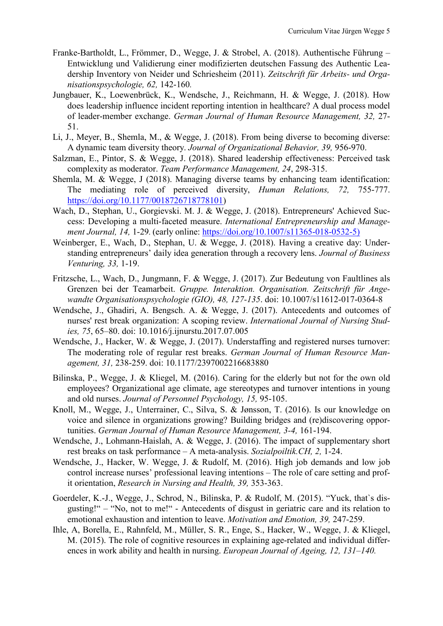- Franke-Bartholdt, L., Frömmer, D., Wegge, J. & Strobel, A. (2018). Authentische Führung Entwicklung und Validierung einer modifizierten deutschen Fassung des Authentic Leadership Inventory von Neider und Schriesheim (2011). *Zeitschrift für Arbeits- und Organisationspsychologie, 62,* 142-160*.*
- Jungbauer, K., Loewenbrück, K., Wendsche, J., Reichmann, H. & Wegge, J. (2018). How does leadership influence incident reporting intention in healthcare? A dual process model of leader-member exchange. *German Journal of Human Resource Management, 32,* 27- 51.
- Li, J., Meyer, B., Shemla, M., & Wegge, J. (2018). From being diverse to becoming diverse: A dynamic team diversity theory. *Journal of Organizational Behavior, 39,* 956-970.
- Salzman, E., Pintor, S. & Wegge, J. (2018). Shared leadership effectiveness: Perceived task complexity as moderator. *Team Performance Management, 24*, 298-315.
- Shemla, M. & Wegge, J (2018). Managing diverse teams by enhancing team identification: The mediating role of perceived diversity, *Human Relations, 72,* 755-777. [https://doi.org/10.1177/0018726718778101\)](https://doi.org/10.1177/0018726718778101)
- Wach, D., Stephan, U., Gorgievski. M. J. & Wegge, J. (2018). Entrepreneurs' Achieved Success: Developing a multi-faceted measure. *International Entrepreneurship and Management Journal, 14,* 1-29*.* (early online: [https://doi.org/10.1007/s11365-018-0532-5\)](https://doi.org/10.1007/s11365-018-0532-5)
- Weinberger, E., Wach, D., Stephan, U. & Wegge, J. (2018). Having a creative day: Understanding entrepreneurs' daily idea generation through a recovery lens. *Journal of Business Venturing, 33,* 1-19.
- Fritzsche, L., Wach, D., Jungmann, F. & Wegge, J. (2017). Zur Bedeutung von Faultlines als Grenzen bei der Teamarbeit. *Gruppe. Interaktion. Organisation. Zeitschrift für Angewandte Organisationspsychologie (GIO), 48, 127-135*. doi: 10.1007/s11612-017-0364-8
- Wendsche, J., Ghadiri, A. Bengsch. A. & Wegge, J. (2017). Antecedents and outcomes of nurses' rest break organization: A scoping review. *International Journal of Nursing Studies, 75*, 65–80. doi: 10.1016/j.ijnurstu.2017.07.005
- Wendsche, J., Hacker, W. & Wegge, J. (2017). Understaffing and registered nurses turnover: The moderating role of regular rest breaks. *German Journal of Human Resource Management, 31,* 238-259. doi: 10.1177/2397002216683880
- Bilinska, P., Wegge, J. & Kliegel, M. (2016). Caring for the elderly but not for the own old employees? Organizational age climate, age stereotypes and turnover intentions in young and old nurses. *Journal of Personnel Psychology, 15,* 95-105.
- Knoll, M., Wegge, J., Unterrainer, C., Silva, S. & Jønsson, T. (2016). Is our knowledge on voice and silence in organizations growing? Building bridges and (re)discovering opportunities. *German Journal of Human Resource Management, 3-4,* 161-194.
- Wendsche, J., Lohmann-Haislah, A. & Wegge, J. (2016). The impact of supplementary short rest breaks on task performance – A meta-analysis. *Sozialpoiltik.CH, 2,* 1-24.
- Wendsche, J., Hacker, W. Wegge, J. & Rudolf, M. (2016). High job demands and low job control increase nurses' professional leaving intentions – The role of care setting and profit orientation, *Research in Nursing and Health, 39,* 353-363.
- Goerdeler, K.-J., Wegge, J., Schrod, N., Bilinska, P. & Rudolf, M. (2015). "Yuck, that`s disgusting!" – "No, not to me!" - Antecedents of disgust in geriatric care and its relation to emotional exhaustion and intention to leave. *Motivation and Emotion, 39,* 247-259.
- Ihle, A, Borella, E., Rahnfeld, M., Müller, S. R., Enge, S., Hacker, W., Wegge, J. & Kliegel, M. (2015). The role of cognitive resources in explaining age-related and individual differences in work ability and health in nursing. *European Journal of Ageing, 12, 131–140.*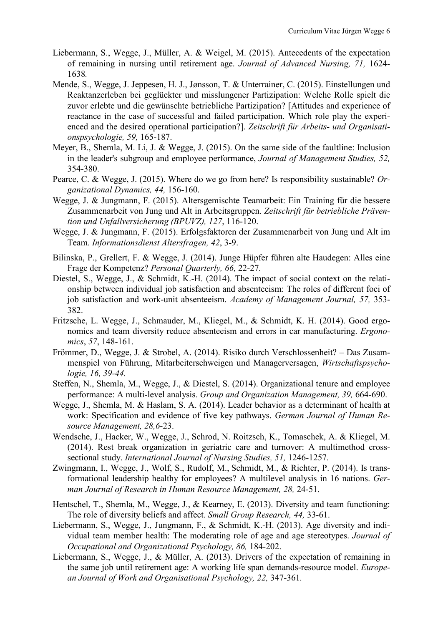- Liebermann, S., Wegge, J., Müller, A. & Weigel, M. (2015). Antecedents of the expectation of remaining in nursing until retirement age. *Journal of Advanced Nursing, 71,* 1624- 1638*.*
- Mende, S., Wegge, J. Jeppesen, H. J., Jønsson, T. & Unterrainer, C. (2015). Einstellungen und Reaktanzerleben bei geglückter und misslungener Partizipation: Welche Rolle spielt die zuvor erlebte und die gewünschte betriebliche Partizipation? [Attitudes and experience of reactance in the case of successful and failed participation. Which role play the experienced and the desired operational participation?]. *Zeitschrift für Arbeits- und Organisationspsychologie, 59,* 165-187.
- Meyer, B., Shemla, M. Li, J. & Wegge, J. (2015). On the same side of the faultline: Inclusion in the leader's subgroup and employee performance, *Journal of Management Studies, 52,*  354-380.
- Pearce, C. & Wegge, J. (2015). Where do we go from here? Is responsibility sustainable? *Organizational Dynamics, 44,* 156-160.
- Wegge, J. & Jungmann, F. (2015). Altersgemischte Teamarbeit: Ein Training für die bessere Zusammenarbeit von Jung und Alt in Arbeitsgruppen. *Zeitschrift für betriebliche Prävention und Unfallversicherung (BPUVZ), 127*, 116-120.
- Wegge, J. & Jungmann, F. (2015). Erfolgsfaktoren der Zusammenarbeit von Jung und Alt im Team. *Informationsdienst Altersfragen, 42*, 3-9.
- Bilinska, P., Grellert, F. & Wegge, J. (2014). Junge Hüpfer führen alte Haudegen: Alles eine Frage der Kompetenz? *Personal Quarterly, 66,* 22-27*.*
- Diestel, S., Wegge, J., & Schmidt, K.-H. (2014). The impact of social context on the relationship between individual job satisfaction and absenteeism: The roles of different foci of job satisfaction and work-unit absenteeism. *Academy of Management Journal, 57,* 353- 382.
- Fritzsche, L. Wegge, J., Schmauder, M., Kliegel, M., & Schmidt, K. H. (2014). Good ergonomics and team diversity reduce absenteeism and errors in car manufacturing. *Ergonomics*, *57*, 148-161.
- Frömmer, D., Wegge, J. & Strobel, A. (2014). Risiko durch Verschlossenheit? Das Zusammenspiel von Führung, Mitarbeiterschweigen und Managerversagen, *Wirtschaftspsychologie, 16, 39-44.*
- Steffen, N., Shemla, M., Wegge, J., & Diestel, S. (2014). Organizational tenure and employee performance: A multi-level analysis. *Group and Organization Management, 39,* 664-690.
- Wegge, J., Shemla, M. & Haslam, S. A. (2014). Leader behavior as a determinant of health at work: Specification and evidence of five key pathways. *German Journal of Human Resource Management, 28,6*-23.
- Wendsche, J., Hacker, W., Wegge, J., Schrod, N. Roitzsch, K., Tomaschek, A. & Kliegel, M. (2014). Rest break organization in geriatric care and turnover: A multimethod crosssectional study. *International Journal of Nursing Studies, 51,* 1246-1257.
- Zwingmann, I., Wegge, J., Wolf, S., Rudolf, M., Schmidt, M., & Richter, P. (2014). Is transformational leadership healthy for employees? A multilevel analysis in 16 nations. *German Journal of Research in Human Resource Management, 28,* 24-51.
- Hentschel, T., Shemla, M., Wegge, J., & Kearney, E. (2013). Diversity and team functioning: The role of diversity beliefs and affect. *Small Group Research, 44,* 33-61.
- Liebermann, S., Wegge, J., Jungmann, F., & Schmidt, K.-H. (2013). Age diversity and individual team member health: The moderating role of age and age stereotypes. *Journal of Occupational and Organizational Psychology, 86,* 184-202.
- Liebermann, S., Wegge, J., & Müller, A. (2013). Drivers of the expectation of remaining in the same job until retirement age: A working life span demands-resource model. *European Journal of Work and Organisational Psychology, 22,* 347-361*.*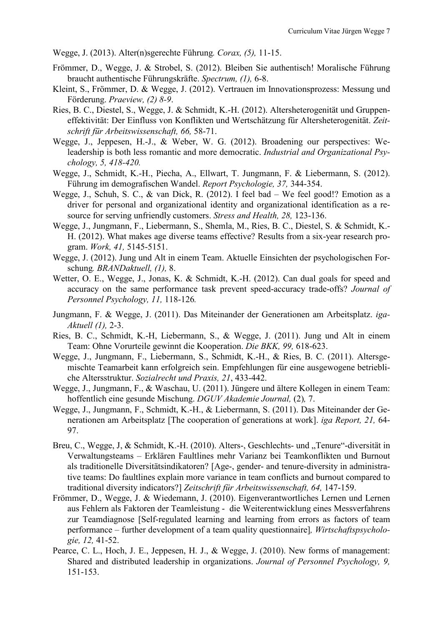Wegge, J. (2013). Alter(n)sgerechte Führung*. Corax, (5),* 11-15.

- Frömmer, D., Wegge, J. & Strobel, S. (2012). Bleiben Sie authentisch! Moralische Führung braucht authentische Führungskräfte. *Spectrum, (1),* 6-8.
- Kleint, S., Frömmer, D. & Wegge, J. (2012). Vertrauen im Innovationsprozess: Messung und Förderung. *Praeview, (2) 8-9*.
- Ries, B. C., Diestel, S., Wegge, J. & Schmidt, K.-H. (2012). Altersheterogenität und Gruppeneffektivität: Der Einfluss von Konflikten und Wertschätzung für Altersheterogenität. *Zeitschrift für Arbeitswissenschaft, 66,* 58-71.
- Wegge, J., Jeppesen, H.-J., & Weber, W. G. (2012). Broadening our perspectives: Weleadership is both less romantic and more democratic. *Industrial and Organizational Psychology, 5, 418-420.*
- Wegge, J., Schmidt, K.-H., Piecha, A., Ellwart, T. Jungmann, F. & Liebermann, S. (2012). Führung im demografischen Wandel. *Report Psychologie, 37,* 344-354.
- Wegge, J., Schuh, S. C., & van Dick, R. (2012). I feel bad We feel good!? Emotion as a driver for personal and organizational identity and organizational identification as a resource for serving unfriendly customers. *Stress and Health, 28,* 123-136.
- Wegge, J., Jungmann, F., Liebermann, S., Shemla, M., Ries, B. C., Diestel, S. & Schmidt, K.- H. (2012). What makes age diverse teams effective? Results from a six-year research program. *Work, 41,* 5145-5151.
- Wegge, J. (2012). Jung und Alt in einem Team. Aktuelle Einsichten der psychologischen Forschung*. BRANDaktuell, (1),* 8.
- Wetter, O. E., Wegge, J., Jonas, K. & Schmidt, K.-H. (2012). Can dual goals for speed and accuracy on the same performance task prevent speed-accuracy trade-offs? *Journal of Personnel Psychology, 11,* 118-126*.*
- Jungmann, F. & Wegge, J. (2011). Das Miteinander der Generationen am Arbeitsplatz. *iga-Aktuell (1),* 2-3.
- Ries, B. C., Schmidt, K.-H, Liebermann, S., & Wegge, J. (2011). Jung und Alt in einem Team: Ohne Vorurteile gewinnt die Kooperation. *Die BKK, 99,* 618-623.
- Wegge, J., Jungmann, F., Liebermann, S., Schmidt, K.-H., & Ries, B. C. (2011). Altersgemischte Teamarbeit kann erfolgreich sein. Empfehlungen für eine ausgewogene betriebliche Altersstruktur. *Sozialrecht und Praxis, 21*, 433-442.
- Wegge, J., Jungmann, F., & Waschau, U. (2011). Jüngere und ältere Kollegen in einem Team: hoffentlich eine gesunde Mischung. *DGUV Akademie Journal,* (2)*,* 7.
- Wegge, J., Jungmann, F., Schmidt, K.-H., & Liebermann, S. (2011). Das Miteinander der Generationen am Arbeitsplatz [The cooperation of generations at work]. *iga Report, 21,* 64- 97.
- Breu, C., Wegge, J, & Schmidt, K.-H. (2010). Alters-, Geschlechts- und "Tenure"-diversität in Verwaltungsteams – Erklären Faultlines mehr Varianz bei Teamkonflikten und Burnout als traditionelle Diversitätsindikatoren? [Age-, gender- and tenure-diversity in administrative teams: Do faultlines explain more variance in team conflicts and burnout compared to traditional diversity indicators?] *Zeitschrift für Arbeitswissenschaft, 64,* 147-159.
- Frömmer, D., Wegge, J. & Wiedemann, J. (2010). Eigenverantwortliches Lernen und Lernen aus Fehlern als Faktoren der Teamleistung - die Weiterentwicklung eines Messverfahrens zur Teamdiagnose [Self-regulated learning and learning from errors as factors of team performance – further development of a team quality questionnaire]*, Wirtschaftspsychologie, 12,* 41-52.
- Pearce, C. L., Hoch, J. E., Jeppesen, H. J., & Wegge, J. (2010). New forms of management: Shared and distributed leadership in organizations. *Journal of Personnel Psychology, 9,* 151-153.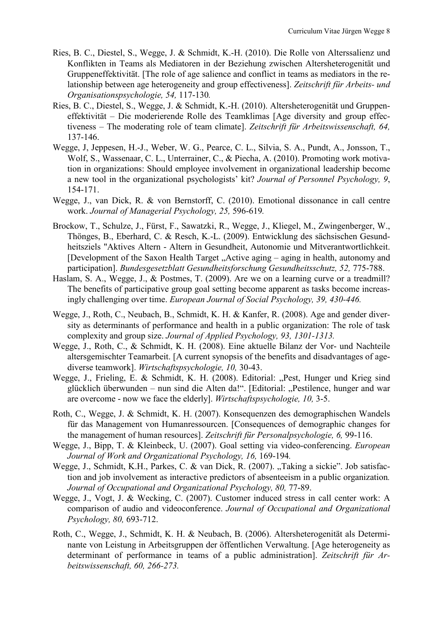- Ries, B. C., Diestel, S., Wegge, J. & Schmidt, K.-H. (2010). Die Rolle von Alterssalienz und Konflikten in Teams als Mediatoren in der Beziehung zwischen Altersheterogenität und Gruppeneffektivität. [The role of age salience and conflict in teams as mediators in the relationship between age heterogeneity and group effectiveness]. *Zeitschrift für Arbeits- und Organisationspsychologie, 54,* 117-130*.*
- Ries, B. C., Diestel, S., Wegge, J. & Schmidt, K.-H. (2010). Altersheterogenität und Gruppeneffektivität – Die moderierende Rolle des Teamklimas [Age diversity and group effectiveness – The moderating role of team climate]. *Zeitschrift für Arbeitswissenschaft, 64,*  137-146.
- Wegge, J, Jeppesen, H.-J., Weber, W. G., Pearce, C. L., Silvia, S. A., Pundt, A., Jonsson, T., Wolf, S., Wassenaar, C. L., Unterrainer, C., & Piecha, A. (2010). Promoting work motivation in organizations: Should employee involvement in organizational leadership become a new tool in the organizational psychologists' kit? *Journal of Personnel Psychology, 9*, 154-171.
- Wegge, J., van Dick, R. & von Bernstorff, C. (2010). Emotional dissonance in call centre work. *Journal of Managerial Psychology, 25,* 596-619*.*
- Brockow, T., Schulze, J., Fürst, F., Sawatzki, R., Wegge, J., Kliegel, M., Zwingenberger, W., Thönges, B., Eberhard, C. & Resch, K.-L. (2009). Entwicklung des sächsischen Gesundheitsziels "Aktives Altern - Altern in Gesundheit, Autonomie und Mitverantwortlichkeit. [Development of the Saxon Health Target "Active aging – aging in health, autonomy and participation]. *Bundesgesetzblatt Gesundheitsforschung Gesundheitsschutz, 52,* 775-788.
- Haslam, S. A., Wegge, J., & Postmes, T. (2009). Are we on a learning curve or a treadmill? The benefits of participative group goal setting become apparent as tasks become increasingly challenging over time. *European Journal of Social Psychology, 39, 430-446.*
- Wegge, J., Roth, C., Neubach, B., Schmidt, K. H. & Kanfer, R. (2008). Age and gender diversity as determinants of performance and health in a public organization: The role of task complexity and group size. *Journal of Applied Psychology, 93, 1301-1313.*
- Wegge, J., Roth, C., & Schmidt, K. H. (2008). Eine aktuelle Bilanz der Vor- und Nachteile altersgemischter Teamarbeit. [A current synopsis of the benefits and disadvantages of agediverse teamwork]. *Wirtschaftspsychologie, 10,* 30-43.
- Wegge, J., Frieling, E. & Schmidt, K. H. (2008). Editorial: "Pest, Hunger und Krieg sind glücklich überwunden – nun sind die Alten da!". [Editorial: "Pestilence, hunger and war are overcome - now we face the elderly]. *Wirtschaftspsychologie, 10,* 3-5.
- Roth, C., Wegge, J. & Schmidt, K. H. (2007). Konsequenzen des demographischen Wandels für das Management von Humanressourcen. [Consequences of demographic changes for the management of human resources]. *Zeitschrift für Personalpsychologie, 6,* 99-116.
- Wegge, J., Bipp, T. & Kleinbeck, U. (2007). Goal setting via video-conferencing. *European Journal of Work and Organizational Psychology, 16, 169-194.*
- Wegge, J., Schmidt, K.H., Parkes, C. & van Dick, R. (2007). "Taking a sickie". Job satisfaction and job involvement as interactive predictors of absenteeism in a public organization*.*  Journal of Occupational and Organizational Psychology, 80, 77-89.
- Wegge, J., Vogt, J. & Wecking, C. (2007). Customer induced stress in call center work: A comparison of audio and videoconference. *Journal of Occupational and Organizational Psychology, 80,* 693-712.
- Roth, C., Wegge, J., Schmidt, K. H. & Neubach, B. (2006). Altersheterogenität als Determinante von Leistung in Arbeitsgruppen der öffentlichen Verwaltung. [Age heterogeneity as determinant of performance in teams of a public administration]. *Zeitschrift für Arbeitswissenschaft, 60, 266-273.*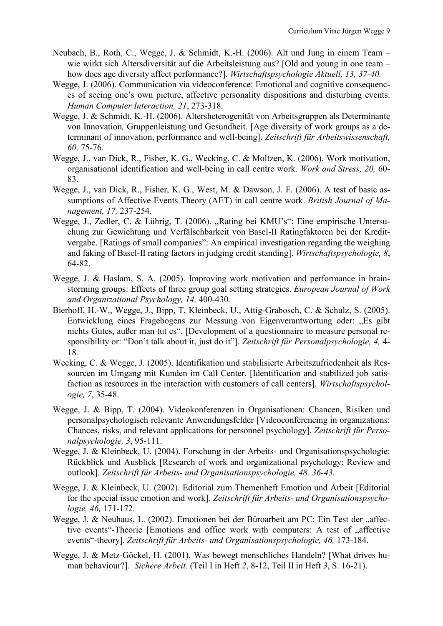- Neubach, B., Roth, C., Wegge, J. & Schmidt, K.-H. (2006). Alt und Jung in einem Team wie wirkt sich Altersdiversität auf die Arbeitsleistung aus? [Old and young in one team – how does age diversity affect performance?]. *Wirtschaftspsychologie Aktuell, 13, 37-40.*
- Wegge, J. (2006). Communication via videoconference: Emotional and cognitive consequences of seeing one's own picture, affective personality dispositions and disturbing events. *Human Computer Interaction, 21*, 273-318.
- Wegge, J. & Schmidt, K.-H. (2006). Altersheterogenität von Arbeitsgruppen als Determinante von Innovation*,* Gruppenleistung und Gesundheit. [Age diversity of work groups as a determinant of innovation, performance and well-being]. *Zeitschrift für Arbeitswissenschaft, 60,* 75-76*.*
- Wegge, J., van Dick, R., Fisher, K. G., Wecking, C. & Moltzen, K. (2006). Work motivation, organisational identification and well-being in call centre work. *Work and Stress, 20,* 60- 83.
- Wegge, J., van Dick, R., Fisher, K. G., West, M. & Dawson, J. F. (2006). A test of basic assumptions of Affective Events Theory (AET) in call centre work. *British Journal of Management, 17,* 237-254.
- Wegge, J., Zedler, C. & Lührig, T. (2006). "Rating bei KMU's": Eine empirische Untersuchung zur Gewichtung und Verfälschbarkeit von Basel-II Ratingfaktoren bei der Kreditvergabe. [Ratings of small companies": An empirical investigation regarding the weighing and faking of Basel-II rating factors in judging credit standing]. *Wirtschaftspsychologie, 8*, 64-82.
- Wegge, J. & Haslam, S. A. (2005). Improving work motivation and performance in brainstorming groups: Effects of three group goal setting strategies. *European Journal of Work and Organizational Psychology, 14,* 400-430*.*
- Bierhoff, H.-W., Wegge, J., Bipp, T, Kleinbeck, U., Attig-Grabosch, C. & Schulz, S. (2005). Entwicklung eines Fragebogens zur Messung von Eigenverantwortung oder: "Es gibt nichts Gutes, außer man tut es". [Development of a questionnaire to measure personal responsibility or: "Don't talk about it, just do it"]. *Zeitschrift für Personalpsychologie, 4,* 4- 18*.*
- Wecking, C. & Wegge, J. (2005). Identifikation und stabilisierte Arbeitszufriedenheit als Ressourcen im Umgang mit Kunden im Call Center. [Identification and stabilized job satisfaction as resources in the interaction with customers of call centers]. *Wirtschaftspsychologie, 7*, 35-48.
- Wegge, J. & Bipp, T. (2004). Videokonferenzen in Organisationen: Chancen, Risiken und personalpsychologisch relevante Anwendungsfelder [Videoconferencing in organizations: Chances, risks, and relevant applications for personnel psychology]. *Zeitschrift für Personalpsychologie, 3*, 95-111.
- Wegge, J. & Kleinbeck, U. (2004). Forschung in der Arbeits- und Organisationspsychologie: Rückblick und Ausblick [Research of work and organizational psychology: Review and outlook]. *Zeitschrift für Arbeits- und Organisationspsychologie, 48. 36-43.*
- Wegge, J. & Kleinbeck, U. (2002). Editorial zum Themenheft Emotion und Arbeit [Editorial for the special issue emotion and work]. *Zeitschrift für Arbeits- und Organisationspsychologie, 46,* 171-172.
- Wegge, J. & Neuhaus, L. (2002). Emotionen bei der Büroarbeit am PC: Ein Test der "affective events"-Theorie [Emotions and office work with computers: A test of "affective events"-theory]. *Zeitschrift für Arbeits- und Organisationspsychologie, 46,* 173-184.
- Wegge, J. & Metz-Göckel, H. (2001). Was bewegt menschliches Handeln? [What drives human behaviour?]. *Sichere Arbeit.* (Teil I in Heft *2*, 8-12, Teil II in Heft *3*, S. 16-21).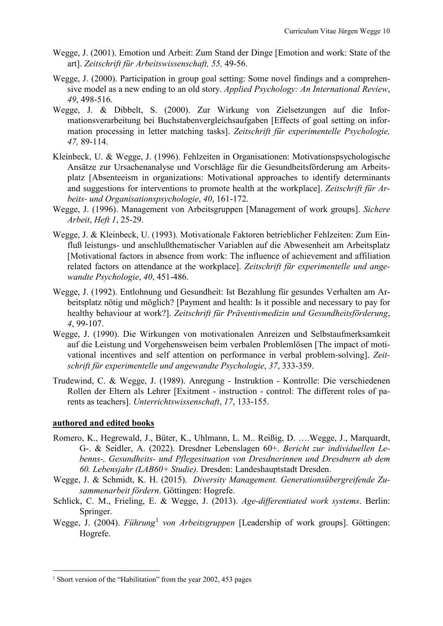- Wegge, J. (2001). Emotion und Arbeit: Zum Stand der Dinge [Emotion and work: State of the art]. *Zeitschrift für Arbeitswissenschaft, 55,* 49-56.
- Wegge, J. (2000). Participation in group goal setting: Some novel findings and a comprehensive model as a new ending to an old story. *Applied Psychology: An International Review*, *49*, 498-516.
- Wegge, J. & Dibbelt, S. (2000). Zur Wirkung von Zielsetzungen auf die Informationsverarbeitung bei Buchstabenvergleichsaufgaben [Effects of goal setting on information processing in letter matching tasks]. *Zeitschrift für experimentelle Psychologie, 47,* 89-114.
- Kleinbeck, U. & Wegge, J. (1996). Fehlzeiten in Organisationen: Motivationspsychologische Ansätze zur Ursachenanalyse und Vorschläge für die Gesundheitsförderung am Arbeitsplatz [Absenteeism in organizations: Motivational approaches to identify determinants and suggestions for interventions to promote health at the workplace]. *Zeitschrift für Arbeits- und Organisationspsychologie*, *40*, 161-172.
- Wegge, J. (1996). Management von Arbeitsgruppen [Management of work groups]. *Sichere Arbeit*, *Heft 1*, 25-29.
- Wegge, J. & Kleinbeck, U. (1993). Motivationale Faktoren betrieblicher Fehlzeiten: Zum Einfluß leistungs- und anschlußthematischer Variablen auf die Abwesenheit am Arbeitsplatz [Motivational factors in absence from work: The influence of achievement and affiliation related factors on attendance at the workplace]. *Zeitschrift für experimentelle und angewandte Psychologie*, *40*, 451-486.
- Wegge, J. (1992). Entlohnung und Gesundheit: Ist Bezahlung für gesundes Verhalten am Arbeitsplatz nötig und möglich? [Payment and health: Is it possible and necessary to pay for healthy behaviour at work?]. *Zeitschrift für Präventivmedizin und Gesundheitsförderung*, *4*, 99-107.
- Wegge, J. (1990). Die Wirkungen von motivationalen Anreizen und Selbstaufmerksamkeit auf die Leistung und Vorgehensweisen beim verbalen Problemlösen [The impact of motivational incentives and self attention on performance in verbal problem-solving]. *Zeitschrift für experimentelle und angewandte Psychologie*, *37*, 333-359.
- Trudewind, C. & Wegge, J. (1989). Anregung Instruktion Kontrolle: Die verschiedenen Rollen der Eltern als Lehrer [Exitment - instruction - control: The different roles of parents as teachers]. *Unterrichtswissenschaft*, *17*, 133-155.

## **authored and edited books**

- Romero, K., Hegrewald, J., Büter, K., Uhlmann, L. M.. Reißig, D. ….Wegge, J., Marquardt, G-. & Seidler, A. (2022). Dresdner Lebenslagen 60+. *Bericht zur individuellen Lebenns-, Gesundheits- und Pflegesituation von Dresdnerinnen und Dresdnern ab dem 60. Lebensjahr (LAB60+ Studie)*. Dresden: Landeshauptstadt Dresden.
- Wegge, J. & Schmidt, K. H. (2015). *Diversity Management. Generationsübergreifende Zusammenarbeit fördern*. Göttingen: Hogrefe.
- Schlick, C. M., Frieling, E. & Wegge, J. (2013). *Age-differentiated work systems*. Berlin: Springer.
- Wegge, J. (2004). *Führung<sup>[1](#page-9-0)</sup> von Arbeitsgruppen* [Leadership of work groups]. Göttingen: Hogrefe.

<span id="page-9-0"></span><sup>&</sup>lt;sup>1</sup> Short version of the "Habilitation" from the year 2002, 453 pages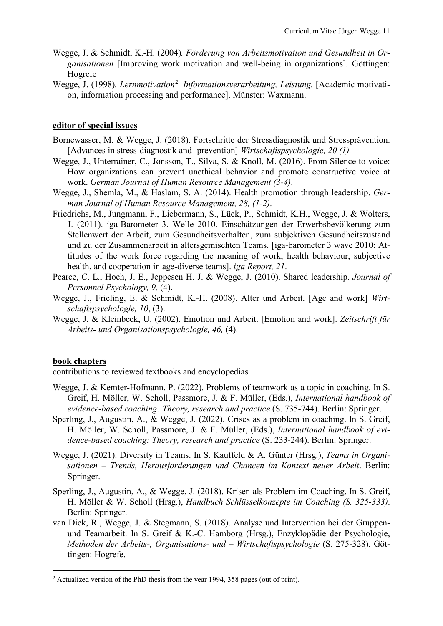- Wegge, J. & Schmidt, K.-H. (2004)*. Förderung von Arbeitsmotivation und Gesundheit in Organisationen* [Improving work motivation and well-being in organizations]*.* Göttingen: Hogrefe
- Wegge, J. (1998). Lernmotivation<sup>[2](#page-10-0)</sup>, Informationsverarbeitung, Leistung. [Academic motivation, information processing and performance]. Münster: Waxmann.

## **editor of special issues**

- Bornewasser, M. & Wegge, J. (2018). Fortschritte der Stressdiagnostik und Stressprävention. [Advances in stress-diagnostik and -prevention] *Wirtschaftspsychologie, 20 (1).*
- Wegge, J., Unterrainer, C., Jønsson, T., Silva, S. & Knoll, M. (2016). From Silence to voice: How organizations can prevent unethical behavior and promote constructive voice at work. *German Journal of Human Resource Management (3-4)*.
- Wegge, J., Shemla, M., & Haslam, S. A. (2014). Health promotion through leadership. *German Journal of Human Resource Management, 28, (1-2)*.
- Friedrichs, M., Jungmann, F., Liebermann, S., Lück, P., Schmidt, K.H., Wegge, J. & Wolters, J. (2011). iga-Barometer 3. Welle 2010. Einschätzungen der Erwerbsbevölkerung zum Stellenwert der Arbeit, zum Gesundheitsverhalten, zum subjektiven Gesundheitszustand und zu der Zusammenarbeit in altersgemischten Teams. [iga-barometer 3 wave 2010: Attitudes of the work force regarding the meaning of work, health behaviour, subjective health, and cooperation in age-diverse teams]. *iga Report, 21*.
- Pearce, C. L., Hoch, J. E., Jeppesen H. J. & Wegge, J. (2010). Shared leadership. *Journal of Personnel Psychology, 9,* (4).
- Wegge, J., Frieling, E. & Schmidt, K.-H. (2008). Alter und Arbeit. [Age and work] *Wirtschaftspsychologie, 10*, (3).
- Wegge, J. & Kleinbeck, U. (2002). Emotion und Arbeit. [Emotion and work]. *Zeitschrift für Arbeits- und Organisationspsychologie, 46,* (4).

#### **book chapters**

contributions to reviewed textbooks and encyclopedias

- Wegge, J. & Kemter-Hofmann, P. (2022). Problems of teamwork as a topic in coaching. In S. Greif, H. Möller, W. Scholl, Passmore, J. & F. Müller, (Eds.), *International handbook of evidence-based coaching: Theory, research and practice* (S. 735-744). Berlin: Springer.
- Sperling, J., Augustin, A., & Wegge, J. (2022). Crises as a problem in coaching. In S. Greif, H. Möller, W. Scholl, Passmore, J. & F. Müller, (Eds.), *International handbook of evidence-based coaching: Theory, research and practice* (S. 233-244). Berlin: Springer.
- Wegge, J. (2021). Diversity in Teams. In S. Kauffeld & A. Günter (Hrsg.), *Teams in Organisationen – Trends, Herausforderungen und Chancen im Kontext neuer Arbeit*. Berlin: Springer.
- Sperling, J., Augustin, A., & Wegge, J. (2018). Krisen als Problem im Coaching. In S. Greif, H. Möller & W. Scholl (Hrsg.), *Handbuch Schlüsselkonzepte im Coaching (S. 325-333)*. Berlin: Springer.
- van Dick, R., Wegge, J. & Stegmann, S. (2018). Analyse und Intervention bei der Gruppenund Teamarbeit. In S. Greif & K.-C. Hamborg (Hrsg.), Enzyklopädie der Psychologie, *Methoden der Arbeits-, Organisations- und – Wirtschaftspsychologie* (S. 275-328). Göttingen: Hogrefe.

<span id="page-10-0"></span> <sup>2</sup> Actualized version of the PhD thesis from the year 1994, 358 pages (out of print)*.*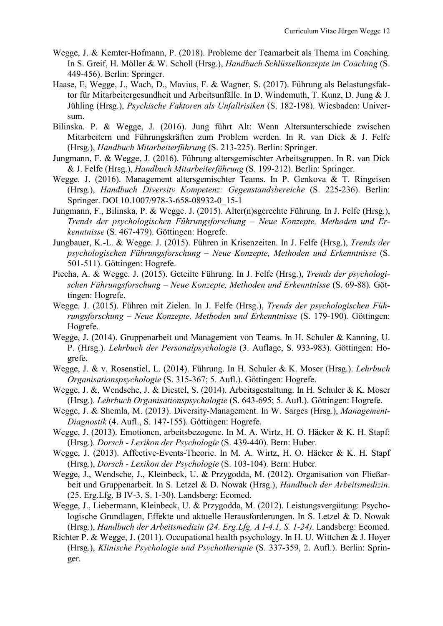- Wegge, J. & Kemter-Hofmann, P. (2018). Probleme der Teamarbeit als Thema im Coaching. In S. Greif, H. Möller & W. Scholl (Hrsg.), *Handbuch Schlüsselkonzepte im Coaching* (S. 449-456). Berlin: Springer.
- Haase, E, Wegge, J., Wach, D., Mavius, F. & Wagner, S. (2017). Führung als Belastungsfaktor für Mitarbeitergesundheit und Arbeitsunfälle. In D. Windemuth, T. Kunz, D. Jung & J. Jühling (Hrsg.), *Psychische Faktoren als Unfallrisiken* (S. 182-198). Wiesbaden: Universum.
- Bilinska. P. & Wegge, J. (2016). Jung führt Alt: Wenn Altersunterschiede zwischen Mitarbeitern und Führungskräften zum Problem werden. In R. van Dick & J. Felfe (Hrsg.), *Handbuch Mitarbeiterführung* (S. 213-225). Berlin: Springer.
- Jungmann, F. & Wegge, J. (2016). Führung altersgemischter Arbeitsgruppen. In R. van Dick & J. Felfe (Hrsg.), *Handbuch Mitarbeiterführung* (S. 199-212). Berlin: Springer.
- Wegge. J. (2016). Management altersgemischter Teams. In P. Genkova & T. Ringeisen (Hrsg.), *Handbuch Diversity Kompetenz: Gegenstandsbereiche* (S. 225-236). Berlin: Springer. DOI 10.1007/978-3-658-08932-0\_15-1
- Jungmann, F., Bilinska, P. & Wegge. J. (2015). Alter(n)sgerechte Führung. In J. Felfe (Hrsg.), *Trends der psychologischen Führungsforschung – Neue Konzepte, Methoden und Erkenntnisse* (S. 467-479). Göttingen: Hogrefe.
- Jungbauer, K.-L. & Wegge. J. (2015). Führen in Krisenzeiten. In J. Felfe (Hrsg.), *Trends der psychologischen Führungsforschung – Neue Konzepte, Methoden und Erkenntnisse* (S. 501-511). Göttingen: Hogrefe.
- Piecha, A. & Wegge. J. (2015). Geteilte Führung. In J. Felfe (Hrsg.), *Trends der psychologischen Führungsforschung – Neue Konzepte, Methoden und Erkenntnisse* (S. 69-88)*.* Göttingen: Hogrefe.
- Wegge. J. (2015). Führen mit Zielen. In J. Felfe (Hrsg.), *Trends der psychologischen Führungsforschung – Neue Konzepte, Methoden und Erkenntnisse* (S. 179-190)*.* Göttingen: Hogrefe.
- Wegge, J. (2014). Gruppenarbeit und Management von Teams. In H. Schuler & Kanning, U. P. (Hrsg.). *Lehrbuch der Personalpsychologie* (3. Auflage, S. 933-983). Göttingen: Hogrefe.
- Wegge, J. & v. Rosenstiel, L. (2014). Führung. In H. Schuler & K. Moser (Hrsg.). *Lehrbuch Organisationspsychologie* (S. 315-367; 5. Aufl.). Göttingen: Hogrefe.
- Wegge, J. &, Wendsche, J. & Diestel, S. (2014). Arbeitsgestaltung. In H. Schuler & K. Moser (Hrsg.). *Lehrbuch Organisationspsychologie* (S. 643-695; 5. Aufl.). Göttingen: Hogrefe.
- Wegge, J. & Shemla, M. (2013). Diversity-Management. In W. Sarges (Hrsg.), *Management-Diagnostik* (4. Aufl., S. 147-155). Göttingen: Hogrefe.
- Wegge, J. (2013). Emotionen, arbeitsbezogene. In M. A. Wirtz, H. O. Häcker & K. H. Stapf: (Hrsg.). *Dorsch - Lexikon der Psychologie* (S. 439-440). Bern: Huber.
- Wegge, J. (2013). Affective-Events-Theorie. In M. A. Wirtz, H. O. Häcker & K. H. Stapf (Hrsg.), *Dorsch - Lexikon der Psychologie* (S. 103-104). Bern: Huber.
- Wegge, J., Wendsche, J., Kleinbeck, U. & Przygodda, M. (2012). Organisation von Fließarbeit und Gruppenarbeit. In S. Letzel & D. Nowak (Hrsg.), *Handbuch der Arbeitsmedizin*. (25. Erg.Lfg, B IV-3, S. 1-30). Landsberg: Ecomed.
- Wegge, J., Liebermann, Kleinbeck, U. & Przygodda, M. (2012). Leistungsvergütung: Psychologische Grundlagen, Effekte und aktuelle Herausforderungen. In S. Letzel & D. Nowak (Hrsg.), *Handbuch der Arbeitsmedizin (24. Erg.Lfg, A I-4.1, S. 1-24)*. Landsberg: Ecomed.
- Richter P. & Wegge, J. (2011). Occupational health psychology. In H. U. Wittchen & J. Hoyer (Hrsg.), *Klinische Psychologie und Psychotherapie* (S. 337-359, 2. Aufl.). Berlin: Springer.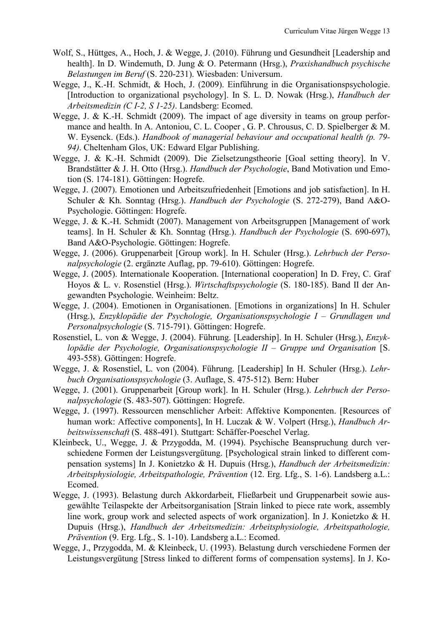- Wolf, S., Hüttges, A., Hoch, J. & Wegge, J. (2010). Führung und Gesundheit [Leadership and health]. In D. Windemuth, D. Jung & O. Petermann (Hrsg.), *Praxishandbuch psychische Belastungen im Beruf* (S. 220-231). Wiesbaden: Universum.
- Wegge, J., K.-H. Schmidt, & Hoch, J. (2009). Einführung in die Organisationspsychologie. [Introduction to organizational psychology]. In S. L. D. Nowak (Hrsg.), *Handbuch der Arbeitsmedizin (C I-2, S 1-25)*. Landsberg: Ecomed.
- Wegge, J. & K.-H. Schmidt (2009). The impact of age diversity in teams on group performance and health. In A. Antoniou, C. L. Cooper , G. P. Chrousus, C. D. Spielberger & M. W. Eysenck. (Eds.). *Handbook of managerial behaviour and occupational health (p. 79- 94)*. Cheltenham Glos, UK: Edward Elgar Publishing.
- Wegge, J. & K.-H. Schmidt (2009). Die Zielsetzungstheorie [Goal setting theory]. In V. Brandstätter & J. H. Otto (Hrsg.). *Handbuch der Psychologie*, Band Motivation und Emotion (S. 174-181). Göttingen: Hogrefe.
- Wegge, J. (2007). Emotionen und Arbeitszufriedenheit [Emotions and job satisfaction]. In H. Schuler & Kh. Sonntag (Hrsg.). *Handbuch der Psychologie* (S. 272-279), Band A&O-Psychologie. Göttingen: Hogrefe.
- Wegge, J. & K.-H. Schmidt (2007). Management von Arbeitsgruppen [Management of work teams]. In H. Schuler & Kh. Sonntag (Hrsg.). *Handbuch der Psychologie* (S. 690-697), Band A&O-Psychologie. Göttingen: Hogrefe.
- Wegge, J. (2006). Gruppenarbeit [Group work]. In H. Schuler (Hrsg.). *Lehrbuch der Personalpsychologie* (2. ergänzte Auflag, pp. 79-610). Göttingen: Hogrefe.
- Wegge, J. (2005). Internationale Kooperation. [International cooperation] In D. Frey, C. Graf Hoyos & L. v. Rosenstiel (Hrsg.). *Wirtschaftspsychologie* (S. 180-185). Band II der Angewandten Psychologie. Weinheim: Beltz.
- Wegge, J. (2004). Emotionen in Organisationen. [Emotions in organizations] In H. Schuler (Hrsg.), *Enzyklopädie der Psychologie, Organisationspsychologie I – Grundlagen und Personalpsychologie* (S. 715-791). Göttingen: Hogrefe.
- Rosenstiel, L. von & Wegge, J. (2004). Führung. [Leadership]. In H. Schuler (Hrsg.), *Enzyklopädie der Psychologie, Organisationspsychologie II – Gruppe und Organisation* [S. 493-558). Göttingen: Hogrefe.
- Wegge, J. & Rosenstiel, L. von (2004). Führung. [Leadership] In H. Schuler (Hrsg.). *Lehrbuch Organisationspsychologie* (3. Auflage, S. 475-512)*.* Bern: Huber
- Wegge, J. (2001). Gruppenarbeit [Group work]. In H. Schuler (Hrsg.). *Lehrbuch der Personalpsychologie* (S. 483-507). Göttingen: Hogrefe.
- Wegge, J. (1997). Ressourcen menschlicher Arbeit: Affektive Komponenten. [Resources of human work: Affective components], In H. Luczak & W. Volpert (Hrsg.), *Handbuch Arbeitswissenschaft* (S. 488-491). Stuttgart: Schäffer-Poeschel Verlag.
- Kleinbeck, U., Wegge, J. & Przygodda, M. (1994). Psychische Beanspruchung durch verschiedene Formen der Leistungsvergütung. [Psychological strain linked to different compensation systems] In J. Konietzko & H. Dupuis (Hrsg.), *Handbuch der Arbeitsmedizin: Arbeitsphysiologie, Arbeitspathologie, Prävention* (12. Erg. Lfg., S. 1-6). Landsberg a.L.: Ecomed.
- Wegge, J. (1993). Belastung durch Akkordarbeit, Fließarbeit und Gruppenarbeit sowie ausgewählte Teilaspekte der Arbeitsorganisation [Strain linked to piece rate work, assembly line work, group work and selected aspects of work organization]. In J. Konietzko & H. Dupuis (Hrsg.), *Handbuch der Arbeitsmedizin: Arbeitsphysiologie, Arbeitspathologie, Prävention* (9. Erg. Lfg., S. 1-10). Landsberg a.L.: Ecomed.
- Wegge, J., Przygodda, M. & Kleinbeck, U. (1993). Belastung durch verschiedene Formen der Leistungsvergütung [Stress linked to different forms of compensation systems]. In J. Ko-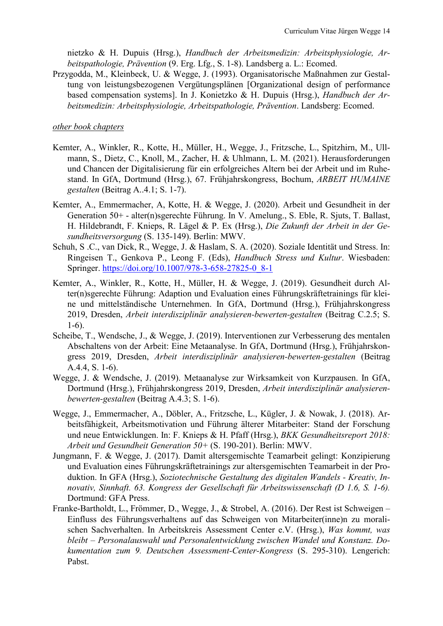nietzko & H. Dupuis (Hrsg.), *Handbuch der Arbeitsmedizin: Arbeitsphysiologie, Arbeitspathologie, Prävention* (9. Erg. Lfg., S. 1-8). Landsberg a. L.: Ecomed.

Przygodda, M., Kleinbeck, U. & Wegge, J. (1993). Organisatorische Maßnahmen zur Gestaltung von leistungsbezogenen Vergütungsplänen [Organizational design of performance based compensation systems]. In J. Konietzko & H. Dupuis (Hrsg.), *Handbuch der Arbeitsmedizin: Arbeitsphysiologie, Arbeitspathologie, Prävention*. Landsberg: Ecomed.

## *other book chapters*

- Kemter, A., Winkler, R., Kotte, H., Müller, H., Wegge, J., Fritzsche, L., Spitzhirn, M., Ullmann, S., Dietz, C., Knoll, M., Zacher, H. & Uhlmann, L. M. (2021). Herausforderungen und Chancen der Digitalisierung für ein erfolgreiches Altern bei der Arbeit und im Ruhestand. In GfA, Dortmund (Hrsg.), 67. Frühjahrskongress, Bochum, *ARBEIT HUMAINE gestalten* (Beitrag A..4.1; S. 1-7).
- Kemter, A., Emmermacher, A, Kotte, H. & Wegge, J. (2020). Arbeit und Gesundheit in der Generation 50+ - alter(n)sgerechte Führung. In V. Amelung., S. Eble, R. Sjuts, T. Ballast, H. Hildebrandt, F. Knieps, R. Lägel & P. Ex (Hrsg.), *Die Zukunft der Arbeit in der Gesundheitsversorgung* (S. 135-149). Berlin: MWV.
- Schuh, S .C., van Dick, R., Wegge, J. & Haslam, S. A. (2020). Soziale Identität und Stress. In: Ringeisen T., Genkova P., Leong F. (Eds), *Handbuch Stress und Kultur*. Wiesbaden: Springer. [https://doi.org/10.1007/978-3-658-27825-0\\_8-1](https://doi.org/10.1007/978-3-658-27825-0_8-1)
- Kemter, A., Winkler, R., Kotte, H., Müller, H. & Wegge, J. (2019). Gesundheit durch Alter(n)sgerechte Führung: Adaption und Evaluation eines Führungskräftetrainings für kleine und mittelständische Unternehmen. In GfA, Dortmund (Hrsg.), Frühjahrskongress 2019, Dresden, *Arbeit interdisziplinär analysieren-bewerten-gestalten* (Beitrag C.2.5; S. 1-6).
- Scheibe, T., Wendsche, J., & Wegge, J. (2019). Interventionen zur Verbesserung des mentalen Abschaltens von der Arbeit: Eine Metaanalyse. In GfA, Dortmund (Hrsg.), Frühjahrskongress 2019, Dresden, *Arbeit interdisziplinär analysieren-bewerten-gestalten* (Beitrag A.4.4, S. 1-6).
- Wegge, J. & Wendsche, J. (2019). Metaanalyse zur Wirksamkeit von Kurzpausen. In GfA, Dortmund (Hrsg.), Frühjahrskongress 2019, Dresden, *Arbeit interdisziplinär analysierenbewerten-gestalten* (Beitrag A.4.3; S. 1-6).
- Wegge, J., Emmermacher, A., Döbler, A., Fritzsche, L., Kügler, J. & Nowak, J. (2018). Arbeitsfähigkeit, Arbeitsmotivation und Führung älterer Mitarbeiter: Stand der Forschung und neue Entwicklungen. In: F. Knieps & H. Pfaff (Hrsg.), *BKK Gesundheitsreport 2018: Arbeit und Gesundheit Generation 50+* (S. 190-201). Berlin: MWV.
- Jungmann, F. & Wegge, J. (2017). Damit altersgemischte Teamarbeit gelingt: Konzipierung und Evaluation eines Führungskräftetrainings zur altersgemischten Teamarbeit in der Produktion. In GFA (Hrsg.), *Soziotechnische Gestaltung des digitalen Wandels - Kreativ, Innovativ, Sinnhaft. 63. Kongress der Gesellschaft für Arbeitswissenschaft (D 1.6, S. 1-6).* Dortmund: GFA Press.
- Franke-Bartholdt, L., Frömmer, D., Wegge, J., & Strobel, A. (2016). Der Rest ist Schweigen Einfluss des Führungsverhaltens auf das Schweigen von Mitarbeiter(inne)n zu moralischen Sachverhalten. In Arbeitskreis Assessment Center e.V. (Hrsg.), *Was kommt, was bleibt – Personalauswahl und Personalentwicklung zwischen Wandel und Konstanz. Dokumentation zum 9. Deutschen Assessment-Center-Kongress* (S. 295-310). Lengerich: Pabst.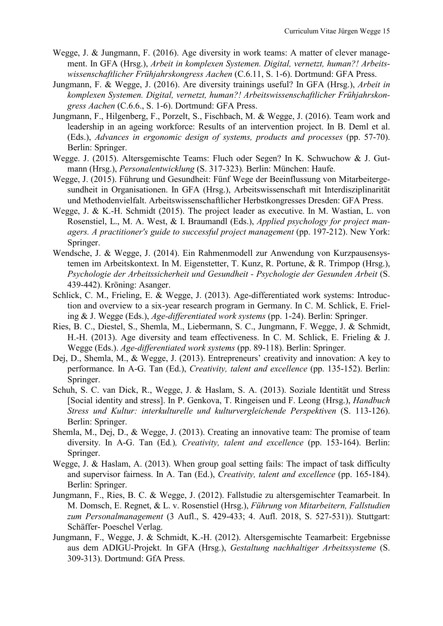- Wegge, J. & Jungmann, F. (2016). Age diversity in work teams: A matter of clever management. In GFA (Hrsg.), *Arbeit in komplexen Systemen. Digital, vernetzt, human?! Arbeitswissenschaftlicher Frühjahrskongress Aachen* (C.6.11, S. 1-6). Dortmund: GFA Press.
- Jungmann, F. & Wegge, J. (2016). Are diversity trainings useful? In GFA (Hrsg.), *Arbeit in komplexen Systemen. Digital, vernetzt, human?! Arbeitswissenschaftlicher Frühjahrskongress Aachen* (C.6.6., S. 1-6). Dortmund: GFA Press.
- Jungmann, F., Hilgenberg, F., Porzelt, S., Fischbach, M. & Wegge, J. (2016). Team work and leadership in an ageing workforce: Results of an intervention project. In B. Deml et al. (Eds.), *Advances in ergonomic design of systems, products and processes* (pp. 57-70). Berlin: Springer.
- Wegge. J. (2015). Altersgemischte Teams: Fluch oder Segen? In K. Schwuchow & J. Gutmann (Hrsg.), *Personalentwicklung* (S. 317-323)*.* Berlin: München: Haufe.
- Wegge, J. (2015). Führung und Gesundheit: Fünf Wege der Beeinflussung von Mitarbeitergesundheit in Organisationen. In GFA (Hrsg.), Arbeitswissenschaft mit Interdisziplinarität und Methodenvielfalt. Arbeitswissenschaftlicher Herbstkongresses Dresden: GFA Press.
- Wegge, J. & K.-H. Schmidt (2015). The project leader as executive. In M. Wastian, L. von Rosenstiel, L., M. A. West, & I. Braumandl (Eds.), *Applied psychology for project managers. A practitioner's guide to successful project management* (pp. 197-212). New York: Springer.
- Wendsche, J. & Wegge, J. (2014). Ein Rahmenmodell zur Anwendung von Kurzpausensystemen im Arbeitskontext. In M. Eigenstetter, T. Kunz, R. Portune, & R. Trimpop (Hrsg.), *Psychologie der Arbeitssicherheit und Gesundheit - Psychologie der Gesunden Arbeit* (S. 439-442). Kröning: Asanger.
- Schlick, C. M., Frieling, E. & Wegge, J. (2013). Age-differentiated work systems: Introduction and overview to a six-year research program in Germany. In C. M. Schlick, E. Frieling & J. Wegge (Eds.), *Age-differentiated work systems* (pp. 1-24). Berlin: Springer.
- Ries, B. C., Diestel, S., Shemla, M., Liebermann, S. C., Jungmann, F. Wegge, J. & Schmidt, H.-H. (2013). Age diversity and team effectiveness. In C. M. Schlick, E. Frieling & J. Wegge (Eds.). *Age-differentiated work systems* (pp. 89-118). Berlin: Springer.
- Dej, D., Shemla, M., & Wegge, J. (2013). Entrepreneurs' creativity and innovation: A key to performance. In A-G. Tan (Ed.), *Creativity, talent and excellence* (pp. 135-152). Berlin: Springer.
- Schuh, S. C. van Dick, R., Wegge, J. & Haslam, S. A. (2013). Soziale Identität und Stress [Social identity and stress]. In P. Genkova, T. Ringeisen und F. Leong (Hrsg.), *Handbuch Stress und Kultur: interkulturelle und kulturvergleichende Perspektiven* (S. 113-126). Berlin: Springer.
- Shemla, M., Dej, D., & Wegge, J. (2013). Creating an innovative team: The promise of team diversity. In A-G. Tan (Ed*.*)*, Creativity, talent and excellence* (pp. 153-164). Berlin: Springer.
- Wegge, J. & Haslam, A. (2013). When group goal setting fails: The impact of task difficulty and supervisor fairness. In A. Tan (Ed.), *Creativity, talent and excellence* (pp. 165-184). Berlin: Springer.
- Jungmann, F., Ries, B. C. & Wegge, J. (2012). Fallstudie zu altersgemischter Teamarbeit. In M. Domsch, E. Regnet, & L. v. Rosenstiel (Hrsg.), *Führung von Mitarbeitern, Fallstudien zum Personalmanagement* (3 Aufl., S. 429-433; 4. Aufl. 2018, S. 527-531)). Stuttgart: Schäffer- Poeschel Verlag.
- Jungmann, F., Wegge, J. & Schmidt, K.-H. (2012). Altersgemischte Teamarbeit: Ergebnisse aus dem ADIGU-Projekt. In GFA (Hrsg.), *Gestaltung nachhaltiger Arbeitssysteme* (S. 309-313). Dortmund: GfA Press.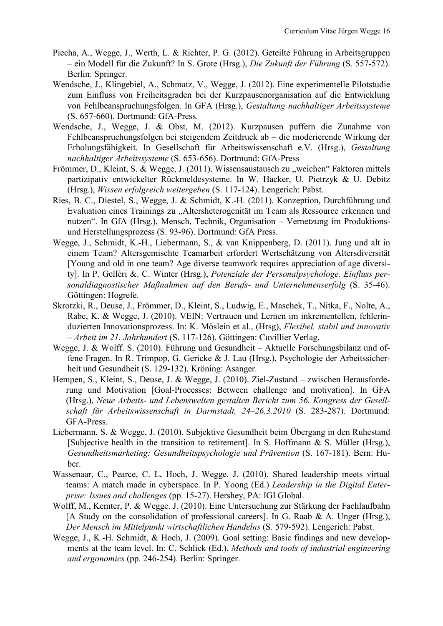- Piecha, A., Wegge, J., Werth, L. & Richter, P. G. (2012). Geteilte Führung in Arbeitsgruppen – ein Modell für die Zukunft? In S. Grote (Hrsg.), *Die Zukunft der Führung* (S. 557-572). Berlin: Springer.
- Wendsche, J., Klingebiel, A., Schmatz, V., Wegge, J. (2012). Eine experimentelle Pilotstudie zum Einfluss von Freiheitsgraden bei der Kurzpausenorganisation auf die Entwicklung von Fehlbeanspruchungsfolgen. In GFA (Hrsg.), *Gestaltung nachhaltiger Arbeitssysteme*  (S. 657-660). Dortmund: GfA-Press.
- Wendsche, J., Wegge, J. & Obst, M. (2012). Kurzpausen puffern die Zunahme von Fehlbeanspruchungsfolgen bei steigendem Zeitdruck ab – die moderierende Wirkung der Erholungsfähigkeit. In Gesellschaft für Arbeitswissenschaft e.V. (Hrsg.), *Gestaltung nachhaltiger Arbeitssysteme* (S. 653-656). Dortmund: GfA-Press
- Frömmer, D., Kleint, S. & Wegge, J. (2011). Wissensaustausch zu "weichen" Faktoren mittels partizipativ entwickelter Rückmeldesysteme. In W. Hacker, U. Pietrzyk & U. Debitz (Hrsg.), *Wissen erfolgreich weitergeben* (S. 117-124). Lengerich: Pabst.
- Ries, B. C., Diestel, S., Wegge, J. & Schmidt, K.-H. (2011). Konzeption, Durchführung und Evaluation eines Trainings zu "Altersheterogenität im Team als Ressource erkennen und nutzen". In GfA (Hrsg.), Mensch, Technik, Organisation – Vernetzung im Produktionsund Herstellungsprozess (S. 93-96). Dortmund: GfA Press.
- Wegge, J., Schmidt, K.-H., Liebermann, S., & van Knippenberg, D. (2011). Jung und alt in einem Team? Altersgemischte Teamarbeit erfordert Wertschätzung von Altersdiversität [Young and old in one team? Age diverse teamwork requires appreciation of age diversity]. In P. Gellèri &. C. Winter (Hrsg.), *Potenziale der Personalpsychologe. Einfluss personaldiagnostischer Maßnahmen auf den Berufs- und Unternehmenserfolg* (S. 35-46). Göttingen: Hogrefe.
- Skrotzki, R., Deuse, J., Frömmer, D., Kleint, S., Ludwig, E., Maschek, T., Nitka, F., Nolte, A., Rabe, K. & Wegge, J. (2010). VEIN: Vertrauen und Lernen im inkrementellen, fehlerinduzierten Innovationsprozess. In: K. Möslein et al., (Hrsg), *Flexibel, stabil und innovativ – Arbeit im 21. Jahrhundert* (S. 117-126). Göttingen: Cuvillier Verlag.
- Wegge, J. & Wolff. S. (2010). Führung und Gesundheit Aktuelle Forschungsbilanz und offene Fragen. In R. Trimpop, G. Gericke & J. Lau (Hrsg.), Psychologie der Arbeitssicherheit und Gesundheit (S. 129-132). Kröning: Asanger.
- Hempen, S., Kleint, S., Deuse, J. & Wegge, J. (2010). Ziel-Zustand zwischen Herausforderung und Motivation [Goal-Processes: Between challenge and motivation]. In GFA (Hrsg.), *Neue Arbeits- und Lebenswelten gestalten Bericht zum 56. Kongress der Gesellschaft für Arbeitswissenschaft in Darmstadt, 24–26.3.2010* (S. 283-287). Dortmund: GFA-Press.
- Liebermann, S. & Wegge, J. (2010). Subjektive Gesundheit beim Übergang in den Ruhestand [Subjective health in the transition to retirement]. In S. Hoffmann & S. Müller (Hrsg.), *Gesundheitsmarketing: Gesundheitspsychologie und Prävention* (S. 167-181). Bern: Huber.
- Wassenaar, C., Pearce, C. L**.** Hoch, J. Wegge, J. (2010). Shared leadership meets virtual teams: A match made in cyberspace. In P. Yoong (Ed.) *Leadership in the Digital Enterprise: Issues and challenges* (pp. 15-27). Hershey, PA: IGI Global.
- Wolff, M., Kemter, P. & Wegge. J. (2010). Eine Untersuchung zur Stärkung der Fachlaufbahn [A Study on the consolidation of professional careers]. In G. Raab & A. Unger (Hrsg.), *Der Mensch im Mittelpunkt wirtschaftlichen Handelns* (S. 579-592). Lengerich: Pabst.
- Wegge, J., K.-H. Schmidt, & Hoch, J. (2009). Goal setting: Basic findings and new developments at the team level. In: C. Schlick (Ed.), *Methods and tools of industrial engineering and ergonomics* (pp. 246-254). Berlin: Springer.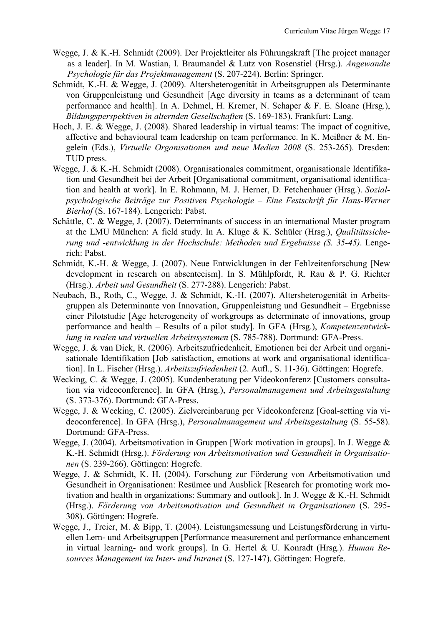- Wegge, J. & K.-H. Schmidt (2009). Der Projektleiter als Führungskraft [The project manager as a leader]. In M. Wastian, I. Braumandel & Lutz von Rosenstiel (Hrsg.). *Angewandte Psychologie für das Projektmanagement* (S. 207-224). Berlin: Springer.
- Schmidt, K.-H. & Wegge, J. (2009). Altersheterogenität in Arbeitsgruppen als Determinante von Gruppenleistung und Gesundheit [Age diversity in teams as a determinant of team performance and health]. In A. Dehmel, H. Kremer, N. Schaper & F. E. Sloane (Hrsg.), *Bildungsperspektiven in alternden Gesellschaften* (S. 169-183). Frankfurt: Lang.
- Hoch, J. E. & Wegge, J. (2008). Shared leadership in virtual teams: The impact of cognitive, affective and behavioural team leadership on team performance. In K. Meißner & M. Engelein (Eds.), *Virtuelle Organisationen und neue Medien 2008* (S. 253-265). Dresden: TUD press.
- Wegge, J. & K.-H. Schmidt (2008). Organisationales commitment, organisationale Identifikation und Gesundheit bei der Arbeit [Organisational commitment, organisational identification and health at work]. In E. Rohmann, M. J. Herner, D. Fetchenhauer (Hrsg.). *Sozialpsychologische Beiträge zur Positiven Psychologie – Eine Festschrift für Hans-Werner Bierhof* (S. 167-184). Lengerich: Pabst.
- Schättle, C. & Wegge, J. (2007). Determinants of success in an international Master program at the LMU München: A field study. In A. Kluge & K. Schüler (Hrsg.), *Qualitätssicherung und -entwicklung in der Hochschule: Methoden und Ergebnisse (S. 35-45)*. Lengerich: Pabst.
- Schmidt, K.-H. & Wegge, J. (2007). Neue Entwicklungen in der Fehlzeitenforschung [New development in research on absenteeism]. In S. Mühlpfordt, R. Rau & P. G. Richter (Hrsg.). *Arbeit und Gesundheit* (S. 277-288). Lengerich: Pabst.
- Neubach, B., Roth, C., Wegge, J. & Schmidt, K.-H. (2007). Altersheterogenität in Arbeitsgruppen als Determinante von Innovation, Gruppenleistung und Gesundheit – Ergebnisse einer Pilotstudie [Age heterogeneity of workgroups as determinate of innovations, group performance and health – Results of a pilot study]. In GFA (Hrsg.), *Kompetenzentwicklung in realen und virtuellen Arbeitssystemen* (S. 785-788). Dortmund: GFA-Press.
- Wegge, J. & van Dick, R. (2006). Arbeitszufriedenheit, Emotionen bei der Arbeit und organisationale Identifikation [Job satisfaction, emotions at work and organisational identification]. In L. Fischer (Hrsg.). *Arbeitszufriedenheit* (2. Aufl., S. 11-36). Göttingen: Hogrefe.
- Wecking, C. & Wegge, J. (2005). Kundenberatung per Videokonferenz [Customers consultation via videoconference]. In GFA (Hrsg.), *Personalmanagement und Arbeitsgestaltung* (S. 373-376). Dortmund: GFA-Press.
- Wegge, J. & Wecking, C. (2005). Zielvereinbarung per Videokonferenz [Goal-setting via videoconference]. In GFA (Hrsg.), *Personalmanagement und Arbeitsgestaltung* (S. 55-58). Dortmund: GFA-Press.
- Wegge, J. (2004). Arbeitsmotivation in Gruppen [Work motivation in groups]. In J. Wegge & K.-H. Schmidt (Hrsg.). *Förderung von Arbeitsmotivation und Gesundheit in Organisationen* (S. 239-266). Göttingen: Hogrefe.
- Wegge, J. & Schmidt, K. H. (2004). Forschung zur Förderung von Arbeitsmotivation und Gesundheit in Organisationen: Resümee und Ausblick [Research for promoting work motivation and health in organizations: Summary and outlook]. In J. Wegge & K.-H. Schmidt (Hrsg.). *Förderung von Arbeitsmotivation und Gesundheit in Organisationen* (S. 295- 308). Göttingen: Hogrefe.
- Wegge, J., Treier, M. & Bipp, T. (2004). Leistungsmessung und Leistungsförderung in virtuellen Lern- und Arbeitsgruppen [Performance measurement and performance enhancement in virtual learning- and work groups]. In G. Hertel & U. Konradt (Hrsg.). *Human Resources Management im Inter- und Intranet* (S. 127-147). Göttingen: Hogrefe.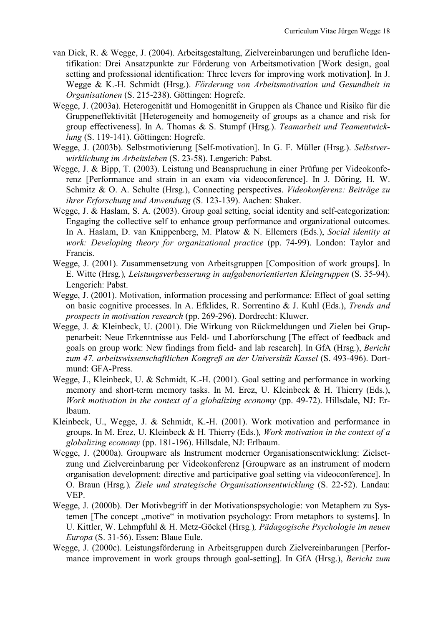- van Dick, R. & Wegge, J. (2004). Arbeitsgestaltung, Zielvereinbarungen und berufliche Identifikation: Drei Ansatzpunkte zur Förderung von Arbeitsmotivation [Work design, goal setting and professional identification: Three levers for improving work motivation]. In J. Wegge & K.-H. Schmidt (Hrsg.). *Förderung von Arbeitsmotivation und Gesundheit in Organisationen* (S. 215-238). Göttingen: Hogrefe.
- Wegge, J. (2003a). Heterogenität und Homogenität in Gruppen als Chance und Risiko für die Gruppeneffektivität [Heterogeneity and homogeneity of groups as a chance and risk for group effectiveness]. In A. Thomas & S. Stumpf (Hrsg.). *Teamarbeit und Teamentwicklung* (S. 119-141). Göttingen: Hogrefe.
- Wegge, J. (2003b). Selbstmotivierung [Self-motivation]. In G. F. Müller (Hrsg.). *Selbstverwirklichung im Arbeitsleben* (S. 23-58). Lengerich: Pabst.
- Wegge, J. & Bipp, T. (2003). Leistung und Beanspruchung in einer Prüfung per Videokonferenz [Performance and strain in an exam via videoconference]. In J. Döring, H. W. Schmitz & O. A. Schulte (Hrsg.), Connecting perspectives. *Videokonferenz: Beiträge zu ihrer Erforschung und Anwendung* (S. 123-139). Aachen: Shaker.
- Wegge, J. & Haslam, S. A. (2003). Group goal setting, social identity and self-categorization: Engaging the collective self to enhance group performance and organizational outcomes. In A. Haslam, D. van Knippenberg, M. Platow & N. Ellemers (Eds.), *Social identity at work: Developing theory for organizational practice* (pp. 74-99). London: Taylor and Francis.
- Wegge, J. (2001). Zusammensetzung von Arbeitsgruppen [Composition of work groups]. In E. Witte (Hrsg*.*)*, Leistungsverbesserung in aufgabenorientierten Kleingruppen* (S. 35-94). Lengerich: Pabst.
- Wegge, J. (2001). Motivation, information processing and performance: Effect of goal setting on basic cognitive processes. In A. Efklides, R. Sorrentino & J. Kuhl (Eds.), *Trends and prospects in motivation research* (pp. 269-296). Dordrecht: Kluwer.
- Wegge, J. & Kleinbeck, U. (2001). Die Wirkung von Rückmeldungen und Zielen bei Gruppenarbeit: Neue Erkenntnisse aus Feld- und Laborforschung [The effect of feedback and goals on group work: New findings from field- and lab research]. In GfA (Hrsg.), *Bericht zum 47. arbeitswissenschaftlichen Kongreß an der Universität Kassel* (S. 493-496). Dortmund: GFA-Press.
- Wegge, J., Kleinbeck, U. & Schmidt, K.-H. (2001). Goal setting and performance in working memory and short-term memory tasks. In M. Erez, U. Kleinbeck & H. Thierry (Eds.), *Work motivation in the context of a globalizing economy* (pp. 49-72). Hillsdale, NJ: Erlbaum.
- Kleinbeck, U., Wegge, J. & Schmidt, K.-H. (2001). Work motivation and performance in groups. In M. Erez, U. Kleinbeck & H. Thierry (Eds.)*, Work motivation in the context of a globalizing economy* (pp. 181-196). Hillsdale, NJ: Erlbaum.
- Wegge, J. (2000a). Groupware als Instrument moderner Organisationsentwicklung: Zielsetzung und Zielvereinbarung per Videokonferenz [Groupware as an instrument of modern organisation development: directive and participative goal setting via videoconference]. In O. Braun (Hrsg*.*)*, Ziele und strategische Organisationsentwicklung* (S. 22-52). Landau: VEP.
- Wegge, J. (2000b). Der Motivbegriff in der Motivationspsychologie: von Metaphern zu Systemen [The concept "motive" in motivation psychology: From metaphors to systems]. In U. Kittler, W. Lehmpfuhl & H. Metz-Göckel (Hrsg*.*)*, Pädagogische Psychologie im neuen Europa* (S. 31-56). Essen: Blaue Eule.
- Wegge, J. (2000c). Leistungsförderung in Arbeitsgruppen durch Zielvereinbarungen [Performance improvement in work groups through goal-setting]. In GfA (Hrsg.), *Bericht zum*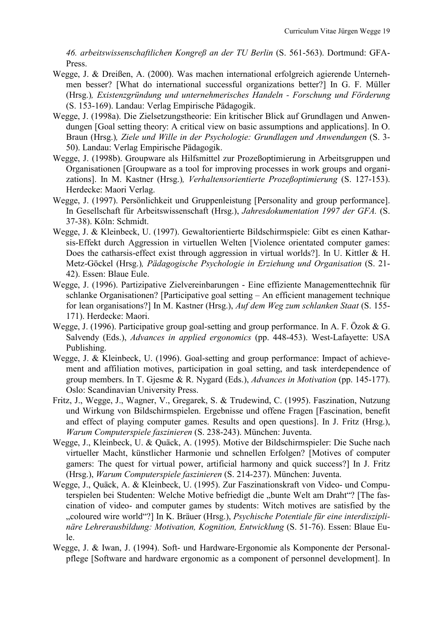*46. arbeitswissenschaftlichen Kongreß an der TU Berlin* (S. 561-563). Dortmund: GFA-Press.

- Wegge, J. & Dreißen, A. (2000). Was machen international erfolgreich agierende Unternehmen besser? [What do international successful organizations better?] In G. F. Müller (Hrsg.)*, Existenzgründung und unternehmerisches Handeln - Forschung und Förderung*  (S. 153-169). Landau: Verlag Empirische Pädagogik.
- Wegge, J. (1998a). Die Zielsetzungstheorie: Ein kritischer Blick auf Grundlagen und Anwendungen [Goal setting theory: A critical view on basic assumptions and applications]. In O. Braun (Hrsg.)*, Ziele und Wille in der Psychologie: Grundlagen und Anwendungen* (S. 3- 50). Landau: Verlag Empirische Pädagogik.
- Wegge, J. (1998b). Groupware als Hilfsmittel zur Prozeßoptimierung in Arbeitsgruppen und Organisationen [Groupware as a tool for improving processes in work groups and organizations]. In M. Kastner (Hrsg.)*, Verhaltensorientierte Prozeßoptimierung* (S. 127-153). Herdecke: Maori Verlag.
- Wegge, J. (1997). Persönlichkeit und Gruppenleistung [Personality and group performance]. In Gesellschaft für Arbeitswissenschaft (Hrsg.), *Jahresdokumentation 1997 der GFA.* (S. 37-38). Köln: Schmidt.
- Wegge, J. & Kleinbeck, U. (1997). Gewaltorientierte Bildschirmspiele: Gibt es einen Katharsis-Effekt durch Aggression in virtuellen Welten [Violence orientated computer games: Does the catharsis-effect exist through aggression in virtual worlds?]. In U. Kittler & H. Metz-Göckel (Hrsg.)*, Pädagogische Psychologie in Erziehung und Organisation* (S. 21- 42). Essen: Blaue Eule.
- Wegge, J. (1996). Partizipative Zielvereinbarungen Eine effiziente Managementtechnik für schlanke Organisationen? [Participative goal setting – An efficient management technique for lean organisations?] In M. Kastner (Hrsg.), *Auf dem Weg zum schlanken Staat* (S. 155- 171). Herdecke: Maori.
- Wegge, J. (1996). Participative group goal-setting and group performance. In A. F. Özok & G. Salvendy (Eds.), *Advances in applied ergonomics* (pp. 448-453). West-Lafayette: USA Publishing.
- Wegge, J. & Kleinbeck, U. (1996). Goal-setting and group performance: Impact of achievement and affiliation motives, participation in goal setting, and task interdependence of group members. In T. Gjesme & R. Nygard (Eds.), *Advances in Motivation* (pp. 145-177). Oslo: Scandinavian University Press.
- Fritz, J., Wegge, J., Wagner, V., Gregarek, S. & Trudewind, C. (1995). Faszination, Nutzung und Wirkung von Bildschirmspielen. Ergebnisse und offene Fragen [Fascination, benefit and effect of playing computer games. Results and open questions]. In J. Fritz (Hrsg.), *Warum Computerspiele faszinieren* (S. 238-243). München: Juventa.
- Wegge, J., Kleinbeck, U. & Quäck, A. (1995). Motive der Bildschirmspieler: Die Suche nach virtueller Macht, künstlicher Harmonie und schnellen Erfolgen? [Motives of computer gamers: The quest for virtual power, artificial harmony and quick success?] In J. Fritz (Hrsg.), *Warum Computerspiele faszinieren* (S. 214-237). München: Juventa.
- Wegge, J., Quäck, A. & Kleinbeck, U. (1995). Zur Faszinationskraft von Video- und Computerspielen bei Studenten: Welche Motive befriedigt die "bunte Welt am Draht"? [The fascination of video- and computer games by students: Witch motives are satisfied by the "coloured wire world"?] In K. Bräuer (Hrsg.), *Psychische Potentiale für eine interdisziplinäre Lehrerausbildung: Motivation, Kognition, Entwicklung* (S. 51-76). Essen: Blaue Eule.
- Wegge, J. & Iwan, J. (1994). Soft- und Hardware-Ergonomie als Komponente der Personalpflege [Software and hardware ergonomic as a component of personnel development]. In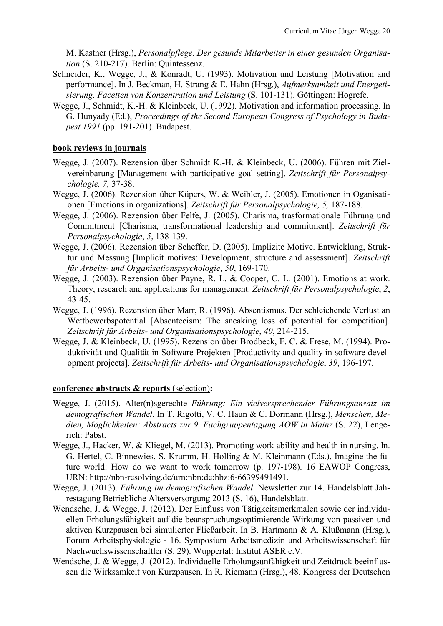M. Kastner (Hrsg.), *Personalpflege. Der gesunde Mitarbeiter in einer gesunden Organisation* (S. 210-217). Berlin: Quintessenz.

- Schneider, K., Wegge, J., & Konradt, U. (1993). Motivation und Leistung [Motivation and performance]. In J. Beckman, H. Strang & E. Hahn (Hrsg.), *Aufmerksamkeit und Energetisierung. Facetten von Konzentration und Leistung* (S. 101-131). Göttingen: Hogrefe.
- Wegge, J., Schmidt, K.-H. & Kleinbeck, U. (1992). Motivation and information processing. In G. Hunyady (Ed.), *Proceedings of the Second European Congress of Psychology in Budapest 1991* (pp. 191-201). Budapest.

## **book reviews in journals**

- Wegge, J. (2007). Rezension über Schmidt K.-H. & Kleinbeck, U. (2006). Führen mit Zielvereinbarung [Management with participative goal setting]. *Zeitschrift für Personalpsychologie, 7,* 37-38.
- Wegge, J. (2006). Rezension über Küpers, W. & Weibler, J. (2005). Emotionen in Oganisationen [Emotions in organizations]. *Zeitschrift für Personalpsychologie, 5,* 187-188.
- Wegge, J. (2006). Rezension über Felfe, J. (2005). Charisma, trasformationale Führung und Commitment [Charisma, transformational leadership and commitment]. *Zeitschrift für Personalpsychologie*, *5*, 138-139.
- Wegge, J. (2006). Rezension über Scheffer, D. (2005). Implizite Motive. Entwicklung, Struktur und Messung [Implicit motives: Development, structure and assessment]. *Zeitschrift für Arbeits- und Organisationspsychologie*, *50*, 169-170.
- Wegge, J. (2003). Rezension über Payne, R. L. & Cooper, C. L. (2001). Emotions at work. Theory, research and applications for management. *Zeitschrift für Personalpsychologie*, *2*, 43-45.
- Wegge, J. (1996). Rezension über Marr, R. (1996). Absentismus. Der schleichende Verlust an Wettbewerbspotential [Absenteeism: The sneaking loss of potential for competition]. *Zeitschrift für Arbeits- und Organisationspsychologie*, *40*, 214-215.
- Wegge, J. & Kleinbeck, U. (1995). Rezension über Brodbeck, F. C. & Frese, M. (1994). Produktivität und Qualität in Software-Projekten [Productivity and quality in software development projects]. *Zeitschrift für Arbeits- und Organisationspsychologie*, *39*, 196-197.

## **conference abstracts & reports** (selection)**:**

- Wegge, J. (2015). Alter(n)sgerechte *Führung: Ein vielversprechender Führungsansatz im demografischen Wandel*. In T. Rigotti, V. C. Haun & C. Dormann (Hrsg.), *Menschen, Medien, Möglichkeiten: Abstracts zur 9. Fachgruppentagung AOW in Mainz* (S. 22), Lengerich: Pabst.
- Wegge, J., Hacker, W. & Kliegel, M. (2013). Promoting work ability and health in nursing. In. G. Hertel, C. Binnewies, S. Krumm, H. Holling & M. Kleinmann (Eds.), Imagine the future world: How do we want to work tomorrow (p. 197-198). 16 EAWOP Congress, URN: http://nbn-resolving.de/urn:nbn:de:hbz:6-66399491491.
- Wegge, J. (2013). *Führung im demografischen Wandel*. Newsletter zur 14. Handelsblatt Jahrestagung Betriebliche Altersversorgung 2013 (S. 16), Handelsblatt.
- Wendsche, J. & Wegge, J. (2012). Der Einfluss von Tätigkeitsmerkmalen sowie der individuellen Erholungsfähigkeit auf die beanspruchungsoptimierende Wirkung von passiven und aktiven Kurzpausen bei simulierter Fließarbeit. In B. Hartmann & A. Klußmann (Hrsg.), Forum Arbeitsphysiologie - 16. Symposium Arbeitsmedizin und Arbeitswissenschaft für Nachwuchswissenschaftler (S. 29). Wuppertal: Institut ASER e.V.
- Wendsche, J. & Wegge, J. (2012). Individuelle Erholungsunfähigkeit und Zeitdruck beeinflussen die Wirksamkeit von Kurzpausen. In R. Riemann (Hrsg.), 48. Kongress der Deutschen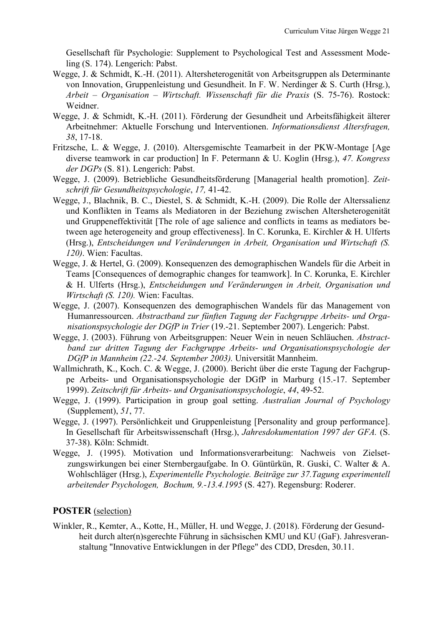Gesellschaft für Psychologie: Supplement to Psychological Test and Assessment Modeling (S. 174). Lengerich: Pabst.

- Wegge, J. & Schmidt, K.-H. (2011). Altersheterogenität von Arbeitsgruppen als Determinante von Innovation, Gruppenleistung und Gesundheit. In F. W. Nerdinger & S. Curth (Hrsg.), *Arbeit – Organisation – Wirtschaft. Wissenschaft für die Praxis* (S. 75-76). Rostock: Weidner.
- Wegge, J. & Schmidt, K.-H. (2011). Förderung der Gesundheit und Arbeitsfähigkeit älterer Arbeitnehmer: Aktuelle Forschung und Interventionen. *Informationsdienst Altersfragen, 38*, 17-18.
- Fritzsche, L. & Wegge, J. (2010). Altersgemischte Teamarbeit in der PKW-Montage [Age diverse teamwork in car production] In F. Petermann & U. Koglin (Hrsg.), *47. Kongress der DGPs* (S. 81). Lengerich: Pabst.
- Wegge, J. (2009). Betriebliche Gesundheitsförderung [Managerial health promotion]. *Zeitschrift für Gesundheitspsychologie*, *17,* 41-42.
- Wegge, J., Blachnik, B. C., Diestel, S. & Schmidt, K.-H. (2009). Die Rolle der Alterssalienz und Konflikten in Teams als Mediatoren in der Beziehung zwischen Altersheterogenität und Gruppeneffektivität [The role of age salience and conflicts in teams as mediators between age heterogeneity and group effectiveness]. In C. Korunka, E. Kirchler & H. Ulferts (Hrsg.), *Entscheidungen und Veränderungen in Arbeit, Organisation und Wirtschaft (S. 120)*. Wien: Facultas.
- Wegge, J. & Hertel, G. (2009). Konsequenzen des demographischen Wandels für die Arbeit in Teams [Consequences of demographic changes for teamwork]. In C. Korunka, E. Kirchler & H. Ulferts (Hrsg.), *Entscheidungen und Veränderungen in Arbeit, Organisation und Wirtschaft (S. 120).* Wien: Facultas.
- Wegge, J. (2007). Konsequenzen des demographischen Wandels für das Management von Humanressourcen. *Abstractband zur fünften Tagung der Fachgruppe Arbeits- und Organisationspsychologie der DGfP in Trier* (19.-21. September 2007). Lengerich: Pabst.
- Wegge, J. (2003). Führung von Arbeitsgruppen: Neuer Wein in neuen Schläuchen. *Abstractband zur dritten Tagung der Fachgruppe Arbeits- und Organisationspsychologie der DGfP in Mannheim (22.-24. September 2003).* Universität Mannheim.
- Wallmichrath, K., Koch. C. & Wegge, J. (2000). Bericht über die erste Tagung der Fachgruppe Arbeits- und Organisationspsychologie der DGfP in Marburg (15.-17. September 1999). *Zeitschrift für Arbeits- und Organisationspsychologie*, *44*, 49-52.
- Wegge, J. (1999). Participation in group goal setting. *Australian Journal of Psychology* (Supplement), *51*, 77.
- Wegge, J. (1997). Persönlichkeit und Gruppenleistung [Personality and group performance]. In Gesellschaft für Arbeitswissenschaft (Hrsg.), *Jahresdokumentation 1997 der GFA.* (S. 37-38). Köln: Schmidt.
- Wegge, J. (1995). Motivation und Informationsverarbeitung: Nachweis von Zielsetzungswirkungen bei einer Sternbergaufgabe. In O. Güntürkün, R. Guski, C. Walter & A. Wohlschläger (Hrsg.), *Experimentelle Psychologie. Beiträge zur 37.Tagung experimentell arbeitender Psychologen, Bochum, 9.-13.4.1995* (S. 427). Regensburg: Roderer.

## **POSTER** (selection)

Winkler, R., Kemter, A., Kotte, H., Müller, H. und Wegge, J. (2018). Förderung der Gesundheit durch alter(n)sgerechte Führung in sächsischen KMU und KU (GaF). Jahresveranstaltung "Innovative Entwicklungen in der Pflege" des CDD, Dresden, 30.11.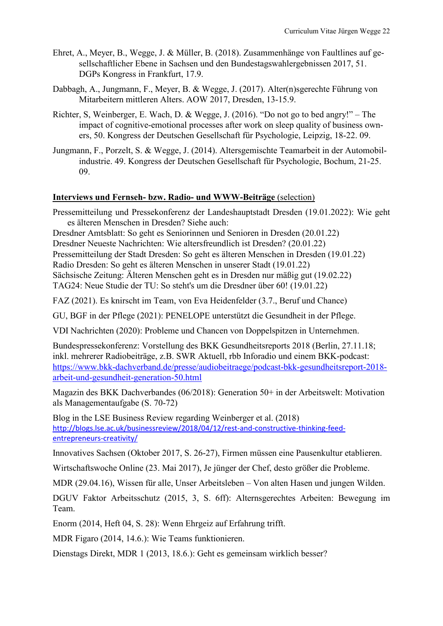- Ehret, A., Meyer, B., Wegge, J. & Müller, B. (2018). Zusammenhänge von Faultlines auf gesellschaftlicher Ebene in Sachsen und den Bundestagswahlergebnissen 2017, 51. DGPs Kongress in Frankfurt, 17.9.
- Dabbagh, A., Jungmann, F., Meyer, B. & Wegge, J. (2017). Alter(n)sgerechte Führung von Mitarbeitern mittleren Alters. AOW 2017, Dresden, 13-15.9.
- Richter, S, Weinberger, E. Wach, D. & Wegge, J. (2016). "Do not go to bed angry!" The impact of cognitive-emotional processes after work on sleep quality of business owners, 50. Kongress der Deutschen Gesellschaft für Psychologie, Leipzig, 18-22. 09.
- Jungmann, F., Porzelt, S. & Wegge, J. (2014). Altersgemischte Teamarbeit in der Automobilindustrie. 49. Kongress der Deutschen Gesellschaft für Psychologie, Bochum, 21-25. 09.

## **Interviews und Fernseh- bzw. Radio- und WWW-Beiträge** (selection)

Pressemitteilung und Pressekonferenz der Landeshauptstadt Dresden (19.01.2022): Wie geht es älteren Menschen in Dresden? Siehe auch:

Dresdner Amtsblatt: So geht es Seniorinnen und Senioren in Dresden (20.01.22)

Dresdner Neueste Nachrichten: Wie altersfreundlich ist Dresden? (20.01.22)

Pressemitteilung der Stadt Dresden: So geht es älteren Menschen in Dresden (19.01.22)

Radio Dresden: So geht es älteren Menschen in unserer Stadt (19.01.22)

Sächsische Zeitung: Älteren Menschen geht es in Dresden nur mäßig gut (19.02.22) TAG24: Neue Studie der TU: So steht's um die Dresdner über 60! (19.01.22)

FAZ (2021). Es knirscht im Team, von Eva Heidenfelder (3.7., Beruf und Chance)

GU, BGF in der Pflege (2021): PENELOPE unterstützt die Gesundheit in der Pflege.

VDI Nachrichten (2020): Probleme und Chancen von Doppelspitzen in Unternehmen.

Bundespressekonferenz: Vorstellung des BKK Gesundheitsreports 2018 (Berlin, 27.11.18; inkl. mehrerer Radiobeiträge, z.B. SWR Aktuell, rbb Inforadio und einem BKK-podcast: [https://www.bkk-dachverband.de/presse/audiobeitraege/podcast-bkk-gesundheitsreport-2018](https://www.bkk-dachverband.de/presse/audiobeitraege/podcast-bkk-gesundheitsreport-2018-arbeit-und-gesundheit-generation-50.html) [arbeit-und-gesundheit-generation-50.html](https://www.bkk-dachverband.de/presse/audiobeitraege/podcast-bkk-gesundheitsreport-2018-arbeit-und-gesundheit-generation-50.html)

Magazin des BKK Dachverbandes (06/2018): Generation 50+ in der Arbeitswelt: Motivation als Managementaufgabe (S. 70-72)

Blog in the LSE Business Review regarding Weinberger et al. (2018) [http://blogs.lse.ac.uk/businessreview/2018/04/12/rest-and-constructive-thinking-feed](http://blogs.lse.ac.uk/businessreview/2018/04/12/rest-and-constructive-thinking-feed-entrepreneurs-creativity/)[entrepreneurs-creativity/](http://blogs.lse.ac.uk/businessreview/2018/04/12/rest-and-constructive-thinking-feed-entrepreneurs-creativity/)

Innovatives Sachsen (Oktober 2017, S. 26-27), Firmen müssen eine Pausenkultur etablieren.

Wirtschaftswoche Online (23. Mai 2017), Je jünger der Chef, desto größer die Probleme.

MDR (29.04.16), Wissen für alle, Unser Arbeitsleben – Von alten Hasen und jungen Wilden.

DGUV Faktor Arbeitsschutz (2015, 3, S. 6ff): Alternsgerechtes Arbeiten: Bewegung im Team.

Enorm (2014, Heft 04, S. 28): Wenn Ehrgeiz auf Erfahrung trifft.

MDR Figaro (2014, 14.6.): Wie Teams funktionieren.

Dienstags Direkt, MDR 1 (2013, 18.6.): Geht es gemeinsam wirklich besser?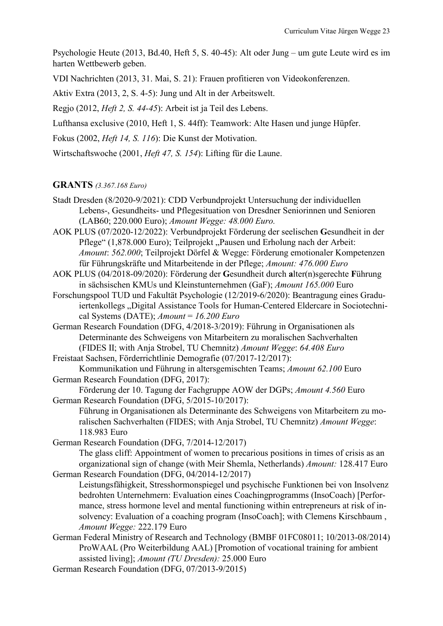Psychologie Heute (2013, Bd.40, Heft 5, S. 40-45): Alt oder Jung – um gute Leute wird es im harten Wettbewerb geben.

VDI Nachrichten (2013, 31. Mai, S. 21): Frauen profitieren von Videokonferenzen.

Aktiv Extra (2013, 2, S. 4-5): Jung und Alt in der Arbeitswelt.

Regjo (2012, *Heft 2, S. 44-45*): Arbeit ist ja Teil des Lebens.

Lufthansa exclusive (2010, Heft 1, S. 44ff): Teamwork: Alte Hasen und junge Hüpfer.

Fokus (2002, *Heft 14, S. 116*): Die Kunst der Motivation.

Wirtschaftswoche (2001, *Heft 47, S. 154*): Lifting für die Laune.

## **GRANTS** *(3.367.168 Euro)*

Stadt Dresden (8/2020-9/2021): CDD Verbundprojekt Untersuchung der individuellen Lebens-, Gesundheits- und Pflegesituation von Dresdner Seniorinnen und Senioren (LAB60; 220.000 Euro); *Amount Wegge: 48.000 Euro.*

AOK PLUS (07/2020-12/2022): Verbundprojekt Förderung der seelischen **G**esundheit in der Pflege" (1,878.000 Euro); Teilprojekt "Pausen und Erholung nach der Arbeit: *Amount*: *562.000*; Teilprojekt Dörfel & Wegge: Förderung emotionaler Kompetenzen für Führungskräfte und Mitarbeitende in der Pflege; *Amount: 476.000 Euro*

- AOK PLUS (04/2018-09/2020): Förderung der **G**esundheit durch **a**lter(n)sgerechte **F**ührung in sächsischen KMUs und Kleinstunternehmen (GaF); *Amount 165.000* Euro
- Forschungspool TUD und Fakultät Psychologie (12/2019-6/2020): Beantragung eines Graduiertenkollegs "Digital Assistance Tools for Human-Centered Eldercare in Sociotechnical Systems (DATE); *Amount* = *16.200 Euro*

German Research Foundation (DFG, 4/2018-3/2019): Führung in Organisationen als Determinante des Schweigens von Mitarbeitern zu moralischen Sachverhalten (FIDES II; with Anja Strobel, TU Chemnitz) *Amount Wegge*: *64.408 Euro*

Freistaat Sachsen, Förderrichtlinie Demografie (07/2017-12/2017): Kommunikation und Führung in altersgemischten Teams; *Amount 62.100* Euro

German Research Foundation (DFG, 2017):

Förderung der 10. Tagung der Fachgruppe AOW der DGPs; *Amount 4.560* Euro German Research Foundation (DFG, 5/2015-10/2017):

Führung in Organisationen als Determinante des Schweigens von Mitarbeitern zu moralischen Sachverhalten (FIDES; with Anja Strobel, TU Chemnitz) *Amount Wegge*: 118.983 Euro

German Research Foundation (DFG, 7/2014-12/2017) The glass cliff: Appointment of women to precarious positions in times of crisis as an organizational sign of change (with Meir Shemla, Netherlands) *Amount:* 128.417 Euro German Research Foundation (DFG, 04/2014-12/2017)

Leistungsfähigkeit, Stresshormonspiegel und psychische Funktionen bei von Insolvenz bedrohten Unternehmern: Evaluation eines Coachingprogramms (InsoCoach) [Performance, stress hormone level and mental functioning within entrepreneurs at risk of insolvency: Evaluation of a coaching program (InsoCoach]; with Clemens Kirschbaum , *Amount Wegge:* 222.179 Euro

- German Federal Ministry of Research and Technology (BMBF 01FC08011; 10/2013-08/2014) ProWAAL (Pro Weiterbildung AAL) [Promotion of vocational training for ambient assisted living]; *Amount (TU Dresden):* 25.000 Euro
- German Research Foundation (DFG, 07/2013-9/2015)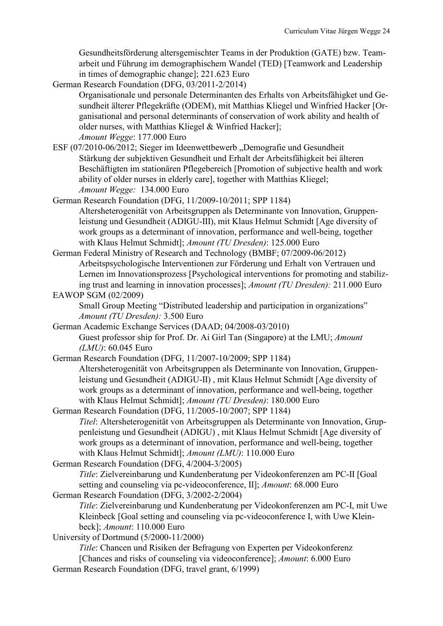Gesundheitsförderung altersgemischter Teams in der Produktion (GATE) bzw. Teamarbeit und Führung im demographischem Wandel (TED) [Teamwork and Leadership in times of demographic change]; 221.623 Euro

German Research Foundation (DFG, 03/2011-2/2014)

Organisationale und personale Determinanten des Erhalts von Arbeitsfähigket und Gesundheit älterer Pflegekräfte (ODEM), mit Matthias Kliegel und Winfried Hacker [Organisational and personal determinants of conservation of work ability and health of older nurses, with Matthias Kliegel & Winfried Hacker];

*Amount Wegge*: 177.000 Euro

ESF (07/2010-06/2012; Sieger im Ideenwettbewerb "Demografie und Gesundheit Stärkung der subjektiven Gesundheit und Erhalt der Arbeitsfähigkeit bei älteren Beschäftigten im stationären Pflegebereich [Promotion of subjective health and work ability of older nurses in elderly care], together with Matthias Kliegel; *Amount Wegge:* 134.000 Euro

German Research Foundation (DFG, 11/2009-10/2011; SPP 1184)

Altersheterogenität von Arbeitsgruppen als Determinante von Innovation, Gruppenleistung und Gesundheit (ADIGU-III), mit Klaus Helmut Schmidt [Age diversity of work groups as a determinant of innovation, performance and well-being, together with Klaus Helmut Schmidt]; *Amount (TU Dresden)*: 125.000 Euro

German Federal Ministry of Research and Technology (BMBF; 07/2009-06/2012) Arbeitspsychologische Interventionen zur Förderung und Erhalt von Vertrauen und Lernen im Innovationsprozess [Psychological interventions for promoting and stabilizing trust and learning in innovation processes]; *Amount (TU Dresden):* 211.000 Euro

EAWOP SGM (02/2009)

Small Group Meeting "Distributed leadership and participation in organizations" *Amount (TU Dresden):* 3.500 Euro

German Academic Exchange Services (DAAD; 04/2008-03/2010) Guest professor ship for Prof. Dr. Ai Girl Tan (Singapore) at the LMU; *Amount (LMU)*: 60.045 Euro

German Research Foundation (DFG, 11/2007-10/2009; SPP 1184) Altersheterogenität von Arbeitsgruppen als Determinante von Innovation, Gruppenleistung und Gesundheit (ADIGU-II) , mit Klaus Helmut Schmidt [Age diversity of work groups as a determinant of innovation, performance and well-being, together with Klaus Helmut Schmidt]; *Amount (TU Dresden)*: 180.000 Euro

- German Research Foundation (DFG, 11/2005-10/2007; SPP 1184) *Titel*: Altersheterogenität von Arbeitsgruppen als Determinante von Innovation, Gruppenleistung und Gesundheit (ADIGU) , mit Klaus Helmut Schmidt [Age diversity of work groups as a determinant of innovation, performance and well-being, together with Klaus Helmut Schmidt]; *Amount (LMU)*: 110.000 Euro
- German Research Foundation (DFG, 4/2004-3/2005)

*Title*: Zielvereinbarung und Kundenberatung per Videokonferenzen am PC-II [Goal setting and counseling via pc-videoconference, II]; *Amount*: 68.000 Euro German Research Foundation (DFG, 3/2002-2/2004)

*Title*: Zielvereinbarung und Kundenberatung per Videokonferenzen am PC-I, mit Uwe Kleinbeck [Goal setting and counseling via pc-videoconference I, with Uwe Kleinbeck]; *Amount*: 110.000 Euro

University of Dortmund (5/2000-11/2000)

*Title*: Chancen und Risiken der Befragung von Experten per Videokonferenz [Chances and risks of counseling via videoconference]; *Amount*: 6.000 Euro German Research Foundation (DFG, travel grant, 6/1999)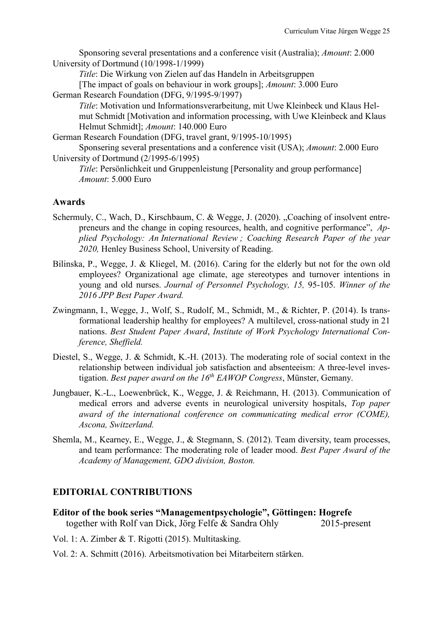Sponsoring several presentations and a conference visit (Australia); *Amount*: 2.000 University of Dortmund (10/1998-1/1999)

*Title*: Die Wirkung von Zielen auf das Handeln in Arbeitsgruppen

[The impact of goals on behaviour in work groups]; *Amount*: 3.000 Euro German Research Foundation (DFG, 9/1995-9/1997)

*Title*: Motivation und Informationsverarbeitung, mit Uwe Kleinbeck und Klaus Helmut Schmidt [Motivation and information processing, with Uwe Kleinbeck and Klaus Helmut Schmidt]; *Amount*: 140.000 Euro

German Research Foundation (DFG, travel grant, 9/1995-10/1995)

Sponsering several presentations and a conference visit (USA); *Amount*: 2.000 Euro University of Dortmund (2/1995-6/1995)

*Title*: Persönlichkeit und Gruppenleistung [Personality and group performance] *Amount*: 5.000 Euro

## **Awards**

- Schermuly, C., Wach, D., Kirschbaum, C. & Wegge, J. (2020). "Coaching of insolvent entrepreneurs and the change in coping resources, health, and cognitive performance", *Applied Psychology: An International Review ; Coaching Research Paper of the year 2020,* Henley Business School, University of Reading.
- Bilinska, P., Wegge, J. & Kliegel, M. (2016). Caring for the elderly but not for the own old employees? Organizational age climate, age stereotypes and turnover intentions in young and old nurses. *Journal of Personnel Psychology, 15,* 95-105. *Winner of the 2016 JPP Best Paper Award.*
- Zwingmann, I., Wegge, J., Wolf, S., Rudolf, M., Schmidt, M., & Richter, P. (2014). Is transformational leadership healthy for employees? A multilevel, cross-national study in 21 nations. *Best Student Paper Award*, *Institute of Work Psychology International Conference, Sheffield.*
- Diestel, S., Wegge, J. & Schmidt, K.-H. (2013). The moderating role of social context in the relationship between individual job satisfaction and absenteeism: A three-level investigation. *Best paper award on the 16th EAWOP Congress*, Münster, Gemany.
- Jungbauer, K.-L., Loewenbrück, K., Wegge, J. & Reichmann, H. (2013). Communication of medical errors and adverse events in neurological university hospitals, *Top paper award of the international conference on communicating medical error (COME), Ascona, Switzerland.*
- Shemla, M., Kearney, E., Wegge, J., & Stegmann, S. (2012). Team diversity, team processes, and team performance: The moderating role of leader mood. *Best Paper Award of the Academy of Management, GDO division, Boston.*

## **EDITORIAL CONTRIBUTIONS**

**Editor of the book series "Managementpsychologie", Göttingen: Hogrefe**  together with Rolf van Dick, Jörg Felfe & Sandra Ohly 2015-present

Vol. 1: A. Zimber & T. Rigotti (2015). Multitasking.

Vol. 2: A. Schmitt (2016). Arbeitsmotivation bei Mitarbeitern stärken.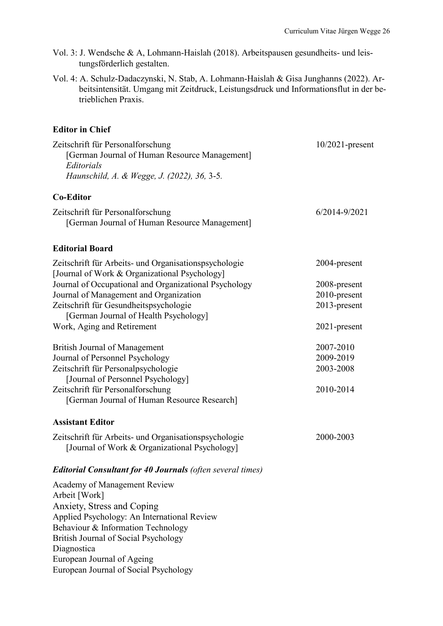- Vol. 3: J. Wendsche & A, Lohmann-Haislah (2018). Arbeitspausen gesundheits- und leistungsförderlich gestalten.
- Vol. 4: A. Schulz-Dadaczynski, N. Stab, A. Lohmann-Haislah & Gisa Junghanns (2022). Arbeitsintensität. Umgang mit Zeitdruck, Leistungsdruck und Informationsflut in der betrieblichen Praxis.

## **Editor in Chief**

| Zeitschrift für Personalforschung<br>[German Journal of Human Resource Management]<br>Editorials<br>Haunschild, A. & Wegge, J. (2022), 36, 3-5. | $10/2021$ -present |
|-------------------------------------------------------------------------------------------------------------------------------------------------|--------------------|
| <b>Co-Editor</b>                                                                                                                                |                    |
| Zeitschrift für Personalforschung<br>[German Journal of Human Resource Management]                                                              | $6/2014 - 9/2021$  |
| <b>Editorial Board</b>                                                                                                                          |                    |
| Zeitschrift für Arbeits- und Organisationspsychologie<br>[Journal of Work & Organizational Psychology]                                          | 2004-present       |
| Journal of Occupational and Organizational Psychology                                                                                           | 2008-present       |
| Journal of Management and Organization                                                                                                          | 2010-present       |
| Zeitschrift für Gesundheitspsychologie<br>[German Journal of Health Psychology]                                                                 | 2013-present       |
| Work, Aging and Retirement                                                                                                                      | 2021-present       |
| <b>British Journal of Management</b>                                                                                                            | 2007-2010          |
| Journal of Personnel Psychology                                                                                                                 | 2009-2019          |
| Zeitschrift für Personalpsychologie                                                                                                             | 2003-2008          |
| [Journal of Personnel Psychology]<br>Zeitschrift für Personalforschung                                                                          | 2010-2014          |
| [German Journal of Human Resource Research]                                                                                                     |                    |
| <b>Assistant Editor</b>                                                                                                                         |                    |
| Zeitschrift für Arbeits- und Organisationspsychologie<br>[Journal of Work & Organizational Psychology]                                          | 2000-2003          |
| <b>Editorial Consultant for 40 Journals (often several times)</b>                                                                               |                    |
| Academy of Management Review<br>Arbeit [Work]                                                                                                   |                    |
| Anxiety, Stress and Coping                                                                                                                      |                    |
| Applied Psychology: An International Review                                                                                                     |                    |
| Behaviour & Information Technology                                                                                                              |                    |
| British Journal of Social Psychology<br>Diagnostica                                                                                             |                    |
| European Journal of Ageing                                                                                                                      |                    |
| European Journal of Social Psychology                                                                                                           |                    |
|                                                                                                                                                 |                    |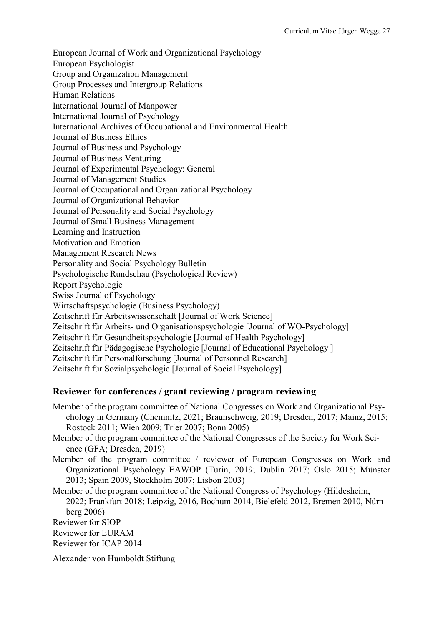European Journal of Work and Organizational Psychology European Psychologist Group and Organization Management Group Processes and Intergroup Relations Human Relations International Journal of Manpower International Journal of Psychology International Archives of Occupational and Environmental Health Journal of Business Ethics Journal of Business and Psychology Journal of Business Venturing Journal of Experimental Psychology: General Journal of Management Studies Journal of Occupational and Organizational Psychology Journal of Organizational Behavior Journal of Personality and Social Psychology Journal of Small Business Management Learning and Instruction Motivation and Emotion Management Research News Personality and Social Psychology Bulletin Psychologische Rundschau (Psychological Review) Report Psychologie Swiss Journal of Psychology Wirtschaftspsychologie (Business Psychology) Zeitschrift für Arbeitswissenschaft [Journal of Work Science] Zeitschrift für Arbeits- und Organisationspsychologie [Journal of WO-Psychology] Zeitschrift für Gesundheitspsychologie [Journal of Health Psychology] Zeitschrift für Pädagogische Psychologie [Journal of Educational Psychology ] Zeitschrift für Personalforschung [Journal of Personnel Research] Zeitschrift für Sozialpsychologie [Journal of Social Psychology]

## **Reviewer for conferences / grant reviewing / program reviewing**

- Member of the program committee of National Congresses on Work and Organizational Psychology in Germany (Chemnitz, 2021; Braunschweig, 2019; Dresden, 2017; Mainz, 2015; Rostock 2011; Wien 2009; Trier 2007; Bonn 2005)
- Member of the program committee of the National Congresses of the Society for Work Science (GFA; Dresden, 2019)
- Member of the program committee / reviewer of European Congresses on Work and Organizational Psychology EAWOP (Turin, 2019; Dublin 2017; Oslo 2015; Münster 2013; Spain 2009, Stockholm 2007; Lisbon 2003)

Member of the program committee of the National Congress of Psychology (Hildesheim, 2022; Frankfurt 2018; Leipzig, 2016, Bochum 2014, Bielefeld 2012, Bremen 2010, Nürnberg 2006)

Reviewer for SIOP

- Reviewer for EURAM
- Reviewer for ICAP 2014

Alexander von Humboldt Stiftung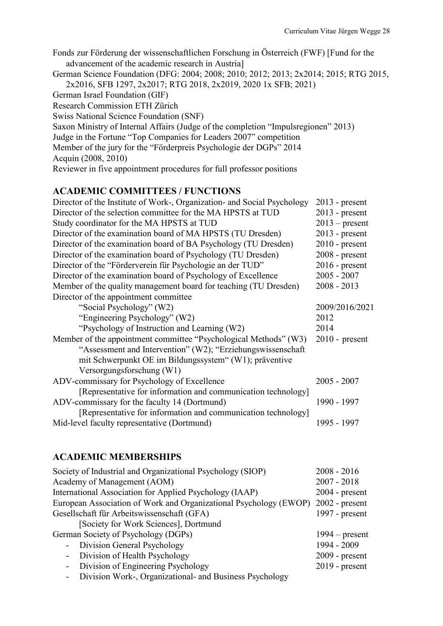Fonds zur Förderung der wissenschaftlichen Forschung in Österreich (FWF) [Fund for the advancement of the academic research in Austria] German Science Foundation (DFG: 2004; 2008; 2010; 2012; 2013; 2x2014; 2015; RTG 2015, 2x2016, SFB 1297, 2x2017; RTG 2018, 2x2019, 2020 1x SFB; 2021) German Israel Foundation (GIF) Research Commission ETH Zürich Swiss National Science Foundation (SNF) Saxon Ministry of Internal Affairs (Judge of the completion "Impulsregionen" 2013) Judge in the Fortune "Top Companies for Leaders 2007" competition Member of the jury for the "Förderpreis Psychologie der DGPs" 2014 Acquin (2008, 2010) Reviewer in five appointment procedures for full professor positions

## **ACADEMIC COMMITTEES / FUNCTIONS**

| Director of the Institute of Work-, Organization- and Social Psychology | $2013$ - present |
|-------------------------------------------------------------------------|------------------|
| Director of the selection committee for the MA HPSTS at TUD             | $2013$ - present |
| Study coordinator for the MA HPSTS at TUD                               | $2013$ – present |
| Director of the examination board of MA HPSTS (TU Dresden)              | $2013$ - present |
| Director of the examination board of BA Psychology (TU Dresden)         | $2010$ - present |
| Director of the examination board of Psychology (TU Dresden)            | $2008$ - present |
| Director of the "Förderverein für Psychologie an der TUD"               | $2016$ - present |
| Director of the examination board of Psychology of Excellence           | $2005 - 2007$    |
| Member of the quality management board for teaching (TU Dresden)        | $2008 - 2013$    |
| Director of the appointment committee                                   |                  |
| "Social Psychology" (W2)                                                | 2009/2016/2021   |
| "Engineering Psychology" (W2)                                           | 2012             |
| "Psychology of Instruction and Learning (W2)                            | 2014             |
| Member of the appointment committee "Psychological Methods" (W3)        | $2010$ - present |
| "Assessment and Intervention" (W2); "Erziehungswissenschaft"            |                  |
| mit Schwerpunkt OE im Bildungssystem" (W1); präventive                  |                  |
| Versorgungsforschung (W1)                                               |                  |
| ADV-commissary for Psychology of Excellence                             | $2005 - 2007$    |
| [Representative for information and communication technology]           |                  |
| ADV-commissary for the faculty 14 (Dortmund)                            | 1990 - 1997      |
| [Representative for information and communication technology]           |                  |
| Mid-level faculty representative (Dortmund)                             | 1995 - 1997      |
|                                                                         |                  |

## **ACADEMIC MEMBERSHIPS**

| Society of Industrial and Organizational Psychology (SIOP)                       | $2008 - 2016$    |
|----------------------------------------------------------------------------------|------------------|
| Academy of Management (AOM)                                                      | $2007 - 2018$    |
| International Association for Applied Psychology (IAAP)                          | $2004$ - present |
| European Association of Work and Organizational Psychology (EWOP) 2002 - present |                  |
| Gesellschaft für Arbeitswissenschaft (GFA)                                       | 1997 - $present$ |
| [Society for Work Sciences], Dortmund                                            |                  |
| German Society of Psychology (DGPs)                                              | $1994$ – present |
| - Division General Psychology                                                    | 1994 - 2009      |
| Division of Health Psychology<br>$\sim$                                          | $2009$ - present |
| - Division of Engineering Psychology                                             | $2019$ - present |
| Division Work Organizational and Duciness Developer                              |                  |

- Division Work-, Organizational- and Business Psychology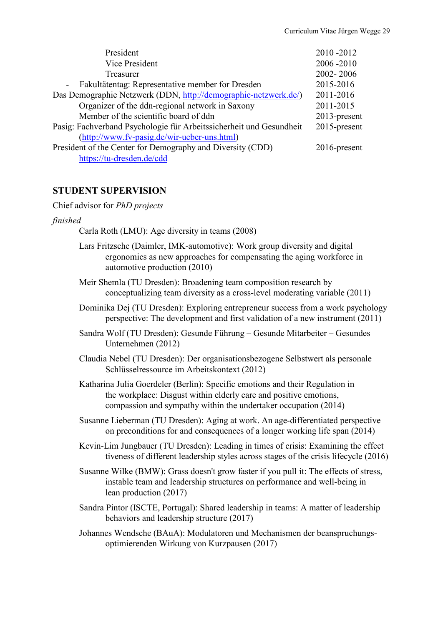| President                                                           | 2010-2012       |
|---------------------------------------------------------------------|-----------------|
| Vice President                                                      | 2006-2010       |
| Treasurer                                                           | 2002-2006       |
| Fakultätentag: Representative member for Dresden<br>$\sim$          | 2015-2016       |
| Das Demographie Netzwerk (DDN, http://demographie-netzwerk.de/)     | 2011-2016       |
| Organizer of the ddn-regional network in Saxony                     | 2011-2015       |
| Member of the scientific board of ddn                               | $2013$ -present |
| Pasig: Fachverband Psychologie für Arbeitssicherheit und Gesundheit | 2015-present    |
| (http://www.fv-pasig.de/wir-ueber-uns.html)                         |                 |
| President of the Center for Demography and Diversity (CDD)          | $2016$ -present |
| https://tu-dresden.de/cdd                                           |                 |

## **STUDENT SUPERVISION**

Chief advisor for *PhD projects*

#### *finished*

Carla Roth (LMU): Age diversity in teams (2008)

- Lars Fritzsche (Daimler, IMK-automotive): Work group diversity and digital ergonomics as new approaches for compensating the aging workforce in automotive production (2010)
- Meir Shemla (TU Dresden): Broadening team composition research by conceptualizing team diversity as a cross-level moderating variable (2011)
- Dominika Dej (TU Dresden): Exploring entrepreneur success from a work psychology perspective: The development and first validation of a new instrument (2011)
- Sandra Wolf (TU Dresden): Gesunde Führung Gesunde Mitarbeiter Gesundes Unternehmen (2012)
- Claudia Nebel (TU Dresden): Der organisationsbezogene Selbstwert als personale Schlüsselressource im Arbeitskontext (2012)
- Katharina Julia Goerdeler (Berlin): Specific emotions and their Regulation in the workplace: Disgust within elderly care and positive emotions, compassion and sympathy within the undertaker occupation (2014)
- Susanne Lieberman (TU Dresden): Aging at work. An age-differentiated perspective on preconditions for and consequences of a longer working life span (2014)
- Kevin-Lim Jungbauer (TU Dresden): Leading in times of crisis: Examining the effect tiveness of different leadership styles across stages of the crisis lifecycle (2016)
- Susanne Wilke (BMW): Grass doesn't grow faster if you pull it: The effects of stress, instable team and leadership structures on performance and well-being in lean production (2017)
- Sandra Pintor (ISCTE, Portugal): Shared leadership in teams: A matter of leadership behaviors and leadership structure (2017)
- Johannes Wendsche (BAuA): Modulatoren und Mechanismen der beanspruchungsoptimierenden Wirkung von Kurzpausen (2017)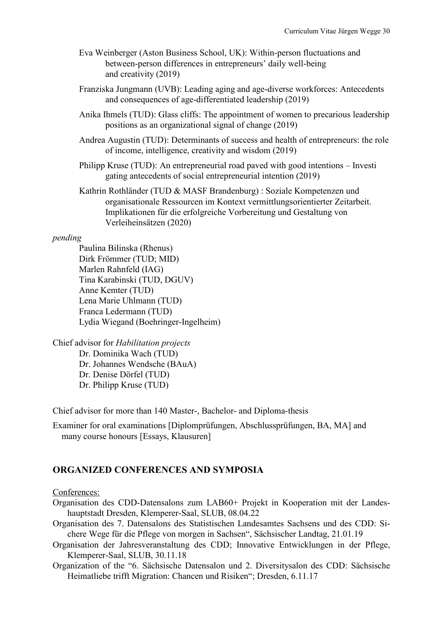- Eva Weinberger (Aston Business School, UK): Within-person fluctuations and between-person differences in entrepreneurs' daily well-being and creativity (2019)
- Franziska Jungmann (UVB): Leading aging and age-diverse workforces: Antecedents and consequences of age-differentiated leadership (2019)
- Anika Ihmels (TUD): Glass cliffs: The appointment of women to precarious leadership positions as an organizational signal of change (2019)
- Andrea Augustin (TUD): Determinants of success and health of entrepreneurs: the role of income, intelligence, creativity and wisdom (2019)
- Philipp Kruse (TUD): An entrepreneurial road paved with good intentions Investi gating antecedents of social entrepreneurial intention (2019)
- Kathrin Rothländer (TUD & MASF Brandenburg) : Soziale Kompetenzen und organisationale Ressourcen im Kontext vermittlungsorientierter Zeitarbeit. Implikationen für die erfolgreiche Vorbereitung und Gestaltung von Verleiheinsätzen (2020)

## *pending*

Paulina Bilinska (Rhenus) Dirk Frömmer (TUD; MID) Marlen Rahnfeld (IAG) Tina Karabinski (TUD, DGUV) Anne Kemter (TUD) Lena Marie Uhlmann (TUD) Franca Ledermann (TUD) Lydia Wiegand (Boehringer-Ingelheim)

Chief advisor for *Habilitation projects* Dr. Dominika Wach (TUD) Dr. Johannes Wendsche (BAuA) Dr. Denise Dörfel (TUD) Dr. Philipp Kruse (TUD)

Chief advisor for more than 140 Master-, Bachelor- and Diploma-thesis

Examiner for oral examinations [Diplomprüfungen, Abschlussprüfungen, BA, MA] and many course honours [Essays, Klausuren]

## **ORGANIZED CONFERENCES AND SYMPOSIA**

#### Conferences:

- Organisation des CDD-Datensalons zum LAB60+ Projekt in Kooperation mit der Landeshauptstadt Dresden, Klemperer-Saal, SLUB, 08.04.22
- Organisation des 7. Datensalons des Statistischen Landesamtes Sachsens und des CDD: Sichere Wege für die Pflege von morgen in Sachsen", Sächsischer Landtag, 21.01.19
- Organisation der Jahresveranstaltung des CDD; Innovative Entwicklungen in der Pflege, Klemperer-Saal, SLUB, 30.11.18
- Organization of the "6. Sächsische Datensalon und 2. Diversitysalon des CDD: Sächsische Heimatliebe trifft Migration: Chancen und Risiken"; Dresden, 6.11.17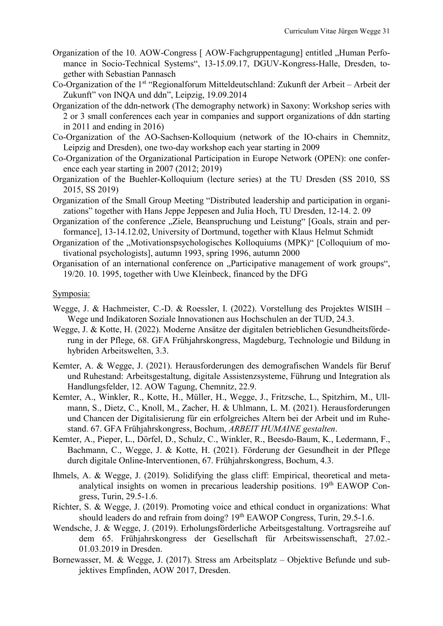- Organization of the 10. AOW-Congress [ AOW-Fachgruppentagung] entitled "Human Perfomance in Socio-Technical Systems", 13-15.09.17, DGUV-Kongress-Halle, Dresden, together with Sebastian Pannasch
- Co-Organization of the 1<sup>st</sup> "Regionalforum Mitteldeutschland: Zukunft der Arbeit Arbeit der Zukunft" von INQA und ddn", Leipzig, 19.09.2014
- Organization of the ddn-network (The demography network) in Saxony: Workshop series with 2 or 3 small conferences each year in companies and support organizations of ddn starting in 2011 and ending in 2016)
- Co-Organization of the AO-Sachsen-Kolloquium (network of the IO-chairs in Chemnitz, Leipzig and Dresden), one two-day workshop each year starting in 2009
- Co-Organization of the Organizational Participation in Europe Network (OPEN): one conference each year starting in 2007 (2012; 2019)
- Organization of the Buehler-Kolloquium (lecture series) at the TU Dresden (SS 2010, SS 2015, SS 2019)
- Organization of the Small Group Meeting "Distributed leadership and participation in organizations" together with Hans Jeppe Jeppesen and Julia Hoch, TU Dresden, 12-14. 2. 09
- Organization of the conference "Ziele, Beanspruchung und Leistung" [Goals, strain and performance], 13-14.12.02, University of Dortmund, together with Klaus Helmut Schmidt
- Organization of the "Motivationspsychologisches Kolloquiums (MPK)" [Colloquium of motivational psychologists], autumn 1993, spring 1996, autumn 2000
- Organisation of an international conference on "Participative management of work groups", 19/20. 10. 1995, together with Uwe Kleinbeck, financed by the DFG

#### Symposia:

- Wegge, J. & Hachmeister, C.-D. & Roessler, I. (2022). Vorstellung des Projektes WISIH Wege und Indikatoren Soziale Innovationen aus Hochschulen an der TUD, 24.3.
- Wegge, J. & Kotte, H. (2022). Moderne Ansätze der digitalen betrieblichen Gesundheitsförderung in der Pflege, 68. GFA Frühjahrskongress, Magdeburg, Technologie und Bildung in hybriden Arbeitswelten, 3.3.
- Kemter, A. & Wegge, J. (2021). Herausforderungen des demografischen Wandels für Beruf und Ruhestand: Arbeitsgestaltung, digitale Assistenzsysteme, Führung und Integration als Handlungsfelder, 12. AOW Tagung, Chemnitz, 22.9.
- Kemter, A., Winkler, R., Kotte, H., Müller, H., Wegge, J., Fritzsche, L., Spitzhirn, M., Ullmann, S., Dietz, C., Knoll, M., Zacher, H. & Uhlmann, L. M. (2021). Herausforderungen und Chancen der Digitalisierung für ein erfolgreiches Altern bei der Arbeit und im Ruhestand. 67. GFA Frühjahrskongress, Bochum, *ARBEIT HUMAINE gestalten*.
- Kemter, A., Pieper, L., Dörfel, D., Schulz, C., Winkler, R., Beesdo-Baum, K., Ledermann, F., Bachmann, C., Wegge, J. & Kotte, H. (2021). Förderung der Gesundheit in der Pflege durch digitale Online-Interventionen, 67. Frühjahrskongress, Bochum, 4.3.
- Ihmels, A. & Wegge, J. (2019). Solidifying the glass cliff: Empirical, theoretical and metaanalytical insights on women in precarious leadership positions. 19th EAWOP Congress, Turin, 29.5-1.6.
- Richter, S. & Wegge, J. (2019). Promoting voice and ethical conduct in organizations: What should leaders do and refrain from doing? 19<sup>th</sup> EAWOP Congress, Turin, 29.5-1.6.
- Wendsche, J. & Wegge, J. (2019). Erholungsförderliche Arbeitsgestaltung. Vortragsreihe auf dem 65. Frühjahrskongress der Gesellschaft für Arbeitswissenschaft, 27.02.- 01.03.2019 in Dresden.
- Bornewasser, M. & Wegge, J. (2017). Stress am Arbeitsplatz Objektive Befunde und subjektives Empfinden, AOW 2017, Dresden.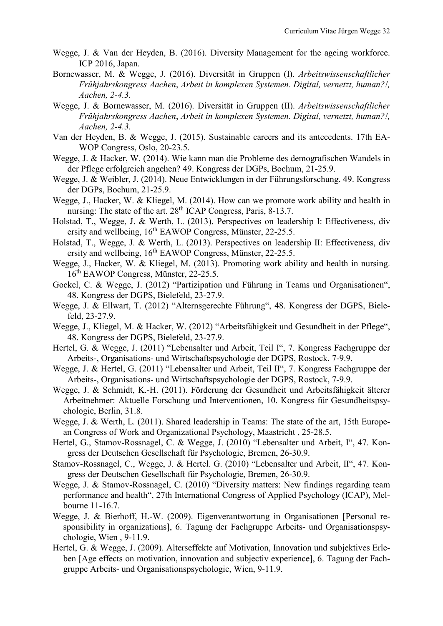- Wegge, J. & Van der Heyden, B. (2016). Diversity Management for the ageing workforce. ICP 2016, Japan.
- Bornewasser, M. & Wegge, J. (2016). Diversität in Gruppen (I). *Arbeitswissenschaftlicher Frühjahrskongress Aachen*, *Arbeit in komplexen Systemen. Digital, vernetzt, human?!, Aachen, 2-4.3.*
- Wegge, J. & Bornewasser, M. (2016). Diversität in Gruppen (II). *Arbeitswissenschaftlicher Frühjahrskongress Aachen*, *Arbeit in komplexen Systemen. Digital, vernetzt, human?!, Aachen, 2-4.3.*
- Van der Heyden, B. & Wegge, J. (2015). Sustainable careers and its antecedents. 17th EA-WOP Congress, Oslo, 20-23.5.
- Wegge, J. & Hacker, W. (2014). Wie kann man die Probleme des demografischen Wandels in der Pflege erfolgreich angehen? 49. Kongress der DGPs, Bochum, 21-25.9.
- Wegge, J. & Weibler, J. (2014). Neue Entwicklungen in der Führungsforschung. 49. Kongress der DGPs, Bochum, 21-25.9.
- Wegge, J., Hacker, W. & Kliegel, M. (2014). How can we promote work ability and health in nursing: The state of the art.  $28<sup>th</sup>$  ICAP Congress, Paris, 8-13.7.
- Holstad, T., Wegge, J. & Werth, L. (2013). Perspectives on leadership I: Effectiveness, div ersity and wellbeing, 16<sup>th</sup> EAWOP Congress, Münster, 22-25.5.
- Holstad, T., Wegge, J. & Werth, L. (2013). Perspectives on leadership II: Effectiveness, div ersity and wellbeing,  $16<sup>th</sup>$  EAWOP Congress, Münster, 22-25.5.
- Wegge, J., Hacker, W. & Kliegel, M. (2013). Promoting work ability and health in nursing. 16th EAWOP Congress, Münster, 22-25.5.
- Gockel, C. & Wegge, J. (2012) "Partizipation und Führung in Teams und Organisationen", 48. Kongress der DGPS, Bielefeld, 23-27.9.
- Wegge, J. & Ellwart, T. (2012) "Alternsgerechte Führung", 48. Kongress der DGPS, Bielefeld, 23-27.9.
- Wegge, J., Kliegel, M. & Hacker, W. (2012) "Arbeitsfähigkeit und Gesundheit in der Pflege", 48. Kongress der DGPS, Bielefeld, 23-27.9.
- Hertel, G. & Wegge, J. (2011) "Lebensalter und Arbeit, Teil I", 7. Kongress Fachgruppe der Arbeits-, Organisations- und Wirtschaftspsychologie der DGPS, Rostock, 7-9.9.
- Wegge, J. & Hertel, G. (2011) "Lebensalter und Arbeit, Teil II", 7. Kongress Fachgruppe der Arbeits-, Organisations- und Wirtschaftspsychologie der DGPS, Rostock, 7-9.9.
- Wegge, J. & Schmidt, K.-H. (2011). Förderung der Gesundheit und Arbeitsfähigkeit älterer Arbeitnehmer: Aktuelle Forschung und Interventionen, 10. Kongress für Gesundheitspsychologie, Berlin, 31.8.
- Wegge, J. & Werth, L. (2011). Shared leadership in Teams: The state of the art, 15th European Congress of Work and Organizational Psychology, Maastricht , 25-28.5.
- Hertel, G., Stamov-Rossnagel, C. & Wegge, J. (2010) "Lebensalter und Arbeit, I", 47. Kongress der Deutschen Gesellschaft für Psychologie, Bremen, 26-30.9.
- Stamov-Rossnagel, C., Wegge, J. & Hertel. G. (2010) "Lebensalter und Arbeit, II", 47. Kongress der Deutschen Gesellschaft für Psychologie, Bremen, 26-30.9.
- Wegge, J. & Stamov-Rossnagel, C. (2010) "Diversity matters: New findings regarding team performance and health", 27th International Congress of Applied Psychology (ICAP), Melbourne 11-16.7.
- Wegge, J. & Bierhoff, H.-W. (2009). Eigenverantwortung in Organisationen [Personal responsibility in organizations], 6. Tagung der Fachgruppe Arbeits- und Organisationspsychologie, Wien , 9-11.9.
- Hertel, G. & Wegge, J. (2009). Alterseffekte auf Motivation, Innovation und subjektives Erleben [Age effects on motivation, innovation and subjectiv experience], 6. Tagung der Fachgruppe Arbeits- und Organisationspsychologie, Wien, 9-11.9.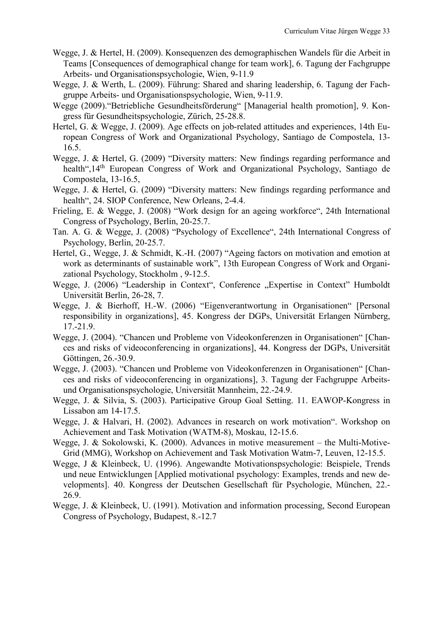- Wegge, J. & Hertel, H. (2009). Konsequenzen des demographischen Wandels für die Arbeit in Teams [Consequences of demographical change for team work], 6. Tagung der Fachgruppe Arbeits- und Organisationspsychologie, Wien, 9-11.9
- Wegge, J. & Werth, L. (2009). Führung: Shared and sharing leadership, 6. Tagung der Fachgruppe Arbeits- und Organisationspsychologie, Wien, 9-11.9.
- Wegge (2009)."Betriebliche Gesundheitsförderung" [Managerial health promotion], 9. Kongress für Gesundheitspsychologie, Zürich, 25-28.8.
- Hertel, G. & Wegge, J. (2009). Age effects on job-related attitudes and experiences, 14th European Congress of Work and Organizational Psychology, Santiago de Compostela, 13- 16.5.
- Wegge, J. & Hertel, G. (2009) "Diversity matters: New findings regarding performance and health",14<sup>th</sup> European Congress of Work and Organizational Psychology, Santiago de Compostela, 13-16.5,
- Wegge, J. & Hertel, G. (2009) "Diversity matters: New findings regarding performance and health", 24. SIOP Conference, New Orleans, 2-4.4.
- Frieling, E. & Wegge, J. (2008) "Work design for an ageing workforce", 24th International Congress of Psychology, Berlin, 20-25.7.
- Tan. A. G. & Wegge, J. (2008) "Psychology of Excellence", 24th International Congress of Psychology, Berlin, 20-25.7.
- Hertel, G., Wegge, J. & Schmidt, K.-H. (2007) "Ageing factors on motivation and emotion at work as determinants of sustainable work", 13th European Congress of Work and Organizational Psychology, Stockholm , 9-12.5.
- Wegge, J. (2006) "Leadership in Context", Conference "Expertise in Context" Humboldt Universität Berlin, 26-28, 7.
- Wegge, J. & Bierhoff, H.-W. (2006) "Eigenverantwortung in Organisationen" [Personal responsibility in organizations], 45. Kongress der DGPs, Universität Erlangen Nürnberg, 17.-21.9.
- Wegge, J. (2004). "Chancen und Probleme von Videokonferenzen in Organisationen" [Chances and risks of videoconferencing in organizations], 44. Kongress der DGPs, Universität Göttingen, 26.-30.9.
- Wegge, J. (2003). "Chancen und Probleme von Videokonferenzen in Organisationen" [Chances and risks of videoconferencing in organizations], 3. Tagung der Fachgruppe Arbeitsund Organisationspsychologie, Universität Mannheim, 22.-24.9.
- Wegge, J. & Silvia, S. (2003). Participative Group Goal Setting. 11. EAWOP-Kongress in Lissabon am 14-17.5.
- Wegge, J. & Halvari, H. (2002). Advances in research on work motivation". Workshop on Achievement and Task Motivation (WATM-8), Moskau, 12-15.6.
- Wegge, J. & Sokolowski, K. (2000). Advances in motive measurement the Multi-Motive-Grid (MMG), Workshop on Achievement and Task Motivation Watm-7, Leuven, 12-15.5.
- Wegge, J & Kleinbeck, U. (1996). Angewandte Motivationspsychologie: Beispiele, Trends und neue Entwicklungen [Applied motivational psychology: Examples, trends and new developments]. 40. Kongress der Deutschen Gesellschaft für Psychologie, München, 22.- 26.9.
- Wegge, J. & Kleinbeck, U. (1991). Motivation and information processing, Second European Congress of Psychology, Budapest, 8.-12.7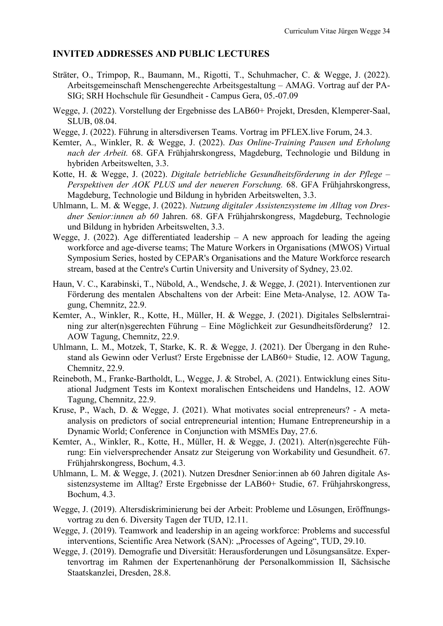## **INVITED ADDRESSES AND PUBLIC LECTURES**

- Sträter, O., Trimpop, R., Baumann, M., Rigotti, T., Schuhmacher, C. & Wegge, J. (2022). Arbeitsgemeinschaft Menschengerechte Arbeitsgestaltung – AMAG. Vortrag auf der PA-SIG; SRH Hochschule für Gesundheit - Campus Gera, 05.-07.09
- Wegge, J. (2022). Vorstellung der Ergebnisse des LAB60+ Projekt, Dresden, Klemperer-Saal, SLUB, 08.04.
- Wegge, J. (2022). Führung in altersdiversen Teams. Vortrag im PFLEX.live Forum, 24.3.
- Kemter, A., Winkler, R. & Wegge, J. (2022). *Das Online-Training Pausen und Erholung nach der Arbeit.* 68. GFA Frühjahrskongress, Magdeburg, Technologie und Bildung in hybriden Arbeitswelten, 3.3.
- Kotte, H. & Wegge, J. (2022). *Digitale betriebliche Gesundheitsförderung in der Pflege – Perspektiven der AOK PLUS und der neueren Forschung.* 68. GFA Frühjahrskongress, Magdeburg, Technologie und Bildung in hybriden Arbeitswelten, 3.3.
- Uhlmann, L. M. & Wegge, J. (2022). *Nutzung digitaler Assistenzsysteme im Alltag von Dresdner Senior:innen ab 60* Jahren. 68. GFA Frühjahrskongress, Magdeburg, Technologie und Bildung in hybriden Arbeitswelten, 3.3.
- Wegge, J. (2022). Age differentiated leadership  $-$  A new approach for leading the ageing workforce and age-diverse teams; The Mature Workers in Organisations (MWOS) Virtual Symposium Series, hosted by CEPAR's Organisations and the Mature Workforce research stream, based at the Centre's Curtin University and University of Sydney, 23.02.
- Haun, V. C., Karabinski, T., Nübold, A., Wendsche, J. & Wegge, J. (2021). Interventionen zur Förderung des mentalen Abschaltens von der Arbeit: Eine Meta-Analyse, 12. AOW Tagung, Chemnitz, 22.9.
- Kemter, A., Winkler, R., Kotte, H., Müller, H. & Wegge, J. (2021). Digitales Selbslerntraining zur alter(n)sgerechten Führung – Eine Möglichkeit zur Gesundheitsförderung? 12. AOW Tagung, Chemnitz, 22.9.
- Uhlmann, L. M., Motzek, T, Starke, K. R. & Wegge, J. (2021). Der Übergang in den Ruhestand als Gewinn oder Verlust? Erste Ergebnisse der LAB60+ Studie, 12. AOW Tagung, Chemnitz, 22.9.
- Reineboth, M., Franke-Bartholdt, L., Wegge, J. & Strobel, A. (2021). Entwicklung eines Situational Judgment Tests im Kontext moralischen Entscheidens und Handelns, 12. AOW Tagung, Chemnitz, 22.9.
- Kruse, P., Wach, D. & Wegge, J. (2021). What motivates social entrepreneurs? A metaanalysis on predictors of social entrepreneurial intention; Humane Entrepreneurship in a Dynamic World; Conference in Conjunction with MSMEs Day, 27.6.
- Kemter, A., Winkler, R., Kotte, H., Müller, H. & Wegge, J. (2021). Alter(n)sgerechte Führung: Ein vielversprechender Ansatz zur Steigerung von Workability und Gesundheit. 67. Frühjahrskongress, Bochum, 4.3.
- Uhlmann, L. M. & Wegge, J. (2021). Nutzen Dresdner Senior:innen ab 60 Jahren digitale Assistenzsysteme im Alltag? Erste Ergebnisse der LAB60+ Studie, 67. Frühjahrskongress, Bochum, 4.3.
- Wegge, J. (2019). Altersdiskriminierung bei der Arbeit: Probleme und Lösungen, Eröffnungsvortrag zu den 6. Diversity Tagen der TUD, 12.11.
- Wegge, J. (2019). Teamwork and leadership in an ageing workforce: Problems and successful interventions, Scientific Area Network (SAN): "Processes of Ageing", TUD, 29.10.
- Wegge, J. (2019). Demografie und Diversität: Herausforderungen und Lösungsansätze. Expertenvortrag im Rahmen der Expertenanhörung der Personalkommission II, Sächsische Staatskanzlei, Dresden, 28.8.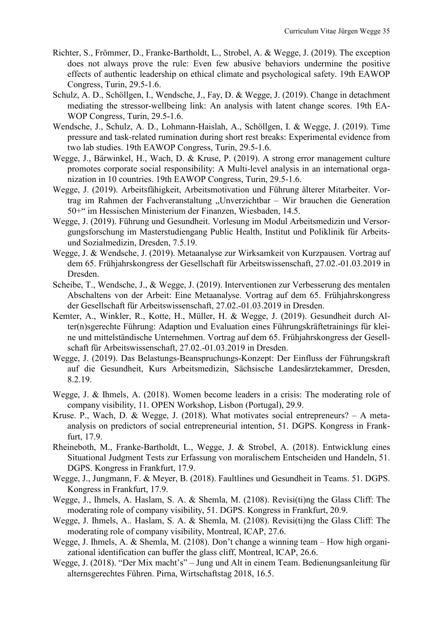- Richter, S., Frömmer, D., Franke-Bartholdt, L., Strobel, A. & Wegge, J. (2019). The exception does not always prove the rule: Even few abusive behaviors undermine the positive effects of authentic leadership on ethical climate and psychological safety. 19th EAWOP Congress, Turin, 29.5-1.6.
- Schulz, A. D., Schöllgen, I., Wendsche, J., Fay, D. & Wegge, J. (2019). Change in detachment mediating the stressor-wellbeing link: An analysis with latent change scores. 19th EA-WOP Congress, Turin, 29.5-1.6.
- Wendsche, J., Schulz, A. D., Lohmann-Haislah, A., Schöllgen, I. & Wegge, J. (2019). Time pressure and task-related rumination during short rest breaks: Experimental evidence from two lab studies. 19th EAWOP Congress, Turin, 29.5-1.6.
- Wegge, J., Bärwinkel, H., Wach, D. & Kruse, P. (2019). A strong error management culture promotes corporate social responsibility: A Multi-level analysis in an international organization in 10 countries. 19th EAWOP Congress, Turin, 29.5-1.6.
- Wegge, J. (2019). Arbeitsfähigkeit, Arbeitsmotivation und Führung älterer Mitarbeiter. Vortrag im Rahmen der Fachveranstaltung "Unverzichtbar – Wir brauchen die Generation 50+" im Hessischen Ministerium der Finanzen, Wiesbaden, 14.5.
- Wegge, J. (2019). Führung und Gesundheit. Vorlesung im Modul Arbeitsmedizin und Versorgungsforschung im Masterstudiengang Public Health, Institut und Poliklinik für Arbeitsund Sozialmedizin, Dresden, 7.5.19.
- Wegge, J. & Wendsche, J. (2019). Metaanalyse zur Wirksamkeit von Kurzpausen. Vortrag auf dem 65. Frühjahrskongress der Gesellschaft für Arbeitswissenschaft, 27.02.-01.03.2019 in Dresden.
- Scheibe, T., Wendsche, J., & Wegge, J. (2019). Interventionen zur Verbesserung des mentalen Abschaltens von der Arbeit: Eine Metaanalyse. Vortrag auf dem 65. Frühjahrskongress der Gesellschaft für Arbeitswissenschaft, 27.02.-01.03.2019 in Dresden.
- Kemter, A., Winkler, R., Kotte, H., Müller, H. & Wegge, J. (2019). Gesundheit durch Alter(n)sgerechte Führung: Adaption und Evaluation eines Führungskräftetrainings für kleine und mittelständische Unternehmen. Vortrag auf dem 65. Frühjahrskongress der Gesellschaft für Arbeitswissenschaft, 27.02.-01.03.2019 in Dresden.
- Wegge, J. (2019). Das Belastungs-Beanspruchungs-Konzept: Der Einfluss der Führungskraft auf die Gesundheit, Kurs Arbeitsmedizin, Sächsische Landesärztekammer, Dresden, 8.2.19.
- Wegge, J. & Ihmels, A. (2018). Women become leaders in a crisis: The moderating role of company visibility, 11. OPEN Workshop, Lisbon (Portugal), 29.9.
- Kruse. P., Wach, D. & Wegge, J. (2018). What motivates social entrepreneurs? A metaanalysis on predictors of social entrepreneurial intention, 51. DGPS. Kongress in Frankfurt, 17.9.
- Rheineboth, M., Franke-Bartholdt, L., Wegge, J. & Strobel, A. (2018). Entwicklung eines Situational Judgment Tests zur Erfassung von moralischem Entscheiden und Handeln, 51. DGPS. Kongress in Frankfurt, 17.9.
- Wegge, J., Jungmann, F. & Meyer, B. (2018). Faultlines und Gesundheit in Teams. 51. DGPS. Kongress in Frankfurt, 17.9.
- Wegge, J., Ihmels, A. Haslam, S. A. & Shemla, M. (2108). Revisi(ti)ng the Glass Cliff: The moderating role of company visibility, 51. DGPS. Kongress in Frankfurt, 20.9.
- Wegge, J. Ihmels, A.. Haslam, S. A. & Shemla, M. (2108). Revisi(ti)ng the Glass Cliff: The moderating role of company visibility, Montreal, ICAP, 27.6.
- Wegge, J. Ihmels, A. & Shemla, M. (2108). Don't change a winning team How high organizational identification can buffer the glass cliff, Montreal, ICAP, 26.6.
- Wegge, J. (2018). "Der Mix macht's" Jung und Alt in einem Team. Bedienungsanleitung für alternsgerechtes Führen. Pirna, Wirtschaftstag 2018, 16.5.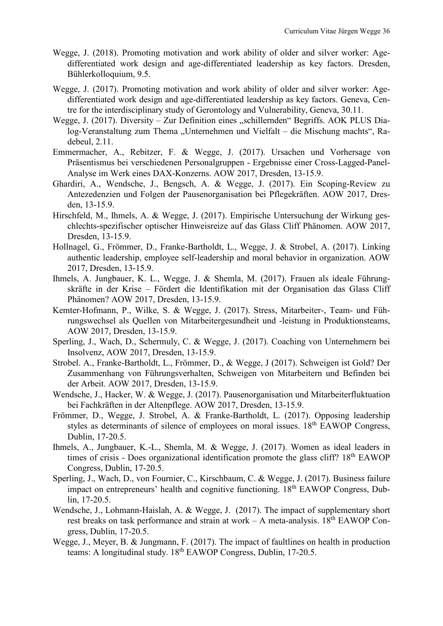- Wegge, J. (2018). Promoting motivation and work ability of older and silver worker: Agedifferentiated work design and age-differentiated leadership as key factors. Dresden, Bühlerkolloquium, 9.5.
- Wegge, J. (2017). Promoting motivation and work ability of older and silver worker: Agedifferentiated work design and age-differentiated leadership as key factors. Geneva, Centre for the interdisciplinary study of Gerontology and Vulnerability, Geneva, 30.11.
- Wegge, J. (2017). Diversity Zur Definition eines "schillernden" Begriffs. AOK PLUS Dialog-Veranstaltung zum Thema "Unternehmen und Vielfalt – die Mischung machts", Radebeul, 2.11.
- Emmermacher, A., Rebitzer, F. & Wegge, J. (2017). Ursachen und Vorhersage von Präsentismus bei verschiedenen Personalgruppen - Ergebnisse einer Cross-Lagged-Panel-Analyse im Werk eines DAX-Konzerns. AOW 2017, Dresden, 13-15.9.
- Ghardiri, A., Wendsche, J., Bengsch, A. & Wegge, J. (2017). Ein Scoping-Review zu Antezedenzien und Folgen der Pausenorganisation bei Pflegekräften. AOW 2017, Dresden, 13-15.9.
- Hirschfeld, M., Ihmels, A. & Wegge, J. (2017). Empirische Untersuchung der Wirkung geschlechts-spezifischer optischer Hinweisreize auf das Glass Cliff Phänomen. AOW 2017, Dresden, 13-15.9.
- Hollnagel, G., Frömmer, D., Franke-Bartholdt, L., Wegge, J. & Strobel, A. (2017). Linking authentic leadership, employee self-leadership and moral behavior in organization. AOW 2017, Dresden, 13-15.9.
- Ihmels, A. Jungbauer, K. L., Wegge, J. & Shemla, M. (2017). Frauen als ideale Führungskräfte in der Krise – Fördert die Identifikation mit der Organisation das Glass Cliff Phänomen? AOW 2017, Dresden, 13-15.9.
- Kemter-Hofmann, P., Wilke, S. & Wegge, J. (2017). Stress, Mitarbeiter-, Team- und Führungswechsel als Quellen von Mitarbeitergesundheit und -leistung in Produktionsteams, AOW 2017, Dresden, 13-15.9.
- Sperling, J., Wach, D., Schermuly, C. & Wegge, J. (2017). Coaching von Unternehmern bei Insolvenz, AOW 2017, Dresden, 13-15.9.
- Strobel. A., Franke-Bartholdt, L., Frömmer, D., & Wegge, J (2017). Schweigen ist Gold? Der Zusammenhang von Führungsverhalten, Schweigen von Mitarbeitern und Befinden bei der Arbeit. AOW 2017, Dresden, 13-15.9.
- Wendsche, J., Hacker, W. & Wegge, J. (2017). Pausenorganisation und Mitarbeiterfluktuation bei Fachkräften in der Altenpflege. AOW 2017, Dresden, 13-15.9.
- Frömmer, D., Wegge, J. Strobel, A. & Franke-Bartholdt, L. (2017). Opposing leadership styles as determinants of silence of employees on moral issues.  $18<sup>th</sup>$  EAWOP Congress, Dublin, 17-20.5.
- Ihmels, A., Jungbauer, K.-L., Shemla, M. & Wegge, J. (2017). Women as ideal leaders in times of crisis - Does organizational identification promote the glass cliff?  $18<sup>th</sup>$  EAWOP Congress, Dublin, 17-20.5.
- Sperling, J., Wach, D., von Fournier, C., Kirschbaum, C. & Wegge, J. (2017). Business failure impact on entrepreneurs' health and cognitive functioning. 18<sup>th</sup> EAWOP Congress, Dublin, 17-20.5.
- Wendsche, J., Lohmann-Haislah, A. & Wegge, J. (2017). The impact of supplementary short rest breaks on task performance and strain at work – A meta-analysis.  $18<sup>th</sup>$  EAWOP Congress, Dublin, 17-20.5.
- Wegge, J., Meyer, B. & Jungmann, F. (2017). The impact of faultlines on health in production teams: A longitudinal study.  $18<sup>th</sup>$  EAWOP Congress, Dublin, 17-20.5.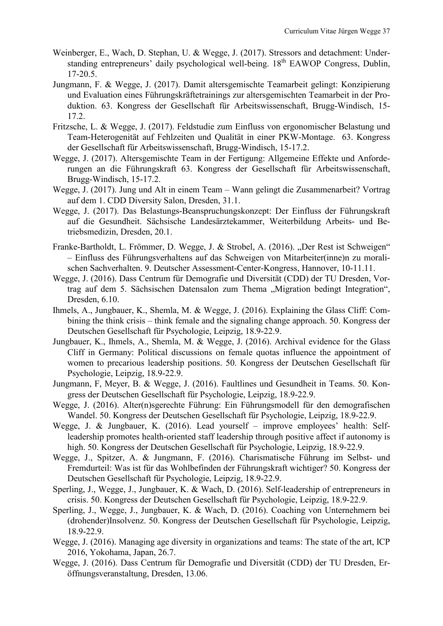- Weinberger, E., Wach, D. Stephan, U. & Wegge, J. (2017). Stressors and detachment: Understanding entrepreneurs' daily psychological well-being. 18th EAWOP Congress, Dublin, 17-20.5.
- Jungmann, F. & Wegge, J. (2017). Damit altersgemischte Teamarbeit gelingt: Konzipierung und Evaluation eines Führungskräftetrainings zur altersgemischten Teamarbeit in der Produktion. 63. Kongress der Gesellschaft für Arbeitswissenschaft, Brugg-Windisch, 15- 17.2.
- Fritzsche, L. & Wegge, J. (2017). Feldstudie zum Einfluss von ergonomischer Belastung und Team-Heterogenität auf Fehlzeiten und Qualität in einer PKW-Montage. 63. Kongress der Gesellschaft für Arbeitswissenschaft, Brugg-Windisch, 15-17.2.
- Wegge, J. (2017). Altersgemischte Team in der Fertigung: Allgemeine Effekte und Anforderungen an die Führungskraft 63. Kongress der Gesellschaft für Arbeitswissenschaft, Brugg-Windisch, 15-17.2.
- Wegge, J. (2017). Jung und Alt in einem Team Wann gelingt die Zusammenarbeit? Vortrag auf dem 1. CDD Diversity Salon, Dresden, 31.1.
- Wegge, J. (2017). Das Belastungs-Beanspruchungskonzept: Der Einfluss der Führungskraft auf die Gesundheit. Sächsische Landesärztekammer, Weiterbildung Arbeits- und Betriebsmedizin, Dresden, 20.1.
- Franke-Bartholdt, L. Frömmer, D. Wegge, J. & Strobel, A. (2016). "Der Rest ist Schweigen" – Einfluss des Führungsverhaltens auf das Schweigen von Mitarbeiter(inne)n zu moralischen Sachverhalten. 9. Deutscher Assessment-Center-Kongress, Hannover, 10-11.11.
- Wegge, J. (2016). Dass Centrum für Demografie und Diversität (CDD) der TU Dresden, Vortrag auf dem 5. Sächsischen Datensalon zum Thema "Migration bedingt Integration", Dresden, 6.10.
- Ihmels, A., Jungbauer, K., Shemla, M. & Wegge, J. (2016). Explaining the Glass Cliff: Combining the think crisis – think female and the signaling change approach. 50. Kongress der Deutschen Gesellschaft für Psychologie, Leipzig, 18.9-22.9.
- Jungbauer, K., Ihmels, A., Shemla, M. & Wegge, J. (2016). Archival evidence for the Glass Cliff in Germany: Political discussions on female quotas influence the appointment of women to precarious leadership positions. 50. Kongress der Deutschen Gesellschaft für Psychologie, Leipzig, 18.9-22.9.
- Jungmann, F, Meyer, B. & Wegge, J. (2016). Faultlines und Gesundheit in Teams. 50. Kongress der Deutschen Gesellschaft für Psychologie, Leipzig, 18.9-22.9.
- Wegge, J. (2016). Alter(n)sgerechte Führung: Ein Führungsmodell für den demografischen Wandel. 50. Kongress der Deutschen Gesellschaft für Psychologie, Leipzig, 18.9-22.9.
- Wegge, J. & Jungbauer, K. (2016). Lead yourself improve employees' health: Selfleadership promotes health-oriented staff leadership through positive affect if autonomy is high. 50. Kongress der Deutschen Gesellschaft für Psychologie, Leipzig, 18.9-22.9.
- Wegge, J., Spitzer, A. & Jungmann, F. (2016). Charismatische Führung im Selbst- und Fremdurteil: Was ist für das Wohlbefinden der Führungskraft wichtiger? 50. Kongress der Deutschen Gesellschaft für Psychologie, Leipzig, 18.9-22.9.
- Sperling, J., Wegge, J., Jungbauer, K. & Wach, D. (2016). Self-leadership of entrepreneurs in crisis. 50. Kongress der Deutschen Gesellschaft für Psychologie, Leipzig, 18.9-22.9.
- Sperling, J., Wegge, J., Jungbauer, K. & Wach, D. (2016). Coaching von Unternehmern bei (drohender)Insolvenz. 50. Kongress der Deutschen Gesellschaft für Psychologie, Leipzig, 18.9-22.9.
- Wegge, J. (2016). Managing age diversity in organizations and teams: The state of the art, ICP 2016, Yokohama, Japan, 26.7.
- Wegge, J. (2016). Dass Centrum für Demografie und Diversität (CDD) der TU Dresden, Eröffnungsveranstaltung, Dresden, 13.06.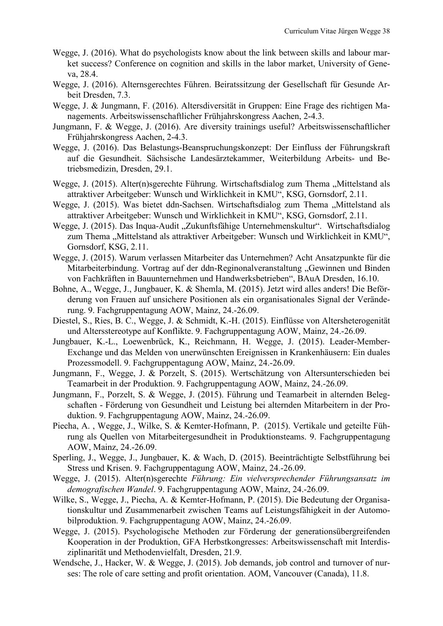- Wegge, J. (2016). What do psychologists know about the link between skills and labour market success? Conference on cognition and skills in the labor market, University of Geneva, 28.4.
- Wegge, J. (2016). Alternsgerechtes Führen. Beiratssitzung der Gesellschaft für Gesunde Arbeit Dresden, 7.3.
- Wegge, J. & Jungmann, F. (2016). Altersdiversität in Gruppen: Eine Frage des richtigen Managements. Arbeitswissenschaftlicher Frühjahrskongress Aachen, 2-4.3.
- Jungmann, F. & Wegge, J. (2016). Are diversity trainings useful? Arbeitswissenschaftlicher Frühjahrskongress Aachen, 2-4.3.
- Wegge, J. (2016). Das Belastungs-Beanspruchungskonzept: Der Einfluss der Führungskraft auf die Gesundheit. Sächsische Landesärztekammer, Weiterbildung Arbeits- und Betriebsmedizin, Dresden, 29.1.
- Wegge, J. (2015). Alter(n)sgerechte Führung. Wirtschaftsdialog zum Thema "Mittelstand als attraktiver Arbeitgeber: Wunsch und Wirklichkeit in KMU", KSG, Gornsdorf, 2.11.
- Wegge, J. (2015). Was bietet ddn-Sachsen. Wirtschaftsdialog zum Thema "Mittelstand als attraktiver Arbeitgeber: Wunsch und Wirklichkeit in KMU", KSG, Gornsdorf, 2.11.
- Wegge, J. (2015). Das Inqua-Audit "Zukunftsfähige Unternehmenskultur". Wirtschaftsdialog zum Thema "Mittelstand als attraktiver Arbeitgeber: Wunsch und Wirklichkeit in KMU", Gornsdorf, KSG, 2.11.
- Wegge, J. (2015). Warum verlassen Mitarbeiter das Unternehmen? Acht Ansatzpunkte für die Mitarbeiterbindung. Vortrag auf der ddn-Reginonalveranstaltung "Gewinnen und Binden von Fachkräften in Bauunternehmen und Handwerksbetrieben", BAuA Dresden, 16.10.
- Bohne, A., Wegge, J., Jungbauer, K. & Shemla, M. (2015). Jetzt wird alles anders! Die Beförderung von Frauen auf unsichere Positionen als ein organisationales Signal der Veränderung. 9. Fachgruppentagung AOW, Mainz, 24.-26.09.
- Diestel, S., Ries, B. C., Wegge, J. & Schmidt, K.-H. (2015). Einflüsse von Altersheterogenität und Altersstereotype auf Konflikte. 9. Fachgruppentagung AOW, Mainz, 24.-26.09.
- Jungbauer, K.-L., Loewenbrück, K., Reichmann, H. Wegge, J. (2015). Leader-Member-Exchange und das Melden von unerwünschten Ereignissen in Krankenhäusern: Ein duales Prozessmodell. 9. Fachgruppentagung AOW, Mainz, 24.-26.09.
- Jungmann, F., Wegge, J. & Porzelt, S. (2015). Wertschätzung von Altersunterschieden bei Teamarbeit in der Produktion. 9. Fachgruppentagung AOW, Mainz, 24.-26.09.
- Jungmann, F., Porzelt, S. & Wegge, J. (2015). Führung und Teamarbeit in alternden Belegschaften - Förderung von Gesundheit und Leistung bei alternden Mitarbeitern in der Produktion. 9. Fachgruppentagung AOW, Mainz, 24.-26.09.
- Piecha, A. , Wegge, J., Wilke, S. & Kemter-Hofmann, P. (2015). Vertikale und geteilte Führung als Quellen von Mitarbeitergesundheit in Produktionsteams. 9. Fachgruppentagung AOW, Mainz, 24.-26.09.
- Sperling, J., Wegge, J., Jungbauer, K. & Wach, D. (2015). Beeinträchtigte Selbstführung bei Stress und Krisen. 9. Fachgruppentagung AOW, Mainz, 24.-26.09.
- Wegge, J. (2015). Alter(n)sgerechte *Führung: Ein vielversprechender Führungsansatz im demografischen Wandel*. 9. Fachgruppentagung AOW, Mainz, 24.-26.09.
- Wilke, S., Wegge, J., Piecha, A. & Kemter-Hofmann, P. (2015). Die Bedeutung der Organisationskultur und Zusammenarbeit zwischen Teams auf Leistungsfähigkeit in der Automobilproduktion. 9. Fachgruppentagung AOW, Mainz, 24.-26.09.
- Wegge, J. (2015). Psychologische Methoden zur Förderung der generationsübergreifenden Kooperation in der Produktion, GFA Herbstkongresses: Arbeitswissenschaft mit Interdisziplinarität und Methodenvielfalt, Dresden, 21.9.
- Wendsche, J., Hacker, W. & Wegge, J. (2015). Job demands, job control and turnover of nurses: The role of care setting and profit orientation. AOM, Vancouver (Canada), 11.8.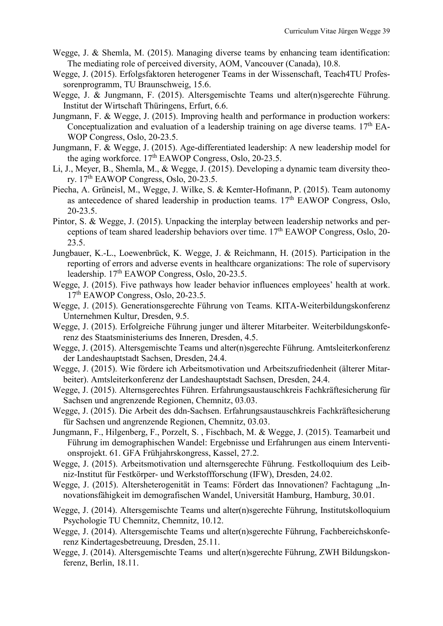- Wegge, J. & Shemla, M. (2015). Managing diverse teams by enhancing team identification: The mediating role of perceived diversity, AOM, Vancouver (Canada), 10.8.
- Wegge, J. (2015). Erfolgsfaktoren heterogener Teams in der Wissenschaft, Teach4TU Professorenprogramm, TU Braunschweig, 15.6.
- Wegge, J. & Jungmann, F. (2015). Altersgemischte Teams und alter(n)sgerechte Führung. Institut der Wirtschaft Thüringens, Erfurt, 6.6.
- Jungmann, F. & Wegge, J. (2015). Improving health and performance in production workers: Conceptualization and evaluation of a leadership training on age diverse teams.  $17<sup>th</sup>$  EA-WOP Congress, Oslo, 20-23.5.
- Jungmann, F. & Wegge, J. (2015). Age-differentiated leadership: A new leadership model for the aging workforce.  $17<sup>th</sup>$  EAWOP Congress, Oslo, 20-23.5.
- Li, J., Meyer, B., Shemla, M., & Wegge, J. (2015). Developing a dynamic team diversity theory.  $17<sup>th</sup>$  EAWOP Congress, Oslo, 20-23.5.
- Piecha, A. Grüneisl, M., Wegge, J. Wilke, S. & Kemter-Hofmann, P. (2015). Team autonomy as antecedence of shared leadership in production teams.  $17<sup>th</sup>$  EAWOP Congress, Oslo, 20-23.5.
- Pintor, S. & Wegge, J. (2015). Unpacking the interplay between leadership networks and perceptions of team shared leadership behaviors over time.  $17<sup>th</sup>$  EAWOP Congress, Oslo, 20-23.5.
- Jungbauer, K.-L., Loewenbrück, K. Wegge, J. & Reichmann, H. (2015). Participation in the reporting of errors and adverse events in healthcare organizations: The role of supervisory leadership.  $17<sup>th</sup>$  EAWOP Congress, Oslo, 20-23.5.
- Wegge, J. (2015). Five pathways how leader behavior influences employees' health at work. 17th EAWOP Congress, Oslo, 20-23.5.
- Wegge, J. (2015). Generationsgerechte Führung von Teams. KITA-Weiterbildungskonferenz Unternehmen Kultur, Dresden, 9.5.
- Wegge, J. (2015). Erfolgreiche Führung junger und älterer Mitarbeiter. Weiterbildungskonferenz des Staatsministeriums des Inneren, Dresden, 4.5.
- Wegge, J. (2015). Altersgemischte Teams und alter(n)sgerechte Führung. Amtsleiterkonferenz der Landeshauptstadt Sachsen, Dresden, 24.4.
- Wegge, J. (2015). Wie fördere ich Arbeitsmotivation und Arbeitszufriedenheit (älterer Mitarbeiter). Amtsleiterkonferenz der Landeshauptstadt Sachsen, Dresden, 24.4.
- Wegge, J. (2015). Alternsgerechtes Führen. Erfahrungsaustauschkreis Fachkräftesicherung für Sachsen und angrenzende Regionen, Chemnitz, 03.03.
- Wegge, J. (2015). Die Arbeit des ddn-Sachsen. Erfahrungsaustauschkreis Fachkräftesicherung für Sachsen und angrenzende Regionen, Chemnitz, 03.03.
- Jungmann, F., Hilgenberg, F., Porzelt, S. , Fischbach, M. & Wegge, J. (2015). Teamarbeit und Führung im demographischen Wandel: Ergebnisse und Erfahrungen aus einem Interventionsprojekt. 61. GFA Frühjahrskongress, Kassel, 27.2.
- Wegge, J. (2015). Arbeitsmotivation und alternsgerechte Führung. Festkolloquium des Leibniz-Institut für Festkörper- und Werkstoffforschung (IFW), Dresden, 24.02.
- Wegge, J. (2015). Altersheterogenität in Teams: Fördert das Innovationen? Fachtagung "Innovationsfähigkeit im demografischen Wandel, Universität Hamburg, Hamburg, 30.01.
- Wegge, J. (2014). Altersgemischte Teams und alter(n)sgerechte Führung, Institutskolloquium Psychologie TU Chemnitz, Chemnitz, 10.12.
- Wegge, J. (2014). Altersgemischte Teams und alter(n)sgerechte Führung, Fachbereichskonferenz Kindertagesbetreuung, Dresden, 25.11.
- Wegge, J. (2014). Altersgemischte Teams und alter(n)sgerechte Führung, ZWH Bildungskonferenz, Berlin, 18.11.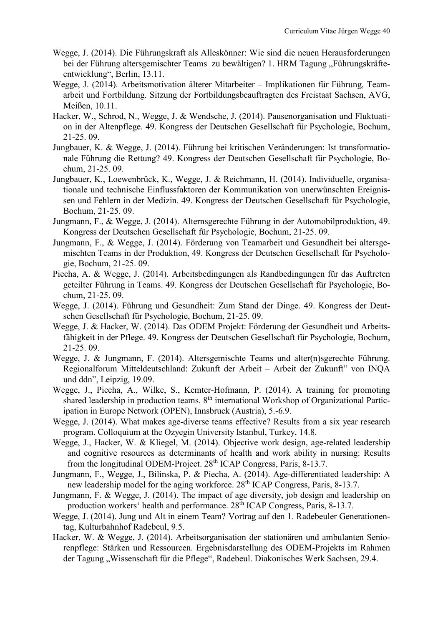- Wegge, J. (2014). Die Führungskraft als Alleskönner: Wie sind die neuen Herausforderungen bei der Führung altersgemischter Teams zu bewältigen? 1. HRM Tagung "Führungskräfteentwicklung", Berlin, 13.11.
- Wegge, J. (2014). Arbeitsmotivation älterer Mitarbeiter Implikationen für Führung, Teamarbeit und Fortbildung. Sitzung der Fortbildungsbeauftragten des Freistaat Sachsen, AVG, Meißen, 10.11.
- Hacker, W., Schrod, N., Wegge, J. & Wendsche, J. (2014). Pausenorganisation und Fluktuation in der Altenpflege. 49. Kongress der Deutschen Gesellschaft für Psychologie, Bochum, 21-25. 09.
- Jungbauer, K. & Wegge, J. (2014). Führung bei kritischen Veränderungen: Ist transformationale Führung die Rettung? 49. Kongress der Deutschen Gesellschaft für Psychologie, Bochum, 21-25. 09.
- Jungbauer, K., Loewenbrück, K., Wegge, J. & Reichmann, H. (2014). Individuelle, organisationale und technische Einflussfaktoren der Kommunikation von unerwünschten Ereignissen und Fehlern in der Medizin. 49. Kongress der Deutschen Gesellschaft für Psychologie, Bochum, 21-25. 09.
- Jungmann, F., & Wegge, J. (2014). Alternsgerechte Führung in der Automobilproduktion, 49. Kongress der Deutschen Gesellschaft für Psychologie, Bochum, 21-25. 09.
- Jungmann, F., & Wegge, J. (2014). Förderung von Teamarbeit und Gesundheit bei altersgemischten Teams in der Produktion, 49. Kongress der Deutschen Gesellschaft für Psychologie, Bochum, 21-25. 09.
- Piecha, A. & Wegge, J. (2014). Arbeitsbedingungen als Randbedingungen für das Auftreten geteilter Führung in Teams. 49. Kongress der Deutschen Gesellschaft für Psychologie, Bochum, 21-25. 09.
- Wegge, J. (2014). Führung und Gesundheit: Zum Stand der Dinge. 49. Kongress der Deutschen Gesellschaft für Psychologie, Bochum, 21-25. 09.
- Wegge, J. & Hacker, W. (2014). Das ODEM Projekt: Förderung der Gesundheit und Arbeitsfähigkeit in der Pflege. 49. Kongress der Deutschen Gesellschaft für Psychologie, Bochum, 21-25. 09.
- Wegge, J. & Jungmann, F. (2014). Altersgemischte Teams und alter(n)sgerechte Führung. Regionalforum Mitteldeutschland: Zukunft der Arbeit – Arbeit der Zukunft" von INQA und ddn", Leipzig, 19.09.
- Wegge, J., Piecha, A., Wilke, S., Kemter-Hofmann, P. (2014). A training for promoting shared leadership in production teams. 8<sup>th</sup> international Workshop of Organizational Participation in Europe Network (OPEN), Innsbruck (Austria), 5.-6.9.
- Wegge, J. (2014). What makes age-diverse teams effective? Results from a six year research program. Colloquium at the Ozyegin University Istanbul, Turkey, 14.8.
- Wegge, J., Hacker, W. & Kliegel, M. (2014). Objective work design, age-related leadership and cognitive resources as determinants of health and work ability in nursing: Results from the longitudinal ODEM-Project. 28<sup>th</sup> ICAP Congress, Paris, 8-13.7.
- Jungmann, F., Wegge, J., Bilinska, P. & Piecha, A. (2014). Age-differentiated leadership: A new leadership model for the aging workforce. 28<sup>th</sup> ICAP Congress, Paris, 8-13.7.
- Jungmann, F. & Wegge, J. (2014). The impact of age diversity, job design and leadership on production workers' health and performance.  $28<sup>th</sup> ICAP Congress, Paris, 8-13.7.$
- Wegge, J. (2014). Jung und Alt in einem Team? Vortrag auf den 1. Radebeuler Generationentag, Kulturbahnhof Radebeul, 9.5.
- Hacker, W. & Wegge, J. (2014). Arbeitsorganisation der stationären und ambulanten Seniorenpflege: Stärken und Ressourcen. Ergebnisdarstellung des ODEM-Projekts im Rahmen der Tagung "Wissenschaft für die Pflege", Radebeul. Diakonisches Werk Sachsen, 29.4.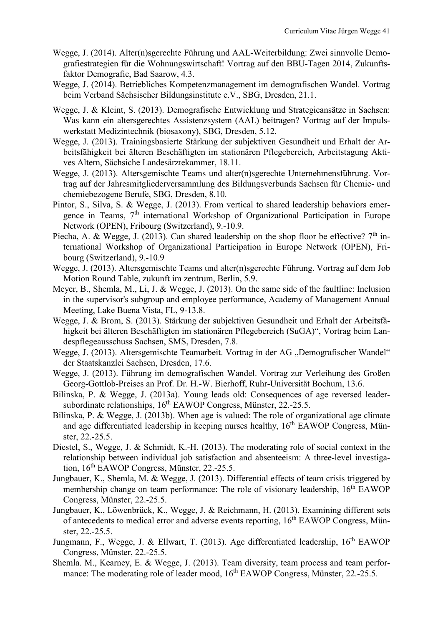- Wegge, J. (2014). Alter(n)sgerechte Führung und AAL-Weiterbildung: Zwei sinnvolle Demografiestrategien für die Wohnungswirtschaft! Vortrag auf den BBU-Tagen 2014, Zukunftsfaktor Demografie, Bad Saarow, 4.3.
- Wegge, J. (2014). Betriebliches Kompetenzmanagement im demografischen Wandel. Vortrag beim Verband Sächsischer Bildungsinstitute e.V., SBG, Dresden, 21.1.
- Wegge, J. & Kleint, S. (2013). Demografische Entwicklung und Strategieansätze in Sachsen: Was kann ein altersgerechtes Assistenzsystem (AAL) beitragen? Vortrag auf der Impulswerkstatt Medizintechnik (biosaxony), SBG, Dresden, 5.12.
- Wegge, J. (2013). Trainingsbasierte Stärkung der subjektiven Gesundheit und Erhalt der Arbeitsfähigkeit bei älteren Beschäftigten im stationären Pflegebereich, Arbeitstagung Aktives Altern, Sächsiche Landesärztekammer, 18.11.
- Wegge, J. (2013). Altersgemischte Teams und alter(n)sgerechte Unternehmensführung. Vortrag auf der Jahresmitgliederversammlung des Bildungsverbunds Sachsen für Chemie- und chemiebezogene Berufe, SBG, Dresden, 8.10.
- Pintor, S., Silva, S. & Wegge, J. (2013). From vertical to shared leadership behaviors emergence in Teams,  $7<sup>th</sup>$  international Workshop of Organizational Participation in Europe Network (OPEN), Fribourg (Switzerland), 9.-10.9.
- Piecha, A. & Wegge, J. (2013). Can shared leadership on the shop floor be effective?  $7<sup>th</sup>$  international Workshop of Organizational Participation in Europe Network (OPEN), Fribourg (Switzerland), 9.-10.9
- Wegge, J. (2013). Altersgemischte Teams und alter(n)sgerechte Führung. Vortrag auf dem Job Motion Round Table, zukunft im zentrum, Berlin, 5.9.
- Meyer, B., Shemla, M., Li, J. & Wegge, J. (2013). On the same side of the faultline: Inclusion in the supervisor's subgroup and employee performance, Academy of Management Annual Meeting, Lake Buena Vista, FL, 9-13.8.
- Wegge, J. & Brom, S. (2013). Stärkung der subjektiven Gesundheit und Erhalt der Arbeitsfähigkeit bei älteren Beschäftigten im stationären Pflegebereich (SuGA)", Vortrag beim Landespflegeausschuss Sachsen, SMS, Dresden, 7.8.
- Wegge, J. (2013). Altersgemischte Teamarbeit. Vortrag in der AG "Demografischer Wandel" der Staatskanzlei Sachsen, Dresden, 17.6.
- Wegge, J. (2013). Führung im demografischen Wandel. Vortrag zur Verleihung des Großen Georg-Gottlob-Preises an Prof. Dr. H.-W. Bierhoff, Ruhr-Universität Bochum, 13.6.
- Bilinska, P. & Wegge, J. (2013a). Young leads old: Consequences of age reversed leadersubordinate relationships, 16<sup>th</sup> EAWOP Congress, Münster, 22.-25.5.
- Bilinska, P. & Wegge, J. (2013b). When age is valued: The role of organizational age climate and age differentiated leadership in keeping nurses healthy,  $16<sup>th</sup>$  EAWOP Congress, Münster, 22.-25.5.
- Diestel, S., Wegge, J. & Schmidt, K.-H. (2013). The moderating role of social context in the relationship between individual job satisfaction and absenteeism: A three-level investigation, 16th EAWOP Congress, Münster, 22.-25.5.
- Jungbauer, K., Shemla, M. & Wegge, J. (2013). Differential effects of team crisis triggered by membership change on team performance: The role of visionary leadership, 16<sup>th</sup> EAWOP Congress, Münster, 22.-25.5.
- Jungbauer, K., Löwenbrück, K., Wegge, J, & Reichmann, H. (2013). Examining different sets of antecedents to medical error and adverse events reporting, 16<sup>th</sup> EAWOP Congress, Münster, 22.-25.5.
- Jungmann, F., Wegge, J. & Ellwart, T. (2013). Age differentiated leadership,  $16<sup>th</sup>$  EAWOP Congress, Münster, 22.-25.5.
- Shemla. M., Kearney, E. & Wegge, J. (2013). Team diversity, team process and team performance: The moderating role of leader mood, 16<sup>th</sup> EAWOP Congress, Münster, 22.-25.5.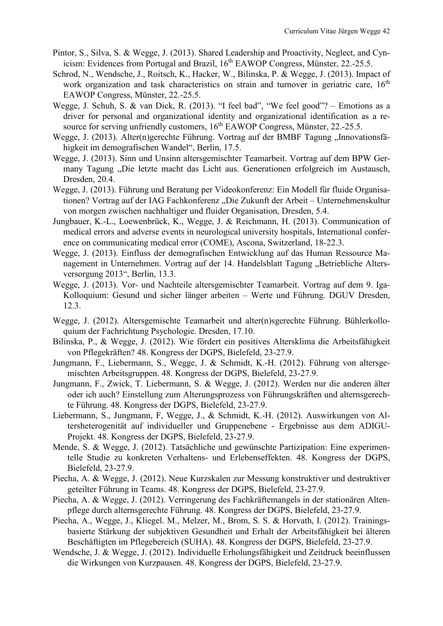- Pintor, S., Silva, S. & Wegge, J. (2013). Shared Leadership and Proactivity, Neglect, and Cynicism: Evidences from Portugal and Brazil, 16<sup>th</sup> EAWOP Congress, Münster, 22.-25.5.
- Schrod, N., Wendsche, J., Roitsch, K., Hacker, W., Bilinska, P. & Wegge, J. (2013). Impact of work organization and task characteristics on strain and turnover in geriatric care, 16<sup>th</sup> EAWOP Congress, Münster, 22.-25.5.
- Wegge, J. Schuh, S. & van Dick, R. (2013). "I feel bad", "We feel good"? Emotions as a driver for personal and organizational identity and organizational identification as a resource for serving unfriendly customers, 16<sup>th</sup> EAWOP Congress, Münster, 22.-25.5.
- Wegge, J. (2013). Alter(n)gerechte Führung. Vortrag auf der BMBF Tagung "Innovationsfähigkeit im demografischen Wandel", Berlin, 17.5.
- Wegge, J. (2013). Sinn und Unsinn altersgemischter Teamarbeit. Vortrag auf dem BPW Germany Tagung "Die letzte macht das Licht aus. Generationen erfolgreich im Austausch, Dresden, 20.4.
- Wegge, J. (2013). Führung und Beratung per Videokonferenz: Ein Modell für fluide Organisationen? Vortrag auf der IAG Fachkonferenz "Die Zukunft der Arbeit – Unternehmenskultur von morgen zwischen nachhaltiger und fluider Organisation, Dresden, 5.4.
- Jungbauer, K.-L., Loewenbrück, K., Wegge, J. & Reichmann, H. (2013). Communication of medical errors and adverse events in neurological university hospitals, International conference on communicating medical error (COME), Ascona, Switzerland, 18-22.3.
- Wegge, J. (2013). Einfluss der demografischen Entwicklung auf das Human Ressource Management in Unternehmen. Vortrag auf der 14. Handelsblatt Tagung "Betriebliche Altersversorgung 2013", Berlin, 13.3.
- Wegge, J. (2013). Vor- und Nachteile altersgemischter Teamarbeit. Vortrag auf dem 9. Iga-Kolloquium: Gesund und sicher länger arbeiten – Werte und Führung. DGUV Dresden, 12.3.
- Wegge, J. (2012). Altersgemischte Teamarbeit und alter(n)sgerechte Führung. Bühlerkolloquium der Fachrichtung Psychologie. Dresden, 17.10.
- Bilinska, P., & Wegge, J. (2012). Wie fördert ein positives Altersklima die Arbeitsfähigkeit von Pflegekräften? 48. Kongress der DGPS, Bielefeld, 23-27.9.
- Jungmann, F., Liebermann, S., Wegge, J. & Schmidt, K.-H. (2012). Führung von altersgemischten Arbeitsgruppen. 48. Kongress der DGPS, Bielefeld, 23-27.9.
- Jungmann, F., Zwick, T. Liebermann, S. & Wegge, J. (2012). Werden nur die anderen älter oder ich auch? Einstellung zum Alterungsprozess von Führungskräften und alternsgerechte Führung. 48. Kongress der DGPS, Bielefeld, 23-27.9.
- Liebermann, S., Jungmann, F, Wegge, J., & Schmidt, K.-H. (2012). Auswirkungen von Altersheterogenität auf individueller und Gruppenebene - Ergebnisse aus dem ADIGU-Projekt. 48. Kongress der DGPS, Bielefeld, 23-27.9.
- Mende, S. & Wegge, J. (2012). Tatsächliche und gewünschte Partizipation: Eine experimentelle Studie zu konkreten Verhaltens- und Erlebenseffekten. 48. Kongress der DGPS, Bielefeld, 23-27.9.
- Piecha, A. & Wegge, J. (2012). Neue Kurzskalen zur Messung konstruktiver und destruktiver geteilter Führung in Teams. 48. Kongress der DGPS, Bielefeld, 23-27.9.
- Piecha, A. & Wegge, J. (2012). Verringerung des Fachkräftemangels in der stationären Altenpflege durch alternsgerechte Führung. 48. Kongress der DGPS, Bielefeld, 23-27.9.
- Piecha, A., Wegge, J., Kliegel. M., Melzer, M., Brom, S. S. & Horvath, I. (2012). Trainingsbasierte Stärkung der subjektiven Gesundheit und Erhalt der Arbeitsfähigkeit bei älteren Beschäftigten im Pflegebereich (SUHA). 48. Kongress der DGPS, Bielefeld, 23-27.9.
- Wendsche, J. & Wegge, J. (2012). Individuelle Erholungsfähigkeit und Zeitdruck beeinflussen die Wirkungen von Kurzpausen. 48. Kongress der DGPS, Bielefeld, 23-27.9.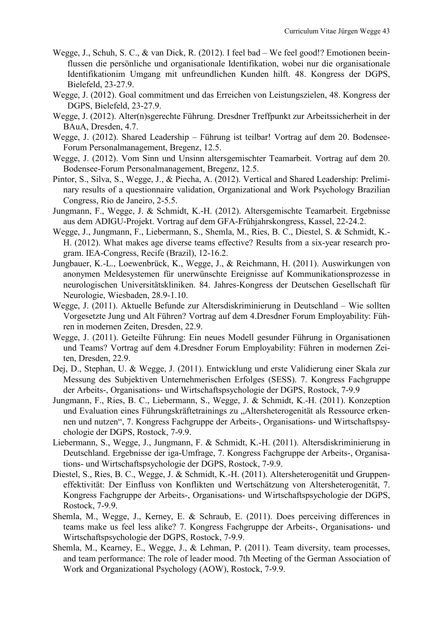- Wegge, J., Schuh, S. C., & van Dick, R. (2012). I feel bad We feel good!? Emotionen beeinflussen die persönliche und organisationale Identifikation, wobei nur die organisationale Identifikationim Umgang mit unfreundlichen Kunden hilft. 48. Kongress der DGPS, Bielefeld, 23-27.9.
- Wegge, J. (2012). Goal commitment und das Erreichen von Leistungszielen, 48. Kongress der DGPS, Bielefeld, 23-27.9.
- Wegge, J. (2012). Alter(n)sgerechte Führung. Dresdner Treffpunkt zur Arbeitssicherheit in der BAuA, Dresden, 4.7.
- Wegge, J. (2012). Shared Leadership Führung ist teilbar! Vortrag auf dem 20. Bodensee-Forum Personalmanagement, Bregenz, 12.5.
- Wegge, J. (2012). Vom Sinn und Unsinn altersgemischter Teamarbeit. Vortrag auf dem 20. Bodensee-Forum Personalmanagement, Bregenz, 12.5.
- Pintor, S., Silva, S., Wegge, J., & Piecha, A. (2012). Vertical and Shared Leadership: Preliminary results of a questionnaire validation, Organizational and Work Psychology Brazilian Congress, Rio de Janeiro, 2-5.5.
- Jungmann, F., Wegge, J. & Schmidt, K.-H. (2012). Altersgemischte Teamarbeit. Ergebnisse aus dem ADIGU-Projekt. Vortrag auf dem GFA-Frühjahrskongress, Kassel, 22-24.2.
- Wegge, J., Jungmann, F., Liebermann, S., Shemla, M., Ries, B. C., Diestel, S. & Schmidt, K.- H. (2012). What makes age diverse teams effective? Results from a six-year research program. IEA-Congress, Recife (Brazil), 12-16.2.
- Jungbauer, K.-L., Loewenbrück, K., Wegge, J., & Reichmann, H. (2011). Auswirkungen von anonymen Meldesystemen für unerwünschte Ereignisse auf Kommunikationsprozesse in neurologischen Universitätskliniken. 84. Jahres-Kongress der Deutschen Gesellschaft für Neurologie, Wiesbaden, 28.9-1.10.
- Wegge, J. (2011). Aktuelle Befunde zur Altersdiskriminierung in Deutschland Wie sollten Vorgesetzte Jung und Alt Führen? Vortrag auf dem 4.Dresdner Forum Employability: Führen in modernen Zeiten, Dresden, 22.9.
- Wegge, J. (2011). Geteilte Führung: Ein neues Modell gesunder Führung in Organisationen und Teams? Vortrag auf dem 4.Dresdner Forum Employability: Führen in modernen Zeiten, Dresden, 22.9.
- Dej, D., Stephan, U. & Wegge, J. (2011). Entwicklung und erste Validierung einer Skala zur Messung des Subjektiven Unternehmerischen Erfolges (SESS). 7. Kongress Fachgruppe der Arbeits-, Organisations- und Wirtschaftspsychologie der DGPS, Rostock, 7-9.9
- Jungmann, F., Ries, B. C., Liebermann, S., Wegge, J. & Schmidt, K.-H. (2011). Konzeption und Evaluation eines Führungskräftetrainings zu "Altersheterogenität als Ressource erkennen und nutzen", 7. Kongress Fachgruppe der Arbeits-, Organisations- und Wirtschaftspsychologie der DGPS, Rostock, 7-9.9.
- Liebermann, S., Wegge, J., Jungmann, F. & Schmidt, K.-H. (2011). Altersdiskriminierung in Deutschland. Ergebnisse der iga-Umfrage, 7. Kongress Fachgruppe der Arbeits-, Organisations- und Wirtschaftspsychologie der DGPS, Rostock, 7-9.9.
- Diestel, S., Ries, B. C., Wegge, J. & Schmidt, K.-H. (2011). Altersheterogenität und Gruppeneffektivität: Der Einfluss von Konflikten und Wertschätzung von Altersheterogenität, 7. Kongress Fachgruppe der Arbeits-, Organisations- und Wirtschaftspsychologie der DGPS, Rostock, 7-9.9.
- Shemla, M., Wegge, J., Kerney, E. & Schraub, E. (2011). Does perceiving differences in teams make us feel less alike? 7. Kongress Fachgruppe der Arbeits-, Organisations- und Wirtschaftspsychologie der DGPS, Rostock, 7-9.9.
- Shemla, M., Kearney, E., Wegge, J., & Lehman, P. (2011). Team diversity, team processes, and team performance: The role of leader mood. 7th Meeting of the German Association of Work and Organizational Psychology (AOW), Rostock, 7-9.9.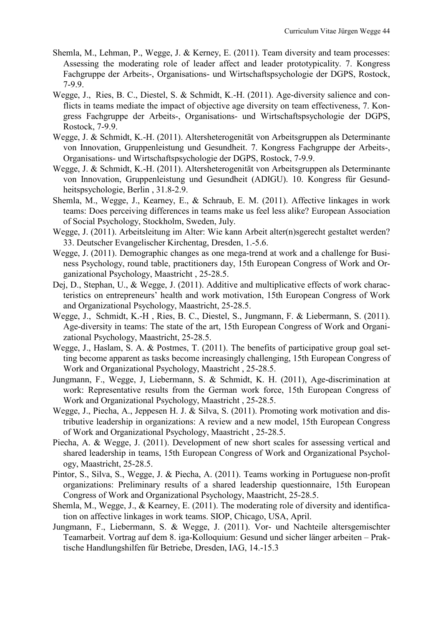- Shemla, M., Lehman, P., Wegge, J. & Kerney, E. (2011). Team diversity and team processes: Assessing the moderating role of leader affect and leader prototypicality. 7. Kongress Fachgruppe der Arbeits-, Organisations- und Wirtschaftspsychologie der DGPS, Rostock, 7-9.9.
- Wegge, J., Ries, B. C., Diestel, S. & Schmidt, K.-H. (2011). Age-diversity salience and conflicts in teams mediate the impact of objective age diversity on team effectiveness, 7. Kongress Fachgruppe der Arbeits-, Organisations- und Wirtschaftspsychologie der DGPS, Rostock, 7-9.9.
- Wegge, J. & Schmidt, K.-H. (2011). Altersheterogenität von Arbeitsgruppen als Determinante von Innovation, Gruppenleistung und Gesundheit. 7. Kongress Fachgruppe der Arbeits-, Organisations- und Wirtschaftspsychologie der DGPS, Rostock, 7-9.9.
- Wegge, J. & Schmidt, K.-H. (2011). Altersheterogenität von Arbeitsgruppen als Determinante von Innovation, Gruppenleistung und Gesundheit (ADIGU). 10. Kongress für Gesundheitspsychologie, Berlin , 31.8-2.9.
- Shemla, M., Wegge, J., Kearney, E., & Schraub, E. M. (2011). Affective linkages in work teams: Does perceiving differences in teams make us feel less alike? European Association of Social Psychology, Stockholm, Sweden, July.
- Wegge, J. (2011). Arbeitsleitung im Alter: Wie kann Arbeit alter(n)sgerecht gestaltet werden? 33. Deutscher Evangelischer Kirchentag, Dresden, 1.-5.6.
- Wegge, J. (2011). Demographic changes as one mega-trend at work and a challenge for Business Psychology, round table, practitioners day, 15th European Congress of Work and Organizational Psychology, Maastricht , 25-28.5.
- Dej, D., Stephan, U., & Wegge, J. (2011). Additive and multiplicative effects of work characteristics on entrepreneurs' health and work motivation, 15th European Congress of Work and Organizational Psychology, Maastricht, 25-28.5.
- Wegge, J., Schmidt, K.-H , Ries, B. C., Diestel, S., Jungmann, F. & Liebermann, S. (2011). Age-diversity in teams: The state of the art, 15th European Congress of Work and Organizational Psychology, Maastricht, 25-28.5.
- Wegge, J., Haslam, S. A. & Postmes, T. (2011). The benefits of participative group goal setting become apparent as tasks become increasingly challenging, 15th European Congress of Work and Organizational Psychology, Maastricht , 25-28.5.
- Jungmann, F., Wegge, J, Liebermann, S. & Schmidt, K. H. (2011), Age-discrimination at work: Representative results from the German work force, 15th European Congress of Work and Organizational Psychology, Maastricht , 25-28.5.
- Wegge, J., Piecha, A., Jeppesen H. J. & Silva, S. (2011). Promoting work motivation and distributive leadership in organizations: A review and a new model, 15th European Congress of Work and Organizational Psychology, Maastricht , 25-28.5.
- Piecha, A. & Wegge, J. (2011). Development of new short scales for assessing vertical and shared leadership in teams, 15th European Congress of Work and Organizational Psychology, Maastricht, 25-28.5.
- Pintor, S., Silva, S., Wegge, J. & Piecha, A. (2011). Teams working in Portuguese non-profit organizations: Preliminary results of a shared leadership questionnaire, 15th European Congress of Work and Organizational Psychology, Maastricht, 25-28.5.
- Shemla, M., Wegge, J., & Kearney, E. (2011). The moderating role of diversity and identification on affective linkages in work teams. SIOP, Chicago, USA, April.
- Jungmann, F., Liebermann, S. & Wegge, J. (2011). Vor- und Nachteile altersgemischter Teamarbeit. Vortrag auf dem 8. iga-Kolloquium: Gesund und sicher länger arbeiten – Praktische Handlungshilfen für Betriebe, Dresden, IAG, 14.-15.3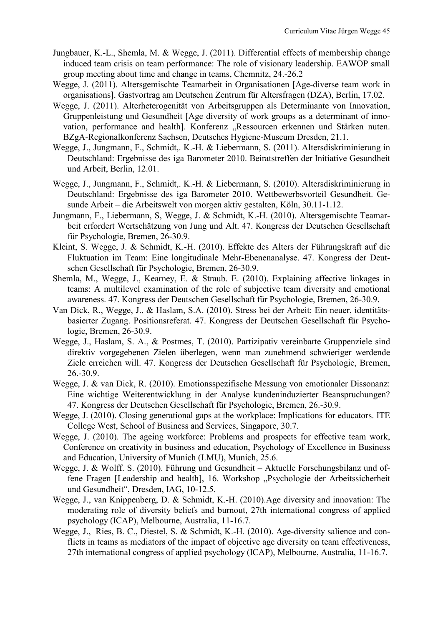- Jungbauer, K.-L., Shemla, M. & Wegge, J. (2011). Differential effects of membership change induced team crisis on team performance: The role of visionary leadership. EAWOP small group meeting about time and change in teams, Chemnitz, 24.-26.2
- Wegge, J. (2011). Altersgemischte Teamarbeit in Organisationen [Age-diverse team work in organisations]. Gastvortrag am Deutschen Zentrum für Altersfragen (DZA), Berlin, 17.02.
- Wegge, J. (2011). Alterheterogenität von Arbeitsgruppen als Determinante von Innovation, Gruppenleistung und Gesundheit [Age diversity of work groups as a determinant of innovation, performance and health]. Konferenz "Ressourcen erkennen und Stärken nuten. BZgA-Regionalkonferenz Sachsen, Deutsches Hygiene-Museum Dresden, 21.1.
- Wegge, J., Jungmann, F., Schmidt,. K.-H. & Liebermann, S. (2011). Altersdiskriminierung in Deutschland: Ergebnisse des iga Barometer 2010. Beiratstreffen der Initiative Gesundheit und Arbeit, Berlin, 12.01.
- Wegge, J., Jungmann, F., Schmidt,. K.-H. & Liebermann, S. (2010). Altersdiskriminierung in Deutschland: Ergebnisse des iga Barometer 2010. Wettbewerbsvorteil Gesundheit. Gesunde Arbeit – die Arbeitswelt von morgen aktiv gestalten, Köln, 30.11-1.12.
- Jungmann, F., Liebermann, S, Wegge, J. & Schmidt, K.-H. (2010). Altersgemischte Teamarbeit erfordert Wertschätzung von Jung und Alt. 47. Kongress der Deutschen Gesellschaft für Psychologie, Bremen, 26-30.9.
- Kleint, S. Wegge, J. & Schmidt, K.-H. (2010). Effekte des Alters der Führungskraft auf die Fluktuation im Team: Eine longitudinale Mehr-Ebenenanalyse. 47. Kongress der Deutschen Gesellschaft für Psychologie, Bremen, 26-30.9.
- Shemla, M., Wegge, J., Kearney, E. & Straub. E. (2010). Explaining affective linkages in teams: A multilevel examination of the role of subjective team diversity and emotional awareness. 47. Kongress der Deutschen Gesellschaft für Psychologie, Bremen, 26-30.9.
- Van Dick, R., Wegge, J., & Haslam, S.A. (2010). Stress bei der Arbeit: Ein neuer, identitätsbasierter Zugang. Positionsreferat. 47. Kongress der Deutschen Gesellschaft für Psychologie, Bremen, 26-30.9.
- Wegge, J., Haslam, S. A., & Postmes, T. (2010). Partizipativ vereinbarte Gruppenziele sind direktiv vorgegebenen Zielen überlegen, wenn man zunehmend schwieriger werdende Ziele erreichen will. 47. Kongress der Deutschen Gesellschaft für Psychologie, Bremen, 26.-30.9.
- Wegge, J. & van Dick, R. (2010). Emotionsspezifische Messung von emotionaler Dissonanz: Eine wichtige Weiterentwicklung in der Analyse kundeninduzierter Beanspruchungen? 47. Kongress der Deutschen Gesellschaft für Psychologie, Bremen, 26.-30.9.
- Wegge, J. (2010). Closing generational gaps at the workplace: Implications for educators. ITE College West, School of Business and Services, Singapore, 30.7.
- Wegge, J. (2010). The ageing workforce: Problems and prospects for effective team work, Conference on creativity in business and education, Psychology of Excellence in Business and Education, University of Munich (LMU), Munich, 25.6.
- Wegge, J. & Wolff. S. (2010). Führung und Gesundheit Aktuelle Forschungsbilanz und offene Fragen [Leadership and health], 16. Workshop "Psychologie der Arbeitssicherheit und Gesundheit", Dresden, IAG, 10-12.5.
- Wegge, J., van Knippenberg, D. & Schmidt, K.-H. (2010).Age diversity and innovation: The moderating role of diversity beliefs and burnout, 27th international congress of applied psychology (ICAP), Melbourne, Australia, 11-16.7.
- Wegge, J., Ries, B. C., Diestel, S. & Schmidt, K.-H. (2010). Age-diversity salience and conflicts in teams as mediators of the impact of objective age diversity on team effectiveness, 27th international congress of applied psychology (ICAP), Melbourne, Australia, 11-16.7.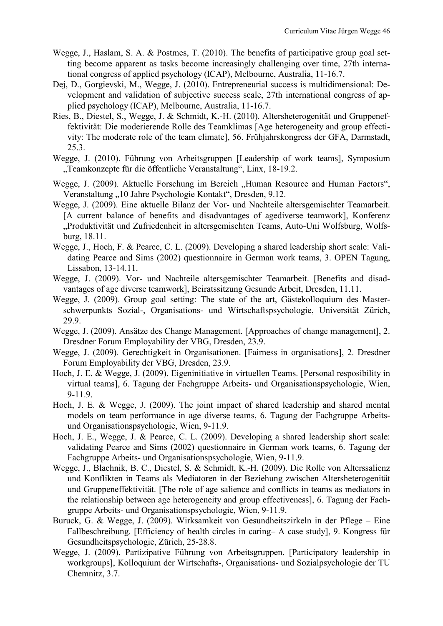- Wegge, J., Haslam, S. A. & Postmes, T. (2010). The benefits of participative group goal setting become apparent as tasks become increasingly challenging over time, 27th international congress of applied psychology (ICAP), Melbourne, Australia, 11-16.7.
- Dej, D., Gorgievski, M., Wegge, J. (2010). Entrepreneurial success is multidimensional: Development and validation of subjective success scale, 27th international congress of applied psychology (ICAP), Melbourne, Australia, 11-16.7.
- Ries, B., Diestel, S., Wegge, J. & Schmidt, K.-H. (2010). Altersheterogenität und Gruppeneffektivität: Die moderierende Rolle des Teamklimas [Age heterogeneity and group effectivity: The moderate role of the team climate], 56. Frühjahrskongress der GFA, Darmstadt, 25.3.
- Wegge, J. (2010). Führung von Arbeitsgruppen [Leadership of work teams], Symposium "Teamkonzepte für die öffentliche Veranstaltung", Linx, 18-19.2.
- Wegge, J. (2009). Aktuelle Forschung im Bereich "Human Resource and Human Factors", Veranstaltung "10 Jahre Psychologie Kontakt", Dresden, 9.12.
- Wegge, J. (2009). Eine aktuelle Bilanz der Vor- und Nachteile altersgemischter Teamarbeit. [A current balance of benefits and disadvantages of agediverse teamwork], Konferenz "Produktivität und Zufriedenheit in altersgemischten Teams, Auto-Uni Wolfsburg, Wolfsburg, 18.11.
- Wegge, J., Hoch, F. & Pearce, C. L. (2009). Developing a shared leadership short scale: Validating Pearce and Sims (2002) questionnaire in German work teams, 3. OPEN Tagung, Lissabon, 13-14.11.
- Wegge, J. (2009). Vor- und Nachteile altersgemischter Teamarbeit. [Benefits and disadvantages of age diverse teamwork], Beiratssitzung Gesunde Arbeit, Dresden, 11.11.
- Wegge, J. (2009). Group goal setting: The state of the art, Gästekolloquium des Masterschwerpunkts Sozial-, Organisations- und Wirtschaftspsychologie, Universität Zürich, 29.9.
- Wegge, J. (2009). Ansätze des Change Management. [Approaches of change management], 2. Dresdner Forum Employability der VBG, Dresden, 23.9.
- Wegge, J. (2009). Gerechtigkeit in Organisationen. [Fairness in organisations], 2. Dresdner Forum Employability der VBG, Dresden, 23.9.
- Hoch, J. E. & Wegge, J. (2009). Eigeninitiative in virtuellen Teams. [Personal resposibility in virtual teams], 6. Tagung der Fachgruppe Arbeits- und Organisationspsychologie, Wien, 9-11.9.
- Hoch, J. E. & Wegge, J. (2009). The joint impact of shared leadership and shared mental models on team performance in age diverse teams, 6. Tagung der Fachgruppe Arbeitsund Organisationspsychologie, Wien, 9-11.9.
- Hoch, J. E., Wegge, J. & Pearce, C. L. (2009). Developing a shared leadership short scale: validating Pearce and Sims (2002) questionnaire in German work teams, 6. Tagung der Fachgruppe Arbeits- und Organisationspsychologie, Wien, 9-11.9.
- Wegge, J., Blachnik, B. C., Diestel, S. & Schmidt, K.-H. (2009). Die Rolle von Alterssalienz und Konflikten in Teams als Mediatoren in der Beziehung zwischen Altersheterogenität und Gruppeneffektivität. [The role of age salience and conflicts in teams as mediators in the relationship between age heterogeneity and group effectiveness], 6. Tagung der Fachgruppe Arbeits- und Organisationspsychologie, Wien, 9-11.9.
- Buruck, G. & Wegge, J. (2009). Wirksamkeit von Gesundheitszirkeln in der Pflege Eine Fallbeschreibung. [Efficiency of health circles in caring– A case study], 9. Kongress für Gesundheitspsychologie, Zürich, 25-28.8.
- Wegge, J. (2009). Partizipative Führung von Arbeitsgruppen. [Participatory leadership in workgroups], Kolloquium der Wirtschafts-, Organisations- und Sozialpsychologie der TU Chemnitz, 3.7.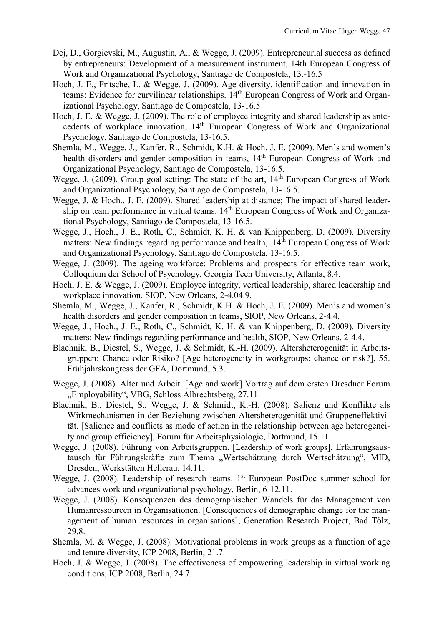- Dej, D., Gorgievski, M., Augustin, A., & Wegge, J. (2009). Entrepreneurial success as defined by entrepreneurs: Development of a measurement instrument, 14th European Congress of Work and Organizational Psychology, Santiago de Compostela, 13.-16.5
- Hoch, J. E., Fritsche, L. & Wegge, J. (2009). Age diversity, identification and innovation in teams: Evidence for curvilinear relationships. 14th European Congress of Work and Organizational Psychology, Santiago de Compostela, 13-16.5
- Hoch, J. E. & Wegge, J. (2009). The role of employee integrity and shared leadership as antecedents of workplace innovation, 14th European Congress of Work and Organizational Psychology, Santiago de Compostela, 13-16.5.
- Shemla, M., Wegge, J., Kanfer, R., Schmidt, K.H. & Hoch, J. E. (2009). Men's and women's health disorders and gender composition in teams, 14<sup>th</sup> European Congress of Work and Organizational Psychology, Santiago de Compostela, 13-16.5.
- Wegge, J. (2009). Group goal setting: The state of the art,  $14<sup>th</sup>$  European Congress of Work and Organizational Psychology, Santiago de Compostela, 13-16.5.
- Wegge, J. & Hoch., J. E. (2009). Shared leadership at distance; The impact of shared leadership on team performance in virtual teams. 14<sup>th</sup> European Congress of Work and Organizational Psychology, Santiago de Compostela, 13-16.5.
- Wegge, J., Hoch., J. E., Roth, C., Schmidt, K. H. & van Knippenberg, D. (2009). Diversity matters: New findings regarding performance and health, 14<sup>th</sup> European Congress of Work and Organizational Psychology, Santiago de Compostela, 13-16.5.
- Wegge, J. (2009). The ageing workforce: Problems and prospects for effective team work, Colloquium der School of Psychology, Georgia Tech University, Atlanta, 8.4.
- Hoch, J. E. & Wegge, J. (2009). Employee integrity, vertical leadership, shared leadership and workplace innovation. SIOP, New Orleans, 2-4.04.9.
- Shemla, M., Wegge, J., Kanfer, R., Schmidt, K.H. & Hoch, J. E. (2009). Men's and women's health disorders and gender composition in teams, SIOP, New Orleans, 2-4.4.
- Wegge, J., Hoch., J. E., Roth, C., Schmidt, K. H. & van Knippenberg, D. (2009). Diversity matters: New findings regarding performance and health, SIOP, New Orleans, 2-4.4.
- Blachnik, B., Diestel, S., Wegge, J. & Schmidt, K.-H. (2009). Altersheterogenität in Arbeitsgruppen: Chance oder Risiko? [Age heterogeneity in workgroups: chance or risk?], 55. Frühjahrskongress der GFA, Dortmund, 5.3.
- Wegge, J. (2008). Alter und Arbeit. [Age and work] Vortrag auf dem ersten Dresdner Forum "Employability", VBG, Schloss Albrechtsberg, 27.11.
- Blachnik, B., Diestel, S., Wegge, J. & Schmidt, K.-H. (2008). Salienz und Konflikte als Wirkmechanismen in der Beziehung zwischen Altersheterogenität und Gruppeneffektivität. [Salience and conflicts as mode of action in the relationship between age heterogeneity and group efficiency], Forum für Arbeitsphysiologie, Dortmund, 15.11.
- Wegge, J. (2008). Führung von Arbeitsgruppen. [Leadership of work groups], Erfahrungsaustausch für Führungskräfte zum Thema "Wertschätzung durch Wertschätzung", MID, Dresden, Werkstätten Hellerau, 14.11.
- Wegge, J. (2008). Leadership of research teams. 1<sup>st</sup> European PostDoc summer school for advances work and organizational psychology, Berlin, 6-12.11.
- Wegge, J. (2008). Konsequenzen des demographischen Wandels für das Management von Humanressourcen in Organisationen. [Consequences of demographic change for the management of human resources in organisations], Generation Research Project, Bad Tölz, 29.8.
- Shemla, M. & Wegge, J. (2008). Motivational problems in work groups as a function of age and tenure diversity, ICP 2008, Berlin, 21.7.
- Hoch, J. & Wegge, J. (2008). The effectiveness of empowering leadership in virtual working conditions, ICP 2008, Berlin, 24.7.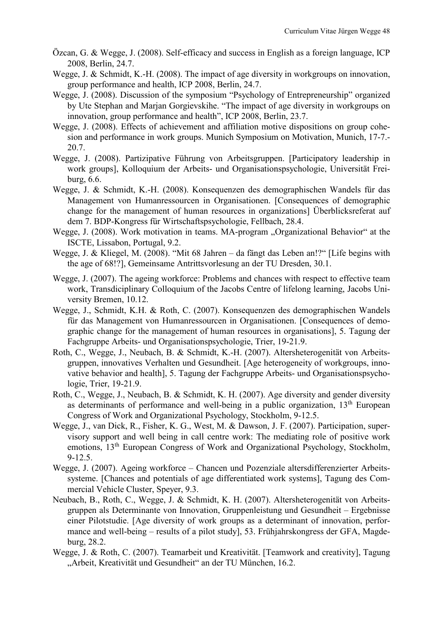- Özcan, G. & Wegge, J. (2008). Self-efficacy and success in English as a foreign language, ICP 2008, Berlin, 24.7.
- Wegge, J. & Schmidt, K.-H. (2008). The impact of age diversity in workgroups on innovation, group performance and health, ICP 2008, Berlin, 24.7.
- Wegge, J. (2008). Discussion of the symposium "Psychology of Entrepreneurship" organized by Ute Stephan and Marjan Gorgievskihe. "The impact of age diversity in workgroups on innovation, group performance and health", ICP 2008, Berlin, 23.7.
- Wegge, J. (2008). Effects of achievement and affiliation motive dispositions on group cohesion and performance in work groups. Munich Symposium on Motivation, Munich, 17-7.- 20.7.
- Wegge, J. (2008). Partizipative Führung von Arbeitsgruppen. [Participatory leadership in work groups], Kolloquium der Arbeits- und Organisationspsychologie, Universität Freiburg, 6.6.
- Wegge, J. & Schmidt, K.-H. (2008). Konsequenzen des demographischen Wandels für das Management von Humanressourcen in Organisationen. [Consequences of demographic change for the management of human resources in organizations] Überblicksreferat auf dem 7. BDP-Kongress für Wirtschaftspsychologie, Fellbach, 28.4.
- Wegge, J. (2008). Work motivation in teams. MA-program "Organizational Behavior" at the ISCTE, Lissabon, Portugal, 9.2.
- Wegge, J. & Kliegel, M. (2008). "Mit 68 Jahren da fängt das Leben an!?" [Life begins with the age of 68!?], Gemeinsame Antrittsvorlesung an der TU Dresden, 30.1.
- Wegge, J. (2007). The ageing workforce: Problems and chances with respect to effective team work, Transdiciplinary Colloquium of the Jacobs Centre of lifelong learning, Jacobs University Bremen, 10.12.
- Wegge, J., Schmidt, K.H. & Roth, C. (2007). Konsequenzen des demographischen Wandels für das Management von Humanressourcen in Organisationen. [Consequences of demographic change for the management of human resources in organisations], 5. Tagung der Fachgruppe Arbeits- und Organisationspsychologie, Trier, 19-21.9.
- Roth, C., Wegge, J., Neubach, B. & Schmidt, K.-H. (2007). Altersheterogenität von Arbeitsgruppen, innovatives Verhalten und Gesundheit. [Age heterogeneity of workgroups, innovative behavior and health], 5. Tagung der Fachgruppe Arbeits- und Organisationspsychologie, Trier, 19-21.9.
- Roth, C., Wegge, J., Neubach, B. & Schmidt, K. H. (2007). Age diversity and gender diversity as determinants of performance and well-being in a public organization,  $13<sup>th</sup>$  European Congress of Work and Organizational Psychology, Stockholm, 9-12.5.
- Wegge, J., van Dick, R., Fisher, K. G., West, M. & Dawson, J. F. (2007). Participation, supervisory support and well being in call centre work: The mediating role of positive work emotions, 13th European Congress of Work and Organizational Psychology, Stockholm, 9-12.5.
- Wegge, J. (2007). Ageing workforce Chancen und Pozenziale altersdifferenzierter Arbeitssysteme. [Chances and potentials of age differentiated work systems], Tagung des Commercial Vehicle Cluster, Speyer, 9.3.
- Neubach, B., Roth, C., Wegge, J. & Schmidt, K. H. (2007). Altersheterogenität von Arbeitsgruppen als Determinante von Innovation, Gruppenleistung und Gesundheit – Ergebnisse einer Pilotstudie. [Age diversity of work groups as a determinant of innovation, performance and well-being – results of a pilot study], 53. Frühjahrskongress der GFA, Magdeburg, 28.2.
- Wegge, J. & Roth, C. (2007). Teamarbeit und Kreativität. [Teamwork and creativity], Tagung "Arbeit, Kreativität und Gesundheit" an der TU München, 16.2.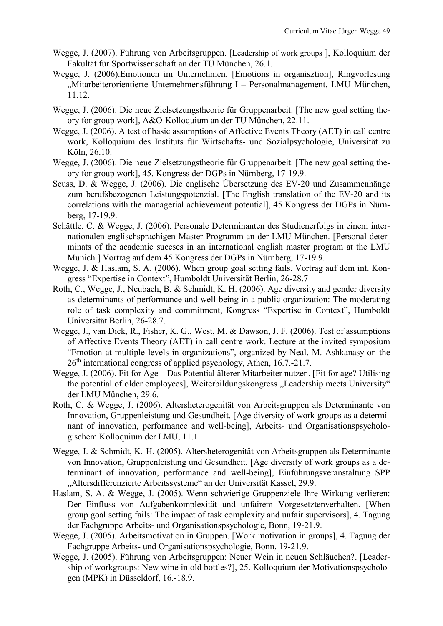- Wegge, J. (2007). Führung von Arbeitsgruppen. [Leadership of work groups ], Kolloquium der Fakultät für Sportwissenschaft an der TU München, 26.1.
- Wegge, J. (2006).Emotionen im Unternehmen. [Emotions in organisztion], Ringvorlesung "Mitarbeiterorientierte Unternehmensführung I – Personalmanagement, LMU München, 11.12.
- Wegge, J. (2006). Die neue Zielsetzungstheorie für Gruppenarbeit. [The new goal setting theory for group work], A&O-Kolloquium an der TU München, 22.11.
- Wegge, J. (2006). A test of basic assumptions of Affective Events Theory (AET) in call centre work, Kolloquium des Instituts für Wirtschafts- und Sozialpsychologie, Universität zu Köln, 26.10.
- Wegge, J. (2006). Die neue Zielsetzungstheorie für Gruppenarbeit. [The new goal setting theory for group work], 45. Kongress der DGPs in Nürnberg, 17-19.9.
- Seuss, D. & Wegge, J. (2006). Die englische Übersetzung des EV-20 und Zusammenhänge zum berufsbezogenen Leistungspotenzial. [The English translation of the EV-20 and its correlations with the managerial achievement potential], 45 Kongress der DGPs in Nürnberg, 17-19.9.
- Schättle, C. & Wegge, J. (2006). Personale Determinanten des Studienerfolgs in einem internationalen englischsprachigen Master Programm an der LMU München. [Personal determinats of the academic succses in an international english master program at the LMU Munich ] Vortrag auf dem 45 Kongress der DGPs in Nürnberg, 17-19.9.
- Wegge, J. & Haslam, S. A. (2006). When group goal setting fails. Vortrag auf dem int. Kongress "Expertise in Context", Humboldt Universität Berlin, 26-28.7
- Roth, C., Wegge, J., Neubach, B. & Schmidt, K. H. (2006). Age diversity and gender diversity as determinants of performance and well-being in a public organization: The moderating role of task complexity and commitment, Kongress "Expertise in Context", Humboldt Universität Berlin, 26-28.7.
- Wegge, J., van Dick, R., Fisher, K. G., West, M. & Dawson, J. F. (2006). Test of assumptions of Affective Events Theory (AET) in call centre work. Lecture at the invited symposium "Emotion at multiple levels in organizations", organized by Neal. M. Ashkanasy on the 26th international congress of applied psychology, Athen, 16.7.-21.7.
- Wegge, J. (2006). Fit for Age Das Potential älterer Mitarbeiter nutzen. [Fit for age? Utilising the potential of older employees], Weiterbildungskongress "Leadership meets University" der LMU München, 29.6.
- Roth, C. & Wegge, J. (2006). Altersheterogenität von Arbeitsgruppen als Determinante von Innovation, Gruppenleistung und Gesundheit. [Age diversity of work groups as a determinant of innovation, performance and well-being], Arbeits- und Organisationspsychologischem Kolloquium der LMU, 11.1.
- Wegge, J. & Schmidt, K.-H. (2005). Altersheterogenität von Arbeitsgruppen als Determinante von Innovation, Gruppenleistung und Gesundheit. [Age diversity of work groups as a determinant of innovation, performance and well-being], Einführungsveranstaltung SPP "Altersdifferenzierte Arbeitssysteme" an der Universität Kassel, 29.9.
- Haslam, S. A. & Wegge, J. (2005). Wenn schwierige Gruppenziele Ihre Wirkung verlieren: Der Einfluss von Aufgabenkomplexität und unfairem Vorgesetztenverhalten. [When group goal setting fails: The impact of task complexity and unfair supervisors], 4. Tagung der Fachgruppe Arbeits- und Organisationspsychologie, Bonn, 19-21.9.
- Wegge, J. (2005). Arbeitsmotivation in Gruppen. [Work motivation in groups], 4. Tagung der Fachgruppe Arbeits- und Organisationspsychologie, Bonn, 19-21.9.
- Wegge, J. (2005). Führung von Arbeitsgruppen: Neuer Wein in neuen Schläuchen?. [Leadership of workgroups: New wine in old bottles?], 25. Kolloquium der Motivationspsychologen (MPK) in Düsseldorf, 16.-18.9.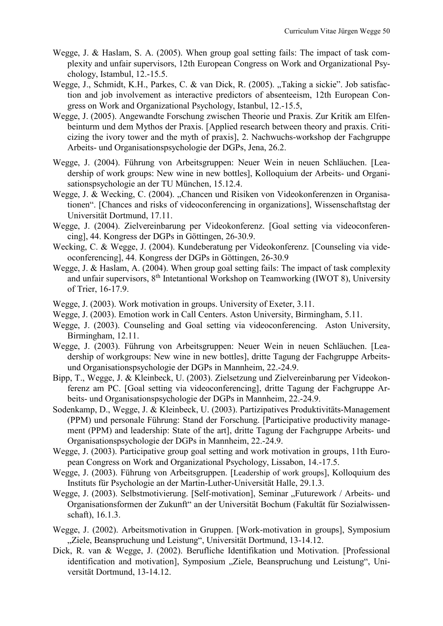- Wegge, J. & Haslam, S. A. (2005). When group goal setting fails: The impact of task complexity and unfair supervisors, 12th European Congress on Work and Organizational Psychology, Istambul, 12.-15.5.
- Wegge, J., Schmidt, K.H., Parkes, C. & van Dick, R. (2005). "Taking a sickie". Job satisfaction and job involvement as interactive predictors of absenteeism, 12th European Congress on Work and Organizational Psychology, Istanbul, 12.-15.5,
- Wegge, J. (2005). Angewandte Forschung zwischen Theorie und Praxis. Zur Kritik am Elfenbeinturm und dem Mythos der Praxis. [Applied research between theory and praxis. Criticizing the ivory tower and the myth of praxis], 2. Nachwuchs-workshop der Fachgruppe Arbeits- und Organisationspsychologie der DGPs, Jena, 26.2.
- Wegge, J. (2004). Führung von Arbeitsgruppen: Neuer Wein in neuen Schläuchen. [Leadership of work groups: New wine in new bottles], Kolloquium der Arbeits- und Organisationspsychologie an der TU München, 15.12.4.
- Wegge, J. & Wecking, C. (2004). "Chancen und Risiken von Videokonferenzen in Organisationen". [Chances and risks of videoconferencing in organizations], Wissenschaftstag der Universität Dortmund, 17.11.
- Wegge, J. (2004). Zielvereinbarung per Videokonferenz. [Goal setting via videoconferencing], 44. Kongress der DGPs in Göttingen, 26-30.9.
- Wecking, C. & Wegge, J. (2004). Kundeberatung per Videokonferenz. [Counseling via videoconferencing], 44. Kongress der DGPs in Göttingen, 26-30.9
- Wegge, J. & Haslam, A. (2004). When group goal setting fails: The impact of task complexity and unfair supervisors,  $8<sup>th</sup>$  Intetantional Workshop on Teamworking (IWOT 8), University of Trier, 16-17.9.
- Wegge, J. (2003). Work motivation in groups. University of Exeter, 3.11.
- Wegge, J. (2003). Emotion work in Call Centers. Aston University, Birmingham, 5.11.
- Wegge, J. (2003). Counseling and Goal setting via videoconferencing. Aston University, Birmingham, 12.11.
- Wegge, J. (2003). Führung von Arbeitsgruppen: Neuer Wein in neuen Schläuchen. [Leadership of workgroups: New wine in new bottles], dritte Tagung der Fachgruppe Arbeitsund Organisationspsychologie der DGPs in Mannheim, 22.-24.9.
- Bipp, T., Wegge, J. & Kleinbeck, U. (2003). Zielsetzung und Zielvereinbarung per Videokonferenz am PC. [Goal setting via videoconferencing], dritte Tagung der Fachgruppe Arbeits- und Organisationspsychologie der DGPs in Mannheim, 22.-24.9.
- Sodenkamp, D., Wegge, J. & Kleinbeck, U. (2003). Partizipatives Produktivitäts-Management (PPM) und personale Führung: Stand der Forschung. [Participative productivity management (PPM) and leadership: State of the art], dritte Tagung der Fachgruppe Arbeits- und Organisationspsychologie der DGPs in Mannheim, 22.-24.9.
- Wegge, J. (2003). Participative group goal setting and work motivation in groups, 11th European Congress on Work and Organizational Psychology, Lissabon, 14.-17.5.
- Wegge, J. (2003). Führung von Arbeitsgruppen. [Leadership of work groups], Kolloquium des Instituts für Psychologie an der Martin-Luther-Universität Halle, 29.1.3.
- Wegge, J. (2003). Selbstmotivierung. [Self-motivation], Seminar "Futurework / Arbeits- und Organisationsformen der Zukunft" an der Universität Bochum (Fakultät für Sozialwissenschaft), 16.1.3.
- Wegge, J. (2002). Arbeitsmotivation in Gruppen. [Work-motivation in groups], Symposium "Ziele, Beanspruchung und Leistung", Universität Dortmund, 13-14.12.
- Dick, R. van & Wegge, J. (2002). Berufliche Identifikation und Motivation. [Professional identification and motivation], Symposium "Ziele, Beanspruchung und Leistung", Universität Dortmund, 13-14.12.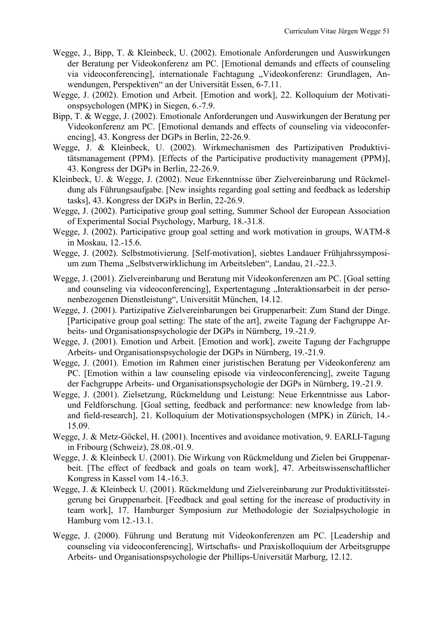- Wegge, J., Bipp, T. & Kleinbeck, U. (2002). Emotionale Anforderungen und Auswirkungen der Beratung per Videokonferenz am PC. [Emotional demands and effects of counseling via videoconferencing], internationale Fachtagung "Videokonferenz: Grundlagen, Anwendungen, Perspektiven" an der Universität Essen, 6-7.11.
- Wegge, J. (2002). Emotion und Arbeit. [Emotion and work], 22. Kolloquium der Motivationspsychologen (MPK) in Siegen, 6.-7.9.
- Bipp, T. & Wegge, J. (2002). Emotionale Anforderungen und Auswirkungen der Beratung per Videokonferenz am PC. [Emotional demands and effects of counseling via videoconferencing], 43. Kongress der DGPs in Berlin, 22-26.9.
- Wegge, J. & Kleinbeck, U. (2002). Wirkmechanismen des Partizipativen Produktivitätsmanagement (PPM). [Effects of the Participative productivity management (PPM)], 43. Kongress der DGPs in Berlin, 22-26.9.
- Kleinbeck, U. & Wegge, J. (2002). Neue Erkenntnisse über Zielvereinbarung und Rückmeldung als Führungsaufgabe. [New insights regarding goal setting and feedback as ledership tasks], 43. Kongress der DGPs in Berlin, 22-26.9.
- Wegge, J. (2002). Participative group goal setting, Summer School der European Association of Experimental Social Psychology, Marburg, 18.-31.8.
- Wegge, J. (2002). Participative group goal setting and work motivation in groups, WATM-8 in Moskau, 12.-15.6.
- Wegge, J. (2002). Selbstmotivierung. [Self-motivation], siebtes Landauer Frühjahrssymposium zum Thema "Selbstverwirklichung im Arbeitsleben", Landau, 21.-22.3.
- Wegge, J. (2001). Zielvereinbarung und Beratung mit Videokonferenzen am PC. [Goal setting and counseling via videoconferencing], Expertentagung "Interaktionsarbeit in der personenbezogenen Dienstleistung", Universität München, 14.12.
- Wegge, J. (2001). Partizipative Zielvereinbarungen bei Gruppenarbeit: Zum Stand der Dinge. [Participative group goal setting: The state of the art], zweite Tagung der Fachgruppe Arbeits- und Organisationspsychologie der DGPs in Nürnberg, 19.-21.9.
- Wegge, J. (2001). Emotion und Arbeit. [Emotion and work], zweite Tagung der Fachgruppe Arbeits- und Organisationspsychologie der DGPs in Nürnberg, 19.-21.9.
- Wegge, J. (2001). Emotion im Rahmen einer juristischen Beratung per Videokonferenz am PC. [Emotion within a law counseling episode via virdeoconferencing], zweite Tagung der Fachgruppe Arbeits- und Organisationspsychologie der DGPs in Nürnberg, 19.-21.9.
- Wegge, J. (2001). Zielsetzung, Rückmeldung und Leistung: Neue Erkenntnisse aus Laborund Feldforschung. [Goal setting, feedback and performance: new knowledge from laband field-research], 21. Kolloquium der Motivationspsychologen (MPK) in Zürich, 14.- 15.09.
- Wegge, J. & Metz-Göckel, H. (2001). Incentives and avoidance motivation, 9. EARLI-Tagung in Fribourg (Schweiz), 28.08.-01.9.
- Wegge, J. & Kleinbeck U. (2001). Die Wirkung von Rückmeldung und Zielen bei Gruppenarbeit. [The effect of feedback and goals on team work], 47. Arbeitswissenschaftlicher Kongress in Kassel vom 14.-16.3.
- Wegge, J. & Kleinbeck U. (2001). Rückmeldung und Zielvereinbarung zur Produktivitätssteigerung bei Gruppenarbeit. [Feedback and goal setting for the increase of productivity in team work], 17. Hamburger Symposium zur Methodologie der Sozialpsychologie in Hamburg vom 12.-13.1.
- Wegge, J. (2000). Führung und Beratung mit Videokonferenzen am PC. [Leadership and counseling via videoconferencing], Wirtschafts- und Praxiskolloquium der Arbeitsgruppe Arbeits- und Organisationspsychologie der Phillips-Universität Marburg, 12.12.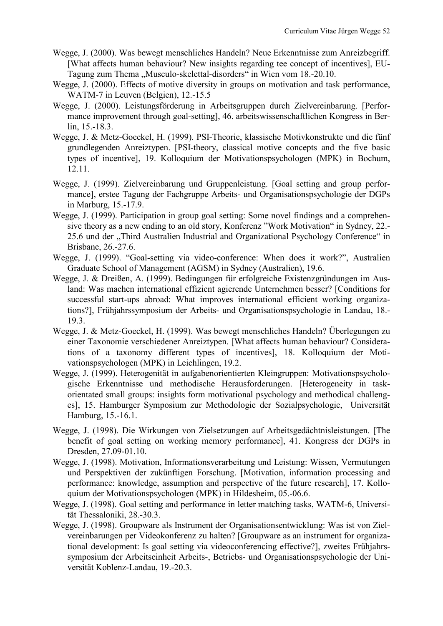- Wegge, J. (2000). Was bewegt menschliches Handeln? Neue Erkenntnisse zum Anreizbegriff. [What affects human behaviour? New insights regarding tee concept of incentives], EU-Tagung zum Thema "Musculo-skelettal-disorders" in Wien vom 18.-20.10.
- Wegge, J. (2000). Effects of motive diversity in groups on motivation and task performance, WATM-7 in Leuven (Belgien), 12.-15.5
- Wegge, J. (2000). Leistungsförderung in Arbeitsgruppen durch Zielvereinbarung. [Performance improvement through goal-setting], 46. arbeitswissenschaftlichen Kongress in Berlin, 15.-18.3.
- Wegge, J. & Metz-Goeckel, H. (1999). PSI-Theorie, klassische Motivkonstrukte und die fünf grundlegenden Anreiztypen. [PSI-theory, classical motive concepts and the five basic types of incentive], 19. Kolloquium der Motivationspsychologen (MPK) in Bochum, 12.11.
- Wegge, J. (1999). Zielvereinbarung und Gruppenleistung. [Goal setting and group performance], erstee Tagung der Fachgruppe Arbeits- und Organisationspsychologie der DGPs in Marburg, 15.-17.9.
- Wegge, J. (1999). Participation in group goal setting: Some novel findings and a comprehensive theory as a new ending to an old story, Konferenz "Work Motivation" in Sydney, 22.- 25.6 und der "Third Australien Industrial and Organizational Psychology Conference" in Brisbane, 26.-27.6.
- Wegge, J. (1999). "Goal-setting via video-conference: When does it work?", Australien Graduate School of Management (AGSM) in Sydney (Australien), 19.6.
- Wegge, J. & Dreißen, A. (1999). Bedingungen für erfolgreiche Existenzgründungen im Ausland: Was machen international effizient agierende Unternehmen besser? [Conditions for successful start-ups abroad: What improves international efficient working organizations?], Frühjahrssymposium der Arbeits- und Organisationspsychologie in Landau, 18.- 19.3.
- Wegge, J. & Metz-Goeckel, H. (1999). Was bewegt menschliches Handeln? Überlegungen zu einer Taxonomie verschiedener Anreiztypen. [What affects human behaviour? Considerations of a taxonomy different types of incentives], 18. Kolloquium der Motivationspsychologen (MPK) in Leichlingen, 19.2.
- Wegge, J. (1999). Heterogenität in aufgabenorientierten Kleingruppen: Motivationspsychologische Erkenntnisse und methodische Herausforderungen. [Heterogeneity in taskorientated small groups: insights form motivational psychology and methodical challenges], 15. Hamburger Symposium zur Methodologie der Sozialpsychologie, Universität Hamburg, 15.-16.1.
- Wegge, J. (1998). Die Wirkungen von Zielsetzungen auf Arbeitsgedächtnisleistungen. [The benefit of goal setting on working memory performance], 41. Kongress der DGPs in Dresden, 27.09-01.10.
- Wegge, J. (1998). Motivation, Informationsverarbeitung und Leistung: Wissen, Vermutungen und Perspektiven der zukünftigen Forschung. [Motivation, information processing and performance: knowledge, assumption and perspective of the future research], 17. Kolloquium der Motivationspsychologen (MPK) in Hildesheim, 05.-06.6.
- Wegge, J. (1998). Goal setting and performance in letter matching tasks, WATM-6, Universität Thessaloniki, 28.-30.3.
- Wegge, J. (1998). Groupware als Instrument der Organisationsentwicklung: Was ist von Zielvereinbarungen per Videokonferenz zu halten? [Groupware as an instrument for organizational development: Is goal setting via videoconferencing effective?], zweites Frühjahrssymposium der Arbeitseinheit Arbeits-, Betriebs- und Organisationspsychologie der Universität Koblenz-Landau, 19.-20.3.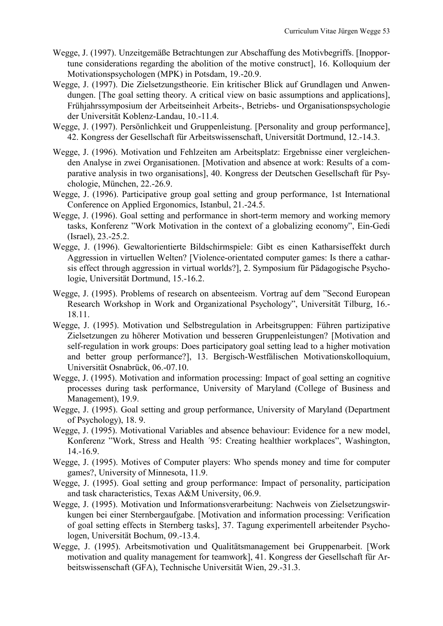- Wegge, J. (1997). Unzeitgemäße Betrachtungen zur Abschaffung des Motivbegriffs. [Inopportune considerations regarding the abolition of the motive construct], 16. Kolloquium der Motivationspsychologen (MPK) in Potsdam, 19.-20.9.
- Wegge, J. (1997). Die Zielsetzungstheorie. Ein kritischer Blick auf Grundlagen und Anwendungen. [The goal setting theory. A critical view on basic assumptions and applications], Frühjahrssymposium der Arbeitseinheit Arbeits-, Betriebs- und Organisationspsychologie der Universität Koblenz-Landau, 10.-11.4.
- Wegge, J. (1997). Persönlichkeit und Gruppenleistung. [Personality and group performance], 42. Kongress der Gesellschaft für Arbeitswissenschaft, Universität Dortmund, 12.-14.3.
- Wegge, J. (1996). Motivation und Fehlzeiten am Arbeitsplatz: Ergebnisse einer vergleichenden Analyse in zwei Organisationen. [Motivation and absence at work: Results of a comparative analysis in two organisations], 40. Kongress der Deutschen Gesellschaft für Psychologie, München, 22.-26.9.
- Wegge, J. (1996). Participative group goal setting and group performance, 1st International Conference on Applied Ergonomics, Istanbul, 21.-24.5.
- Wegge, J. (1996). Goal setting and performance in short-term memory and working memory tasks, Konferenz "Work Motivation in the context of a globalizing economy", Ein-Gedi (Israel), 23.-25.2.
- Wegge, J. (1996). Gewaltorientierte Bildschirmspiele: Gibt es einen Katharsiseffekt durch Aggression in virtuellen Welten? [Violence-orientated computer games: Is there a catharsis effect through aggression in virtual worlds?], 2. Symposium für Pädagogische Psychologie, Universität Dortmund, 15.-16.2.
- Wegge, J. (1995). Problems of research on absenteeism. Vortrag auf dem "Second European Research Workshop in Work and Organizational Psychology", Universität Tilburg, 16.- 18.11.
- Wegge, J. (1995). Motivation und Selbstregulation in Arbeitsgruppen: Führen partizipative Zielsetzungen zu höherer Motivation und besseren Gruppenleistungen? [Motivation and self-regulation in work groups: Does participatory goal setting lead to a higher motivation and better group performance?], 13. Bergisch-Westfälischen Motivationskolloquium, Universität Osnabrück, 06.-07.10.
- Wegge, J. (1995). Motivation and information processing: Impact of goal setting an cognitive processes during task performance, University of Maryland (College of Business and Management), 19.9.
- Wegge, J. (1995). Goal setting and group performance, University of Maryland (Department of Psychology), 18. 9.
- Wegge, J. (1995). Motivational Variables and absence behaviour: Evidence for a new model, Konferenz "Work, Stress and Health ´95: Creating healthier workplaces", Washington, 14.-16.9.
- Wegge, J. (1995). Motives of Computer players: Who spends money and time for computer games?, University of Minnesota, 11.9.
- Wegge, J. (1995). Goal setting and group performance: Impact of personality, participation and task characteristics, Texas A&M University, 06.9.
- Wegge, J. (1995). Motivation und Informationsverarbeitung: Nachweis von Zielsetzungswirkungen bei einer Sternbergaufgabe. [Motivation and information processing: Verification of goal setting effects in Sternberg tasks], 37. Tagung experimentell arbeitender Psychologen, Universität Bochum, 09.-13.4.
- Wegge, J. (1995). Arbeitsmotivation und Qualitätsmanagement bei Gruppenarbeit. [Work motivation and quality management for teamwork], 41. Kongress der Gesellschaft für Arbeitswissenschaft (GFA), Technische Universität Wien, 29.-31.3.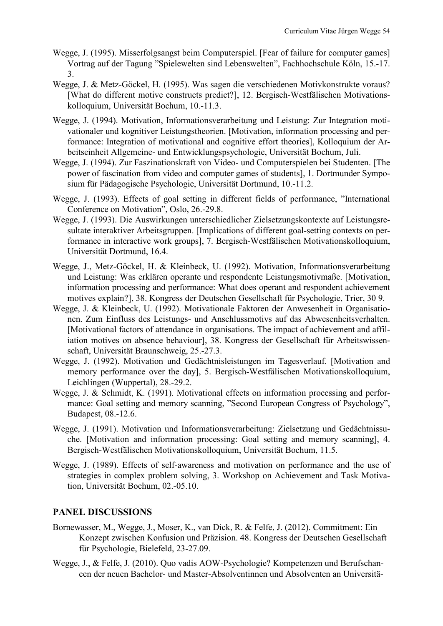- Wegge, J. (1995). Misserfolgsangst beim Computerspiel. [Fear of failure for computer games] Vortrag auf der Tagung "Spielewelten sind Lebenswelten", Fachhochschule Köln, 15.-17. 3.
- Wegge, J. & Metz-Göckel, H. (1995). Was sagen die verschiedenen Motivkonstrukte voraus? [What do different motive constructs predict?], 12. Bergisch-Westfälischen Motivationskolloquium, Universität Bochum, 10.-11.3.
- Wegge, J. (1994). Motivation, Informationsverarbeitung und Leistung: Zur Integration motivationaler und kognitiver Leistungstheorien. [Motivation, information processing and performance: Integration of motivational and cognitive effort theories], Kolloquium der Arbeitseinheit Allgemeine- und Entwicklungspsychologie, Universität Bochum, Juli.
- Wegge, J. (1994). Zur Faszinationskraft von Video- und Computerspielen bei Studenten. [The power of fascination from video and computer games of students], 1. Dortmunder Symposium für Pädagogische Psychologie, Universität Dortmund, 10.-11.2.
- Wegge, J. (1993). Effects of goal setting in different fields of performance, "International Conference on Motivation", Oslo, 26.-29.8.
- Wegge, J. (1993). Die Auswirkungen unterschiedlicher Zielsetzungskontexte auf Leistungsresultate interaktiver Arbeitsgruppen. [Implications of different goal-setting contexts on performance in interactive work groups], 7. Bergisch-Westfälischen Motivationskolloquium, Universität Dortmund, 16.4.
- Wegge, J., Metz-Göckel, H. & Kleinbeck, U. (1992). Motivation, Informationsverarbeitung und Leistung: Was erklären operante und respondente Leistungsmotivmaße. [Motivation, information processing and performance: What does operant and respondent achievement motives explain?], 38. Kongress der Deutschen Gesellschaft für Psychologie, Trier, 30 9.
- Wegge, J. & Kleinbeck, U. (1992). Motivationale Faktoren der Anwesenheit in Organisationen. Zum Einfluss des Leistungs- und Anschlussmotivs auf das Abwesenheitsverhalten. [Motivational factors of attendance in organisations. The impact of achievement and affiliation motives on absence behaviour], 38. Kongress der Gesellschaft für Arbeitswissenschaft, Universität Braunschweig, 25.-27.3.
- Wegge, J. (1992). Motivation und Gedächtnisleistungen im Tagesverlauf. [Motivation and memory performance over the day], 5. Bergisch-Westfälischen Motivationskolloquium, Leichlingen (Wuppertal), 28.-29.2.
- Wegge, J. & Schmidt, K. (1991). Motivational effects on information processing and performance: Goal setting and memory scanning, "Second European Congress of Psychology", Budapest, 08.-12.6.
- Wegge, J. (1991). Motivation und Informationsverarbeitung: Zielsetzung und Gedächtnissuche. [Motivation and information processing: Goal setting and memory scanning], 4. Bergisch-Westfälischen Motivationskolloquium, Universität Bochum, 11.5.
- Wegge, J. (1989). Effects of self-awareness and motivation on performance and the use of strategies in complex problem solving, 3. Workshop on Achievement and Task Motivation, Universität Bochum, 02.-05.10.

## **PANEL DISCUSSIONS**

- Bornewasser, M., Wegge, J., Moser, K., van Dick, R. & Felfe, J. (2012). Commitment: Ein Konzept zwischen Konfusion und Präzision. 48. Kongress der Deutschen Gesellschaft für Psychologie, Bielefeld, 23-27.09.
- Wegge, J., & Felfe, J. (2010). Quo vadis AOW-Psychologie? Kompetenzen und Berufschancen der neuen Bachelor- und Master-Absolventinnen und Absolventen an Universitä-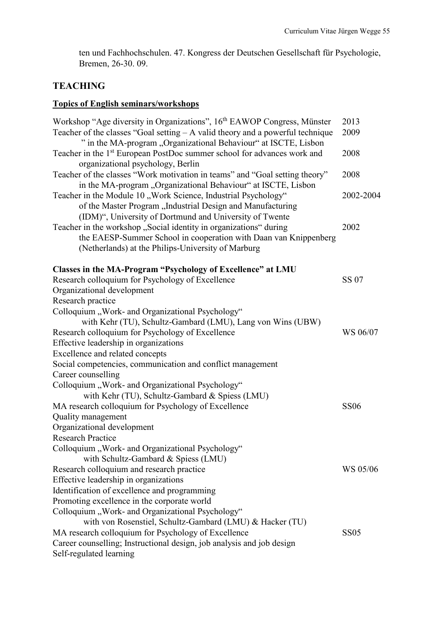ten und Fachhochschulen. 47. Kongress der Deutschen Gesellschaft für Psychologie, Bremen, 26-30. 09.

# **TEACHING**

# **Topics of English seminars/workshops**

| Workshop "Age diversity in Organizations", 16 <sup>th</sup> EAWOP Congress, Münster | 2013        |
|-------------------------------------------------------------------------------------|-------------|
| Teacher of the classes "Goal setting $- A$ valid theory and a powerful technique    | 2009        |
| " in the MA-program "Organizational Behaviour" at ISCTE, Lisbon                     |             |
| Teacher in the 1 <sup>st</sup> European PostDoc summer school for advances work and | 2008        |
| organizational psychology, Berlin                                                   |             |
| Teacher of the classes "Work motivation in teams" and "Goal setting theory"         | 2008        |
| in the MA-program "Organizational Behaviour" at ISCTE, Lisbon                       |             |
| Teacher in the Module 10 "Work Science, Industrial Psychology"                      | 2002-2004   |
| of the Master Program "Industrial Design and Manufacturing                          |             |
| (IDM)", University of Dortmund and University of Twente                             |             |
| Teacher in the workshop "Social identity in organizations" during                   | 2002        |
| the EAESP-Summer School in cooperation with Daan van Knippenberg                    |             |
| (Netherlands) at the Philips-University of Marburg                                  |             |
| Classes in the MA-Program "Psychology of Excellence" at LMU                         |             |
| Research colloquium for Psychology of Excellence                                    | SS 07       |
| Organizational development                                                          |             |
| Research practice                                                                   |             |
| Colloquium "Work- and Organizational Psychology"                                    |             |
| with Kehr (TU), Schultz-Gambard (LMU), Lang von Wins (UBW)                          |             |
| Research colloquium for Psychology of Excellence                                    | WS 06/07    |
| Effective leadership in organizations                                               |             |
| Excellence and related concepts                                                     |             |
| Social competencies, communication and conflict management                          |             |
| Career counselling                                                                  |             |
| Colloquium "Work- and Organizational Psychology"                                    |             |
| with Kehr (TU), Schultz-Gambard & Spiess (LMU)                                      |             |
| MA research colloquium for Psychology of Excellence                                 | <b>SS06</b> |
| Quality management                                                                  |             |
| Organizational development                                                          |             |
| <b>Research Practice</b>                                                            |             |
| Colloquium "Work- and Organizational Psychology"                                    |             |
| with Schultz-Gambard & Spiess (LMU)                                                 |             |
| Research colloquium and research practice                                           | WS 05/06    |
| Effective leadership in organizations                                               |             |
| Identification of excellence and programming                                        |             |
| Promoting excellence in the corporate world                                         |             |
| Colloquium "Work- and Organizational Psychology"                                    |             |
| with von Rosenstiel, Schultz-Gambard (LMU) & Hacker (TU)                            |             |
| MA research colloquium for Psychology of Excellence                                 | <b>SS05</b> |
| Career counselling; Instructional design, job analysis and job design               |             |
| Self-regulated learning                                                             |             |